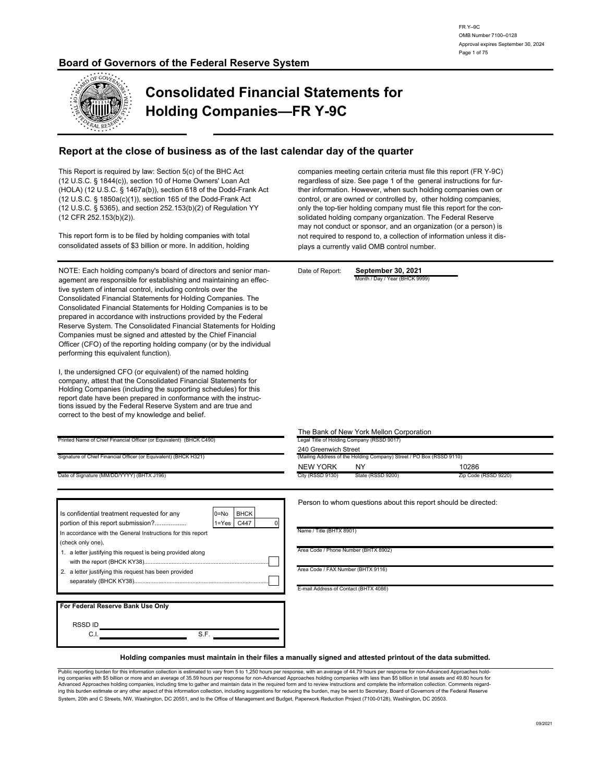### **Board of Governors of the Federal Reserve System**



# **Consolidated Financial Statements for Holding Companies—FR Y-9C**

## **Report at the close of business as of the last calendar day of the quarter**

(12 CFR 252.153(b)(2)). (HOLA) (12 U.S.C. § 1467a(b)), section 618 of the Dodd-Frank Act (12 U.S.C. § 1850a(c)(1)), section 165 of the Dodd-Frank Act This Report is required by law: Section 5(c) of the BHC Act (12 U.S.C. § 1844(c)), section 10 of Home Owners' Loan Act (12 U.S.C. § 5365), and section 252.153(b)(2) of Regulation YY

consolidated assets of \$3 billion or more. In addition, holding This report form is to be filed by holding companies with total

Officer (CFO) of the reporting holding company (or by the individual tive system of internal control, including controls over the performing this equivalent function). prepared in accordance with instructions provided by the Federal Consolidated Financial Statements for Holding Companies. The Reserve System. The Consolidated Financial Statements for Holding NOTE: Each holding company's board of directors and senior management are responsible for establishing and maintaining an effec-Companies must be signed and attested by the Chief Financial Consolidated Financial Statements for Holding Companies is to be

Holding Companies (including the supporting schedules) for this correct to the best of my knowledge and belief. report date have been prepared in conformance with the instruccompany, attest that the Consolidated Financial Statements for tions issued by the Federal Reserve System and are true and I, the undersigned CFO (or equivalent) of the named holding

control, or are owned or controlled by, other holding companies, may not conduct or sponsor, and an organization (or a person) is only the top-tier holding company must file this report for the connot required to respond to, a collection of information unless it dissolidated holding company organization. The Federal Reserve companies meeting certain criteria must file this report (FR Y-9C) regardless of size. See page 1 of the general instructions for fur ther information. However, when such holding companies own or plays a currently valid OMB control number.

nth / Day / Year (BHCK 9999

The Bank of New York Mellon Corporation<br>Legal Title of Holding Company (RSSD 9017)

Date of Report: **September 30, 2021**

|                                                                     | <u>THE DATIN OF NEW TOIN METOLI CO</u>     |
|---------------------------------------------------------------------|--------------------------------------------|
| Printed Name of Chief Financial Officer (or Equivalent) (BHCK C490) | Legal Title of Holding Company (RSSD 9017) |
|                                                                     |                                            |

Signature of Chief Financial Officer (or Equivalent) (BHCK H321)

| Date of Signature (MM/DD/YYYY) (BHTX J196) |  |
|--------------------------------------------|--|

|                                                             |                         | Person to whom questions ab           |
|-------------------------------------------------------------|-------------------------|---------------------------------------|
| Is confidential treatment requested for any                 | <b>BHCK</b><br>$0 = No$ |                                       |
| portion of this report submission?                          | C447<br>$1 = Yes$       |                                       |
| In accordance with the General Instructions for this report |                         | Name / Title (BHTX 8901)              |
| (check only one),                                           |                         |                                       |
| 1. a letter justifying this request is being provided along |                         | Area Code / Phone Number (BHTX 8902)  |
|                                                             |                         |                                       |
| 2. a letter justifying this request has been provided       |                         | Area Code / FAX Number (BHTX 9116)    |
|                                                             |                         |                                       |
|                                                             |                         | E-mail Address of Contact (BHTX 4086) |
|                                                             |                         |                                       |
| For Federal Reserve Bank Use Only                           |                         |                                       |
|                                                             |                         |                                       |
| RSSD ID                                                     |                         |                                       |
| S.F.<br>C.I                                                 |                         |                                       |

| olynature of Griller Financial Officer (or Equivalent) (Dri OK HOZ F) | (Malling Address of the Holding Company) Street / TO Dox (1199D 3110) |                   |                      |  |  |
|-----------------------------------------------------------------------|-----------------------------------------------------------------------|-------------------|----------------------|--|--|
|                                                                       | <b>NEW YORK</b>                                                       | <b>NY</b>         | 10286                |  |  |
| Date of Signature (MM/DD/YYYY) (BHTX J196)                            | City (RSSD 9130)                                                      | State (RSSD 9200) | Zip Code (RSSD 9220) |  |  |
|                                                                       |                                                                       |                   |                      |  |  |

bout this report should be directed:

240 Greenwich Street

#### **Holding companies must maintain in their files a manually signed and attested printout of the data submitted.**

System, 20th and C Streets, NW, Washington, DC 20551, and to the Office of Management and Budget, Paperwork Reduction Project (7100-0128), Washington, DC 20503. ing this burden estimate or any other aspect of this information collection, including suggestions for reducing the burden, may be sent to Secretary, Board of Governors of the Federal Reserve ing companies with \$5 billion or more and an average of 35.59 hours per response for non-Advanced Approaches holding companies with less than \$5 billion in total assets and 49.80 hours for<br>Advanced Approaches holding compa Public reporting burden for this information collection is estimated to vary from 5 to 1,250 hours per response, with an average of 44.79 hours per response for non-Advanced Approaches hold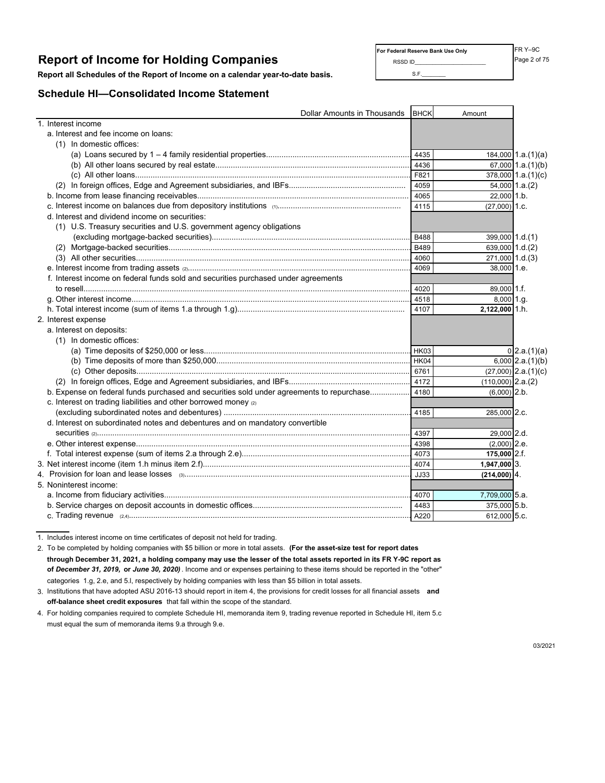# **Report of Income for Holding Companies** Report **of Income for Holding Companies**

**Report all Schedules of the Report of Income on a calendar year-to-date basis.** S.F.

### **Schedule HI—Consolidated Income Statement**

FR Y–9C **For Federal Reserve Bank Use Only**

| Dollar Amounts in Thousands                                                              | BHCK             | Amount                   |
|------------------------------------------------------------------------------------------|------------------|--------------------------|
| 1. Interest income                                                                       |                  |                          |
| a. Interest and fee income on loans:                                                     |                  |                          |
| (1) In domestic offices:                                                                 |                  |                          |
|                                                                                          | 4435             | $184,000$ 1.a. $(1)(a)$  |
|                                                                                          | 4436             | 67,000 $1.a.(1)(b)$      |
|                                                                                          | F821             | 378,000 1.a.(1)(c)       |
|                                                                                          | 4059             | 54,000 1.a.(2)           |
|                                                                                          | 4065             | 22,000 1.b.              |
|                                                                                          | 4115             | $(27,000)$ 1.c.          |
| d. Interest and dividend income on securities:                                           |                  |                          |
| (1) U.S. Treasury securities and U.S. government agency obligations                      |                  |                          |
|                                                                                          | B488             | 399,000 1.d.(1)          |
|                                                                                          | B489             | 639,000 1.d.(2)          |
|                                                                                          | 4060             | 271,000 1.d.(3)          |
|                                                                                          | 4069             | 38,000 1.e.              |
| f. Interest income on federal funds sold and securities purchased under agreements       |                  |                          |
|                                                                                          | 4020             | $89,000$ 1.f.            |
|                                                                                          | 4518             | $8,000$ 1.g.             |
|                                                                                          | 4107             | 2,122,000 1.h.           |
| 2. Interest expense                                                                      |                  |                          |
| a. Interest on deposits:                                                                 |                  |                          |
| (1) In domestic offices:                                                                 |                  |                          |
|                                                                                          | <b>HK03</b>      | $0$ 2.a.(1)(a)           |
|                                                                                          | H <sub>K04</sub> | $6,000$ 2.a. $(1)(b)$    |
|                                                                                          |                  | $(27,000)$ 2.a. $(1)(c)$ |
|                                                                                          |                  | $(110,000)$ 2.a. $(2)$   |
| b. Expense on federal funds purchased and securities sold under agreements to repurchase | 4180             | $(6,000)$ 2.b.           |
| c. Interest on trading liabilities and other borrowed money (2)                          |                  |                          |
|                                                                                          | 4185             | 285,000 2.c.             |
| d. Interest on subordinated notes and debentures and on mandatory convertible            |                  |                          |
|                                                                                          | 4397             | 29.000 2.d.              |
|                                                                                          | 4398             | $(2,000)$ 2.e.           |
|                                                                                          | 4073             | 175,000 2.f.             |
|                                                                                          | 4074             | $1,947,000$ 3.           |
|                                                                                          | JJ33             | $(214,000)$ 4.           |
| 5. Noninterest income:                                                                   |                  |                          |
|                                                                                          | 4070             | 7,709,000 5.a.           |
|                                                                                          | 4483             | 375,000 5.b.             |
|                                                                                          |                  | 612,000 5.c.             |
|                                                                                          |                  |                          |

1. Includes interest income on time certificates of deposit not held for trading.

2. To be completed by holding companies with \$5 billion or more in total assets. **(For the asset-size test for report dates through December 31, 2021, a holding company may use the lesser of the total assets reported in its FR Y-9C report as of** *December 31, 2019,* **or** *June 30, 2020)* . Income and or expenses pertaining to these items should be reported in the "other" categories 1.g, 2.e, and 5.l, respectively by holding companies with less than \$5 billion in total assets.

3. Institutions that have adopted ASU 2016-13 should report in item 4, the provisions for credit losses for all financial assets **and off-balance sheet credit exposures** that fall within the scope of the standard.

4. For holding companies required to complete Schedule HI, memoranda item 9, trading revenue reported in Schedule HI, item 5.cmust equal the sum of memoranda items 9.a through 9.e.

03/2021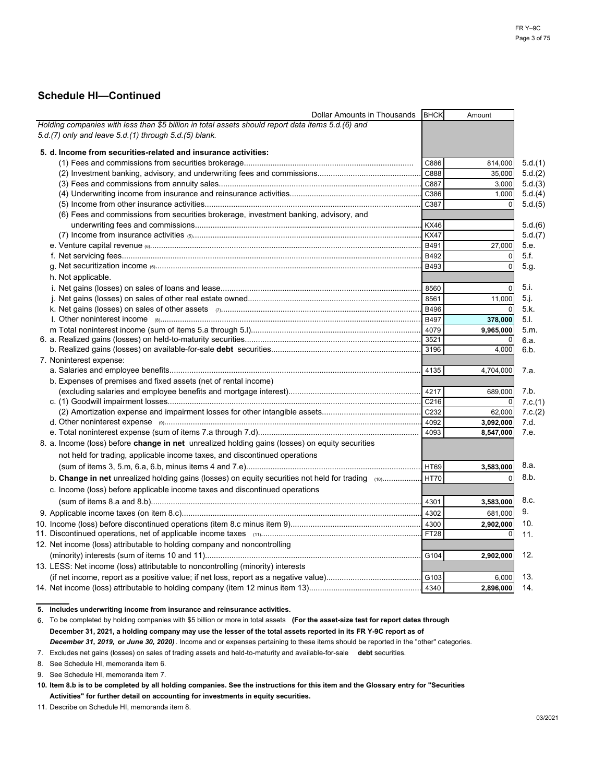| Dollar Amounts in Thousands                                                                            | <b>BHCK</b> | Amount       |         |
|--------------------------------------------------------------------------------------------------------|-------------|--------------|---------|
| Holding companies with less than \$5 billion in total assets should report data items 5.d.(6) and      |             |              |         |
| 5.d.(7) only and leave 5.d.(1) through 5.d.(5) blank.                                                  |             |              |         |
| 5. d. Income from securities-related and insurance activities:                                         |             |              |         |
|                                                                                                        |             |              |         |
|                                                                                                        | C886        | 814,000      | 5.d.(1) |
|                                                                                                        | C888        | 35,000       | 5.d.(2) |
|                                                                                                        |             | 3,000        | 5.d.(3) |
|                                                                                                        | C386        | 1,000        | 5.d.(4) |
|                                                                                                        | C387        |              | 5.d.(5) |
| (6) Fees and commissions from securities brokerage, investment banking, advisory, and                  |             |              |         |
|                                                                                                        | <b>KX46</b> |              | 5.d.(6) |
|                                                                                                        |             |              | 5.d.(7) |
|                                                                                                        |             | 27,000       | 5.e.    |
|                                                                                                        | B492        | $\mathbf 0$  | 5.f.    |
|                                                                                                        | <b>B493</b> | $\Omega$     | 5.g.    |
| h. Not applicable.                                                                                     |             |              |         |
|                                                                                                        | 8560        | $\mathbf{0}$ | 5.1.    |
|                                                                                                        |             | 11,000       | 5.j.    |
|                                                                                                        |             |              | 5.k.    |
|                                                                                                        |             | 378,000      | 5.1.    |
|                                                                                                        |             | 9,965,000    | 5.m.    |
|                                                                                                        |             |              | 6.a.    |
|                                                                                                        | 3196        | 4,000        | 6.b.    |
| 7. Noninterest expense:                                                                                |             |              |         |
|                                                                                                        | 4135        | 4,704,000    | 7.a.    |
| b. Expenses of premises and fixed assets (net of rental income)                                        |             |              |         |
|                                                                                                        | 4217        | 689,000      | 7.b.    |
|                                                                                                        |             |              | 7.c.(1) |
|                                                                                                        |             | 62,000       | 7.c.(2) |
|                                                                                                        |             | 3,092,000    | 7.d.    |
|                                                                                                        | 4093        | 8,547,000    | 7.e.    |
| 8. a. Income (loss) before change in net unrealized holding gains (losses) on equity securities        |             |              |         |
| not held for trading, applicable income taxes, and discontinued operations                             |             |              |         |
|                                                                                                        |             |              |         |
|                                                                                                        |             | 3,583,000    | 8.a.    |
| b. Change in net unrealized holding gains (losses) on equity securities not held for trading (10) HT70 |             | $\Omega$     | 8.b.    |
| c. Income (loss) before applicable income taxes and discontinued operations                            |             |              |         |
|                                                                                                        |             | 3,583,000    | 8.c.    |
|                                                                                                        |             | 681,000      | 9.      |
|                                                                                                        |             | 2,902,000    | 10.     |
|                                                                                                        | FT28        | 0            | 11.     |
| 12. Net income (loss) attributable to holding company and noncontrolling                               |             |              |         |
|                                                                                                        | G104        | 2,902,000    | 12.     |
| 13. LESS: Net income (loss) attributable to noncontrolling (minority) interests                        |             |              |         |
|                                                                                                        |             |              | 13.     |
|                                                                                                        |             | 6,000        |         |
|                                                                                                        |             | 2.896.000    | 14.     |

**5. Includes underwriting income from insurance and reinsurance activities.**

6. To be completed by holding companies with \$5 billion or more in total assets **(For the asset-size test for report dates through December 31, 2021, a holding company may use the lesser of the total assets reported in its FR Y-9C report as of** *December 31, 2019,* **or** *June 30, 2020)* . Income and or expenses pertaining to these items should be reported in the "other" categories.

7. Excludes net gains (losses) on sales of trading assets and held-to-maturity and available-for-sale **debt** securities.

8. See Schedule HI, memoranda item 6.

9. See Schedule HI, memoranda item 7.

11. Describe on Schedule HI, memoranda item 8.

**<sup>10.</sup> Item 8.b is to be completed by all holding companies. See the instructions for this item and the Glossary entry for "Securities Activities" for further detail on accounting for investments in equity securities.**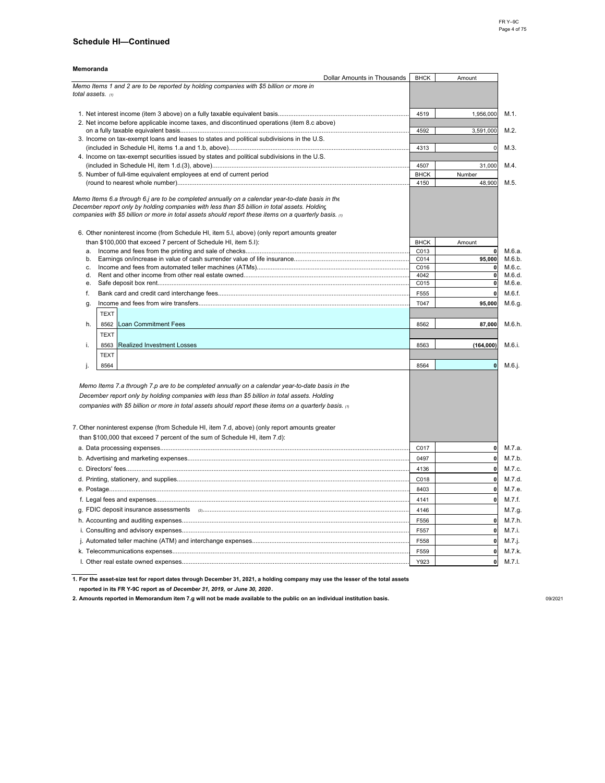| Memoranda                                                                                                                                                                                        |             |              |
|--------------------------------------------------------------------------------------------------------------------------------------------------------------------------------------------------|-------------|--------------|
| Dollar Amounts in Thousands                                                                                                                                                                      | <b>BHCK</b> | Amount       |
| Memo Items 1 and 2 are to be reported by holding companies with \$5 billion or more in<br>total assets. (1)                                                                                      |             |              |
|                                                                                                                                                                                                  |             |              |
|                                                                                                                                                                                                  | 4519        | 1,956,000    |
| 2. Net income before applicable income taxes, and discontinued operations (item 8.c above)                                                                                                       |             |              |
|                                                                                                                                                                                                  | 4592        | 3,591,000    |
| 3. Income on tax-exempt loans and leases to states and political subdivisions in the U.S.                                                                                                        |             |              |
|                                                                                                                                                                                                  | 4313        | $\mathbf 0$  |
| 4. Income on tax-exempt securities issued by states and political subdivisions in the U.S.                                                                                                       |             |              |
|                                                                                                                                                                                                  | 4507        | 31,000       |
| 5. Number of full-time equivalent employees at end of current period                                                                                                                             | <b>BHCK</b> | Number       |
|                                                                                                                                                                                                  | 4150        | 48,900       |
|                                                                                                                                                                                                  |             |              |
| Memo Items 6.a through 6.j are to be completed annually on a calendar year-to-date basis in the<br>December report only by holding companies with less than \$5 billion in total assets. Holding |             |              |
| companies with \$5 billion or more in total assets should report these items on a quarterly basis. $\omega$                                                                                      |             |              |
|                                                                                                                                                                                                  |             |              |
| 6. Other noninterest income (from Schedule HI, item 5.I, above) (only report amounts greater                                                                                                     |             |              |
| than \$100,000 that exceed 7 percent of Schedule HI, item 5.I):                                                                                                                                  | <b>BHCK</b> | Amount       |
| a.                                                                                                                                                                                               | C013        | $\Omega$     |
| b.                                                                                                                                                                                               | C014        | 95,000       |
| C.                                                                                                                                                                                               | C016        | $\mathbf{0}$ |
| d.                                                                                                                                                                                               | 4042        | $\mathbf{0}$ |
| e.                                                                                                                                                                                               | C015        | $\mathbf 0$  |
| f.                                                                                                                                                                                               | F555        | $\mathbf{0}$ |
| g.                                                                                                                                                                                               | T047        | 95,000       |
| <b>TEXT</b>                                                                                                                                                                                      |             |              |
| h.<br>8562<br><b>Loan Commitment Fees</b>                                                                                                                                                        | 8562        | 87,000       |
| <b>TEXT</b>                                                                                                                                                                                      |             |              |
| <b>Realized Investment Losses</b><br>i.<br>8563                                                                                                                                                  | 8563        | (164,000)    |
| <b>TEXT</b>                                                                                                                                                                                      |             |              |
|                                                                                                                                                                                                  |             |              |
| 8564<br>j.                                                                                                                                                                                       | 8564        | $\mathbf{0}$ |
|                                                                                                                                                                                                  |             |              |
| Memo Items 7.a through 7.p are to be completed annually on a calendar year-to-date basis in the                                                                                                  |             |              |
| December report only by holding companies with less than \$5 billion in total assets. Holding                                                                                                    |             |              |
| companies with \$5 billion or more in total assets should report these items on a quarterly basis. (1)                                                                                           |             |              |
|                                                                                                                                                                                                  |             |              |
| 7. Other noninterest expense (from Schedule HI, item 7.d, above) (only report amounts greater                                                                                                    |             |              |
| than \$100,000 that exceed 7 percent of the sum of Schedule HI, item 7.d):                                                                                                                       |             |              |
|                                                                                                                                                                                                  | C017        | $\mathbf{0}$ |
|                                                                                                                                                                                                  | 0497        | $\mathbf{0}$ |
|                                                                                                                                                                                                  |             |              |
|                                                                                                                                                                                                  | 4136        | $\mathbf{0}$ |
|                                                                                                                                                                                                  | C018        | $\mathbf{0}$ |
|                                                                                                                                                                                                  | 8403        | $\mathbf 0$  |
|                                                                                                                                                                                                  | 4141        | $\mathbf 0$  |
|                                                                                                                                                                                                  | 4146        |              |
|                                                                                                                                                                                                  | F556        | $\mathbf{0}$ |
|                                                                                                                                                                                                  | F557        | $\mathbf{o}$ |
|                                                                                                                                                                                                  |             | $\mathbf 0$  |
|                                                                                                                                                                                                  | F558        |              |
|                                                                                                                                                                                                  | F559        | $\mathbf{0}$ |
|                                                                                                                                                                                                  | Y923        | $\mathbf{0}$ |

**1. For the asset-size test for report dates through December 31, 2021, a holding company may use the lesser of the total assets**

**reported in its FR Y-9C report as of** *December 31, 2019,* **or** *June 30, 2020* **.**

**2. Amounts reported in Memorandum item 7.g will not be made available to the public on an individual institution basis.** 09/2021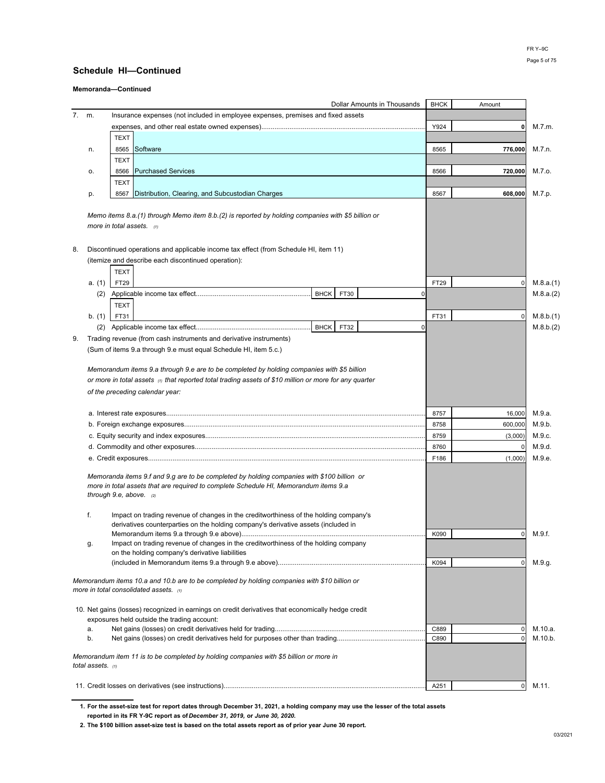**Memoranda—Continued**

|       |                     | Dollar Amounts in Thousands                                                                                                                                                                                     | <b>BHCK</b> | Amount       |           |
|-------|---------------------|-----------------------------------------------------------------------------------------------------------------------------------------------------------------------------------------------------------------|-------------|--------------|-----------|
| 7. m. |                     | Insurance expenses (not included in employee expenses, premises and fixed assets                                                                                                                                |             |              |           |
|       |                     |                                                                                                                                                                                                                 | Y924        |              | M.7.m.    |
|       |                     | <b>TEXT</b>                                                                                                                                                                                                     |             |              |           |
|       | n.                  | Software<br>8565                                                                                                                                                                                                | 8565        | 776.000      | M.7.n.    |
|       |                     | <b>TEXT</b>                                                                                                                                                                                                     |             |              |           |
|       | о.                  | <b>Purchased Services</b><br>8566                                                                                                                                                                               | 8566        | 720,000      | M.7.0.    |
|       |                     | <b>TEXT</b>                                                                                                                                                                                                     |             |              |           |
|       | p.                  | Distribution, Clearing, and Subcustodian Charges<br>8567                                                                                                                                                        | 8567        | 608,000      | M.7.p.    |
|       |                     | Memo items 8.a.(1) through Memo item 8.b.(2) is reported by holding companies with \$5 billion or                                                                                                               |             |              |           |
|       |                     | more in total assets. $(1)$                                                                                                                                                                                     |             |              |           |
| 8.    |                     | Discontinued operations and applicable income tax effect (from Schedule HI, item 11)                                                                                                                            |             |              |           |
|       |                     | (itemize and describe each discontinued operation):                                                                                                                                                             |             |              |           |
|       |                     | <b>TEXT</b>                                                                                                                                                                                                     |             |              |           |
|       | a. (1)              | FT29                                                                                                                                                                                                            | FT29        |              | M.8.a.(1) |
|       | (2)                 | <b>BHCK</b><br>FT30<br>$\Omega$                                                                                                                                                                                 |             |              | M.8.a.(2) |
|       |                     | <b>TEXT</b>                                                                                                                                                                                                     |             |              |           |
|       | b. (1)              | FT31                                                                                                                                                                                                            | FT31        |              | M.8.b.(1) |
|       | (2)                 | <b>BHCK</b><br>FT32                                                                                                                                                                                             | 0           |              | M.8.b.(2) |
| 9.    |                     | Trading revenue (from cash instruments and derivative instruments)                                                                                                                                              |             |              |           |
|       |                     | (Sum of items 9.a through 9.e must equal Schedule HI, item 5.c.)                                                                                                                                                |             |              |           |
|       |                     |                                                                                                                                                                                                                 |             |              |           |
|       |                     | Memorandum items 9.a through 9.e are to be completed by holding companies with \$5 billion                                                                                                                      |             |              |           |
|       |                     | or more in total assets (1) that reported total trading assets of \$10 million or more for any quarter                                                                                                          |             |              |           |
|       |                     | of the preceding calendar year:                                                                                                                                                                                 |             |              |           |
|       |                     |                                                                                                                                                                                                                 |             |              |           |
|       |                     |                                                                                                                                                                                                                 | 8757        | 16,000       | M.9.a.    |
|       |                     |                                                                                                                                                                                                                 | 8758        | 600,000      | M.9.b.    |
|       |                     |                                                                                                                                                                                                                 | 8759        | (3,000)      | M.9.c.    |
|       |                     |                                                                                                                                                                                                                 | 8760        |              | M.9.d.    |
|       |                     |                                                                                                                                                                                                                 | F186        | (1,000)      | M.9.e.    |
|       |                     | Memoranda items 9.f and 9.g are to be completed by holding companies with \$100 billion or<br>more in total assets that are required to complete Schedule HI, Memorandum items 9.a<br>through 9.e, above. $(2)$ |             |              |           |
|       | f.                  | Impact on trading revenue of changes in the creditworthiness of the holding company's                                                                                                                           |             |              |           |
|       |                     | derivatives counterparties on the holding company's derivative assets (included in                                                                                                                              | K090        | 0            | M.9.f.    |
|       | g.                  | Impact on trading revenue of changes in the creditworthiness of the holding company                                                                                                                             |             |              |           |
|       |                     | on the holding company's derivative liabilities                                                                                                                                                                 |             |              |           |
|       |                     |                                                                                                                                                                                                                 | K094        | 0            | M.9.g.    |
|       |                     | Memorandum items 10.a and 10.b are to be completed by holding companies with \$10 billion or<br>more in total consolidated assets. (1)                                                                          |             |              |           |
|       |                     | 10. Net gains (losses) recognized in earnings on credit derivatives that economically hedge credit<br>exposures held outside the trading account:                                                               |             |              |           |
|       | a.                  |                                                                                                                                                                                                                 | C889        | O            | M.10.a.   |
|       | b.                  |                                                                                                                                                                                                                 | C890        |              | M.10.b.   |
|       | total assets. $(1)$ | Memorandum item 11 is to be completed by holding companies with \$5 billion or more in                                                                                                                          |             |              |           |
|       |                     |                                                                                                                                                                                                                 | A251        | $\mathbf{0}$ | M.11.     |
|       |                     |                                                                                                                                                                                                                 |             |              |           |

**1. For the asset-size test for report dates through December 31, 2021, a holding company may use the lesser of the total assets reported in its FR Y-9C report as of** *December 31, 2019,* **or** *June 30, 2020.*

**2. The \$100 billion asset-size test is based on the total assets report as of prior year June 30 report.**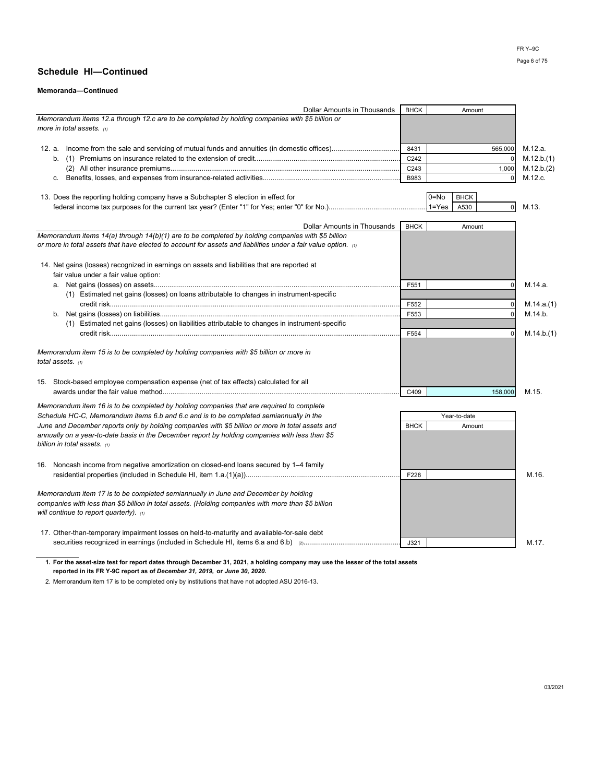#### **Memoranda—Continued**

| Dollar Amounts in Thousands                                                                                    | <b>BHCK</b>      |           | Amount       |             |            |
|----------------------------------------------------------------------------------------------------------------|------------------|-----------|--------------|-------------|------------|
| Memorandum items 12.a through 12.c are to be completed by holding companies with \$5 billion or                |                  |           |              |             |            |
| more in total assets. $\omega$                                                                                 |                  |           |              |             |            |
|                                                                                                                |                  |           |              |             |            |
|                                                                                                                | 8431             |           |              | 565,000     | M.12.a.    |
|                                                                                                                | C <sub>242</sub> |           |              | $\mathbf 0$ | M.12.b.(1) |
|                                                                                                                | C243             |           |              | 1,000       | M.12.b.(2) |
|                                                                                                                | B983             |           |              | 0           | M.12.c.    |
|                                                                                                                |                  |           |              |             |            |
| 13. Does the reporting holding company have a Subchapter S election in effect for                              |                  | $0 = No$  | <b>BHCK</b>  |             |            |
|                                                                                                                |                  | $1 = Yes$ | A530         | $\mathbf 0$ | M.13.      |
|                                                                                                                |                  |           |              |             |            |
| <b>Dollar Amounts in Thousands</b>                                                                             | <b>BHCK</b>      |           | Amount       |             |            |
| Memorandum items 14(a) through 14(b)(1) are to be completed by holding companies with \$5 billion              |                  |           |              |             |            |
| or more in total assets that have elected to account for assets and liabilities under a fair value option. (1) |                  |           |              |             |            |
|                                                                                                                |                  |           |              |             |            |
| 14. Net gains (losses) recognized in earnings on assets and liabilities that are reported at                   |                  |           |              |             |            |
| fair value under a fair value option:                                                                          |                  |           |              |             |            |
|                                                                                                                | F551             |           |              | 0           | M.14.a.    |
| (1) Estimated net gains (losses) on loans attributable to changes in instrument-specific                       |                  |           |              |             |            |
|                                                                                                                | F552             |           |              | 0           | M.14.a.(1) |
|                                                                                                                | F553             |           |              | $\mathbf 0$ | M.14.b.    |
| (1) Estimated net gains (losses) on liabilities attributable to changes in instrument-specific                 |                  |           |              |             |            |
|                                                                                                                | F554             |           |              | 0           | M.14.b.(1) |
|                                                                                                                |                  |           |              |             |            |
| Memorandum item 15 is to be completed by holding companies with \$5 billion or more in                         |                  |           |              |             |            |
| total assets. $(1)$                                                                                            |                  |           |              |             |            |
|                                                                                                                |                  |           |              |             |            |
| 15. Stock-based employee compensation expense (net of tax effects) calculated for all                          |                  |           |              |             |            |
|                                                                                                                | C409             |           |              | 158,000     | M.15.      |
| Memorandum item 16 is to be completed by holding companies that are required to complete                       |                  |           |              |             |            |
| Schedule HC-C, Memorandum items 6.b and 6.c and is to be completed semiannually in the                         |                  |           | Year-to-date |             |            |
| June and December reports only by holding companies with \$5 billion or more in total assets and               | <b>BHCK</b>      |           | Amount       |             |            |
| annually on a year-to-date basis in the December report by holding companies with less than \$5                |                  |           |              |             |            |
| billion in total assets. $(1)$                                                                                 |                  |           |              |             |            |
|                                                                                                                |                  |           |              |             |            |
| 16. Noncash income from negative amortization on closed-end loans secured by 1–4 family                        |                  |           |              |             |            |
|                                                                                                                | F228             |           |              |             | M.16.      |
|                                                                                                                |                  |           |              |             |            |
| Memorandum item 17 is to be completed semiannually in June and December by holding                             |                  |           |              |             |            |
| companies with less than \$5 billion in total assets. (Holding companies with more than \$5 billion            |                  |           |              |             |            |
| will continue to report quarterly). $\alpha$                                                                   |                  |           |              |             |            |
|                                                                                                                |                  |           |              |             |            |
| 17. Other-than-temporary impairment losses on held-to-maturity and available-for-sale debt                     |                  |           |              |             |            |
|                                                                                                                | J321             |           |              |             | M.17.      |

**1. For the asset-size test for report dates through December 31, 2021, a holding company may use the lesser of the total assets reported in its FR Y-9C report as of** *December 31, 2019,* **or** *June 30, 2020.*

2. Memorandum item 17 is to be completed only by institutions that have not adopted ASU 2016-13.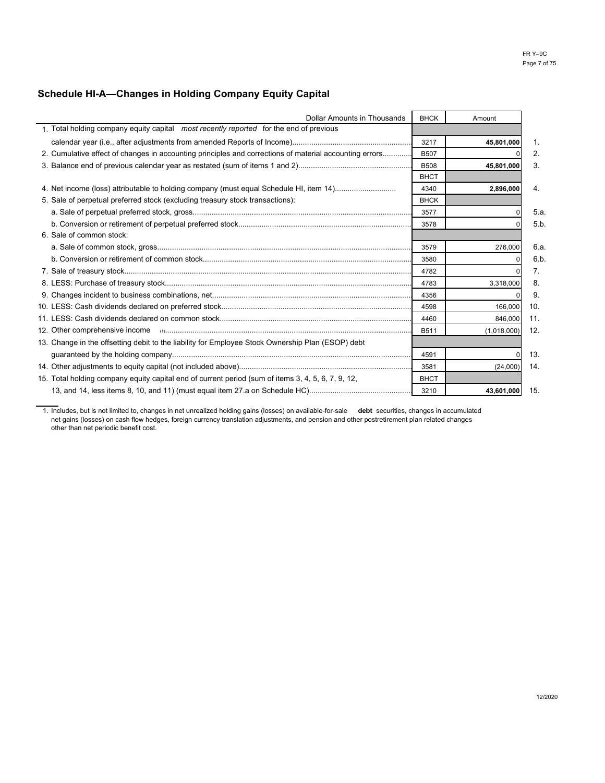# **Schedule HI-A—Changes in Holding Company Equity Capital**

| <b>Dollar Amounts in Thousands</b>                                                                     | <b>BHCK</b> |             |      |
|--------------------------------------------------------------------------------------------------------|-------------|-------------|------|
|                                                                                                        |             | Amount      |      |
| 1. Total holding company equity capital most recently reported for the end of previous                 |             |             |      |
|                                                                                                        | 3217        | 45,801,000  |      |
| 2. Cumulative effect of changes in accounting principles and corrections of material accounting errors | <b>B507</b> |             | 2.   |
|                                                                                                        | <b>B508</b> | 45,801,000  | 3.   |
|                                                                                                        | <b>BHCT</b> |             |      |
|                                                                                                        | 4340        | 2,896,000   | 4.   |
| 5. Sale of perpetual preferred stock (excluding treasury stock transactions):                          | <b>BHCK</b> |             |      |
|                                                                                                        | 3577        |             | 5.a. |
|                                                                                                        | 3578        |             | 5.b. |
| 6. Sale of common stock:                                                                               |             |             |      |
|                                                                                                        | 3579        | 276,000     | 6.a. |
|                                                                                                        | 3580        |             | 6.b. |
|                                                                                                        | 4782        |             |      |
|                                                                                                        | 4783        | 3,318,000   | 8.   |
|                                                                                                        | 4356        |             | 9    |
|                                                                                                        | 4598        | 166,000     | 10.  |
|                                                                                                        | 4460        | 846,000     | 11.  |
|                                                                                                        | <b>B511</b> | (1,018,000) | -12. |
| 13. Change in the offsetting debit to the liability for Employee Stock Ownership Plan (ESOP) debt      |             |             |      |
|                                                                                                        | 4591        |             | 13.  |
|                                                                                                        | 3581        | (24,000)    | 14.  |
| 15. Total holding company equity capital end of current period (sum of items 3, 4, 5, 6, 7, 9, 12,     | <b>BHCT</b> |             |      |
|                                                                                                        | 3210        | 43,601,000  | 15.  |

1. Includes, but is not limited to, changes in net unrealized holding gains (losses) on available-for-sale **debt** securities, changes in accumulated net gains (losses) on cash flow hedges, foreign currency translation adjustments, and pension and other postretirement plan related changes other than net periodic benefit cost.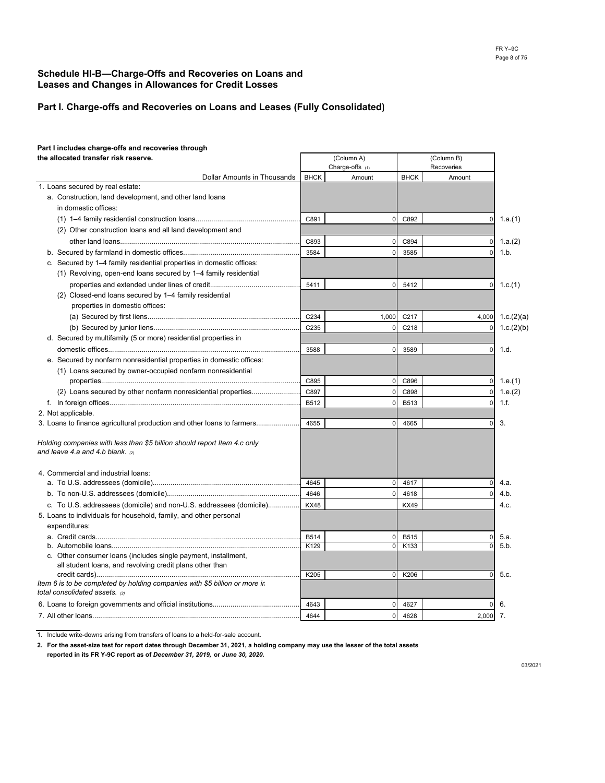### **Schedule HI-B—Charge-Offs and Recoveries on Loans and Leases and Changes in Allowances for Credit Losses**

### **Part I. Charge-offs and Recoveries on Loans and Leases (Fully Consolidated)**

#### **Part I includes charge-offs and recoveries through the allocated transfer risk reserve.**

| the allocated transfer risk reserve.                                                                                       | (Column A)<br>Charge-offs (1) |                | (Column B)<br>Recoveries |                |            |
|----------------------------------------------------------------------------------------------------------------------------|-------------------------------|----------------|--------------------------|----------------|------------|
| Dollar Amounts in Thousands                                                                                                | <b>BHCK</b>                   | Amount         | <b>BHCK</b>              | Amount         |            |
| 1. Loans secured by real estate:                                                                                           |                               |                |                          |                |            |
| a. Construction, land development, and other land loans                                                                    |                               |                |                          |                |            |
| in domestic offices:                                                                                                       |                               |                |                          |                |            |
|                                                                                                                            | C891                          | $\mathbf 0$    | C892                     | $\pmb{0}$      | 1.a.(1)    |
| (2) Other construction loans and all land development and                                                                  |                               |                |                          |                |            |
|                                                                                                                            | C893                          | $\mathbf 0$    | C894                     | $\mathbf 0$    | 1.a.(2)    |
|                                                                                                                            | 3584                          | $\mathbf 0$    | 3585                     | 0              | 1.b.       |
| c. Secured by 1-4 family residential properties in domestic offices:                                                       |                               |                |                          |                |            |
| (1) Revolving, open-end loans secured by 1–4 family residential                                                            |                               |                |                          |                |            |
|                                                                                                                            | 5411                          | $\mathbf 0$    | 5412                     | 0              | 1.c.(1)    |
| (2) Closed-end loans secured by 1-4 family residential                                                                     |                               |                |                          |                |            |
| properties in domestic offices:                                                                                            |                               |                |                          |                |            |
|                                                                                                                            | C <sub>234</sub>              | 1,000          | C <sub>217</sub>         | 4,000          | 1.c.(2)(a) |
|                                                                                                                            | C235                          | $\mathbf 0$    | C218                     | 0              | 1.c.(2)(b) |
| d. Secured by multifamily (5 or more) residential properties in                                                            |                               |                |                          |                |            |
|                                                                                                                            | 3588                          | $\mathbf 0$    | 3589                     | 0              | 1.d.       |
| e. Secured by nonfarm nonresidential properties in domestic offices:                                                       |                               |                |                          |                |            |
| (1) Loans secured by owner-occupied nonfarm nonresidential                                                                 |                               |                |                          |                |            |
|                                                                                                                            | C895                          | $\overline{0}$ | C896                     | $\overline{0}$ | 1.e.(1)    |
| (2) Loans secured by other nonfarm nonresidential properties                                                               | C897                          | $\mathbf 0$    | C898                     | $\pmb{0}$      | 1.e.(2)    |
|                                                                                                                            | B512                          | $\Omega$       | B513                     | $\mathbf 0$    | 1.f.       |
| 2. Not applicable.                                                                                                         |                               |                |                          |                |            |
| 3. Loans to finance agricultural production and other loans to farmers                                                     | 4655                          | $\Omega$       | 4665                     | 0              | 3.         |
| Holding companies with less than \$5 billion should report Item 4.c only<br>and leave 4.a and 4.b blank. $(2)$             |                               |                |                          |                |            |
| 4. Commercial and industrial loans:                                                                                        |                               |                |                          |                |            |
|                                                                                                                            | 4645                          | $\overline{0}$ | 4617                     | $\mathbf 0$    | 4.a.       |
|                                                                                                                            | 4646                          | $\overline{0}$ | 4618                     | $\mathbf 0$    | 4.b.       |
| c. To U.S. addressees (domicile) and non-U.S. addressees (domicile)                                                        | <b>KX48</b>                   |                | <b>KX49</b>              |                | 4.c.       |
| 5. Loans to individuals for household, family, and other personal<br>expenditures:                                         |                               |                |                          |                |            |
|                                                                                                                            | B514                          | $\mathbf 0$    | B515                     | 0              | 5.a.       |
|                                                                                                                            | K129                          | $\overline{0}$ | K133                     | 0              | 5.b.       |
| c. Other consumer loans (includes single payment, installment,<br>all student loans, and revolving credit plans other than |                               |                |                          |                |            |
|                                                                                                                            | K205                          | $\overline{0}$ | K206                     | $\mathbf 0$    | 5.c.       |
| Item 6 is to be completed by holding companies with \$5 billion or more in<br>total consolidated assets. (2)               |                               |                |                          |                |            |
|                                                                                                                            | 4643                          | $\Omega$       | 4627                     | $\Omega$       | 6.         |
|                                                                                                                            | 4644                          | $\Omega$       | 4628                     | 2.000          | 7.         |

 $\Gamma$ 

1. Include write-downs arising from transfers of loans to a held-for-sale account.

**2. For the asset-size test for report dates through December 31, 2021, a holding company may use the lesser of the total assets reported in its FR Y-9C report as of** *December 31, 2019,* **or** *June 30, 2020.*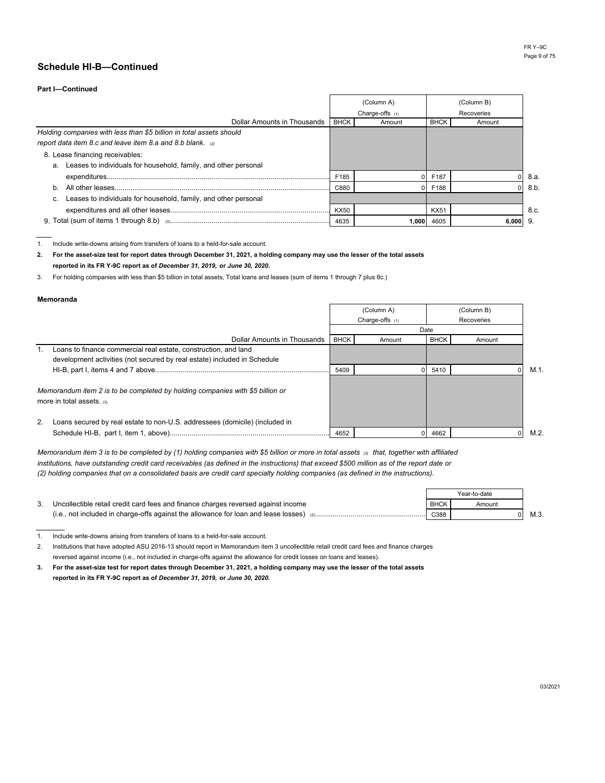#### **Part I—Continued**

|                                                                     |             | (Column A)        |             | (Column B) |      |
|---------------------------------------------------------------------|-------------|-------------------|-------------|------------|------|
|                                                                     |             | Charge-offs $(1)$ |             | Recoveries |      |
| Dollar Amounts in Thousands                                         | <b>BHCK</b> | Amount            | <b>BHCK</b> | Amount     |      |
| Holding companies with less than \$5 billion in total assets should |             |                   |             |            |      |
| report data item 8.c and leave item 8.a and 8.b blank. a            |             |                   |             |            |      |
| 8. Lease financing receivables:                                     |             |                   |             |            |      |
| a. Leases to individuals for household, family, and other personal  |             |                   |             |            |      |
|                                                                     | F185        |                   | F187        | $\Omega$   | 8.a. |
| b.                                                                  | C880        |                   | F188        |            | 8.b. |
| Leases to individuals for household, family, and other personal     |             |                   |             |            |      |
|                                                                     | <b>KX50</b> |                   | <b>KX51</b> |            | 8.c. |
|                                                                     | 4635        |                   | 1,000 4605  | 6,000      | 9.   |

1. Include write-downs arising from transfers of loans to a held-for-sale account.

**2. For the asset-size test for report dates through December 31, 2021, a holding company may use the lesser of the total assets reported in its FR Y-9C report as of** *December 31, 2019,* **or** *June 30, 2020.*

3. For holding companies with less than \$5 billion in total assets, Total loans and leases (sum of items 1 through 7 plus 8c.)

#### **Memoranda**

|                                                                                                                 | (Column A)  |                 |             |        |      |  |  |  |
|-----------------------------------------------------------------------------------------------------------------|-------------|-----------------|-------------|--------|------|--|--|--|
|                                                                                                                 |             | Charge-offs (1) |             |        |      |  |  |  |
|                                                                                                                 | Date        |                 |             |        |      |  |  |  |
| Dollar Amounts in Thousands                                                                                     | <b>BHCK</b> | Amount          | <b>BHCK</b> | Amount |      |  |  |  |
| Loans to finance commercial real estate, construction, and land                                                 |             |                 |             |        |      |  |  |  |
| development activities (not secured by real estate) included in Schedule                                        |             |                 |             |        |      |  |  |  |
|                                                                                                                 | 5409        |                 | 5410        |        | M.1. |  |  |  |
| Memorandum item 2 is to be completed by holding companies with \$5 billion or<br>more in total assets. $\omega$ |             |                 |             |        |      |  |  |  |
| 2.<br>Loans secured by real estate to non-U.S. addressees (domicile) (included in                               |             |                 |             |        |      |  |  |  |
|                                                                                                                 | 4652        |                 | 4662        |        | M.2. |  |  |  |

*Memorandum item 3 is to be completed by (1) holding companies with \$5 billion or more in total assets (3) that, together with affiliated institutions, have outstanding credit card receivables (as defined in the instructions) that exceed \$500 million as of the report date or (2) holding companies that on a consolidated basis are credit card specialty holding companies (as defined in the instructions).*

|                                                                                               |      | Year-to-date |      |
|-----------------------------------------------------------------------------------------------|------|--------------|------|
| Uncollectible retail credit card fees and finance charges reversed against income             | BHCK | Amount       |      |
| (i.e., not included in charge-offs against the allowance for loan and lease losses) $_{(2),}$ | C388 |              | M.3. |

1. Include write-downs arising from transfers of loans to a held-for-sale account.

2. Institutions that have adopted ASU 2016-13 should report in Memorandum item 3 uncollectible retail credit card fees and finance charges reversed against income (i.e., not included in charge-offs against the allowance for credit losses on loans and leases).

**3. For the asset-size test for report dates through December 31, 2021, a holding company may use the lesser of the total assets reported in its FR Y-9C report as of** *December 31, 2019,* **or** *June 30, 2020.*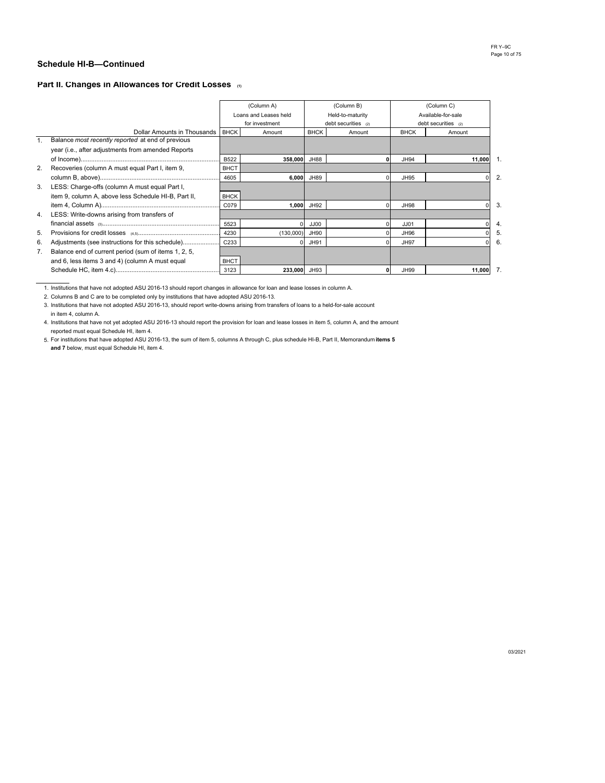### **Part II. Changes in Allowances for Credit Losses (1)**

|    |                                                         |                  | (Column A)            |             | (Column B)            |  |                    | (Column C)            |  |
|----|---------------------------------------------------------|------------------|-----------------------|-------------|-----------------------|--|--------------------|-----------------------|--|
|    |                                                         |                  | Loans and Leases held |             | Held-to-maturity      |  | Available-for-sale |                       |  |
|    |                                                         |                  | for investment        |             | debt securities $(2)$ |  |                    | debt securities $(2)$ |  |
|    | Dollar Amounts in Thousands BHCK                        |                  | Amount                | <b>BHCK</b> | Amount                |  | <b>BHCK</b>        | Amount                |  |
|    | Balance most recently reported at end of previous       |                  |                       |             |                       |  |                    |                       |  |
|    | year (i.e., after adjustments from amended Reports      |                  |                       |             |                       |  |                    |                       |  |
|    |                                                         | <b>B522</b>      | 358,000 JH88          |             |                       |  | <b>JH94</b>        | 11,000                |  |
|    | 2. Recoveries (column A must equal Part I, item 9,      | <b>BHCT</b>      |                       |             |                       |  |                    |                       |  |
|    |                                                         | 4605             | 6,000                 | JH89        |                       |  | <b>JH95</b>        | 0                     |  |
|    | 3. LESS: Charge-offs (column A must equal Part I,       |                  |                       |             |                       |  |                    |                       |  |
|    | item 9, column A, above less Schedule HI-B, Part II,    | <b>BHCK</b>      |                       |             |                       |  |                    |                       |  |
|    |                                                         | C079             | 1,000                 | JH92        |                       |  | <b>JH98</b>        | 0                     |  |
|    | 4. LESS: Write-downs arising from transfers of          |                  |                       |             |                       |  |                    |                       |  |
|    |                                                         | 5523             |                       | JJ00        |                       |  | JJ01               | ŋ                     |  |
| 5. |                                                         | 4230             | (130,000)             | JH90        |                       |  | JH96               |                       |  |
| 6. | Adjustments (see instructions for this schedule)        | C <sub>233</sub> |                       | <b>JH91</b> |                       |  | <b>JH97</b>        |                       |  |
|    | 7. Balance end of current period (sum of items 1, 2, 5, |                  |                       |             |                       |  |                    |                       |  |
|    | and 6, less items 3 and 4) (column A must equal         | <b>BHCT</b>      |                       |             |                       |  |                    |                       |  |
|    |                                                         | 3123             | 233,000 JH93          |             |                       |  | <b>JH99</b>        | 11,000                |  |

1. Institutions that have not adopted ASU 2016-13 should report changes in allowance for loan and lease losses in column A.

2. Columns B and C are to be completed only by institutions that have adopted ASU 2016-13.

3. Institutions that have not adopted ASU 2016-13, should report write-downs arising from transfers of loans to a held-for-sale account in item 4, column A.

4. Institutions that have not yet adopted ASU 2016-13 should report the provision for loan and lease losses in item 5, column A, and the amount reported must equal Schedule HI, item 4.

5. For institutions that have adopted ASU 2016-13, the sum of item 5, columns A through C, plus schedule HI-B, Part II, Memorandum **items 5 and 7** below, must equal Schedule HI, item 4.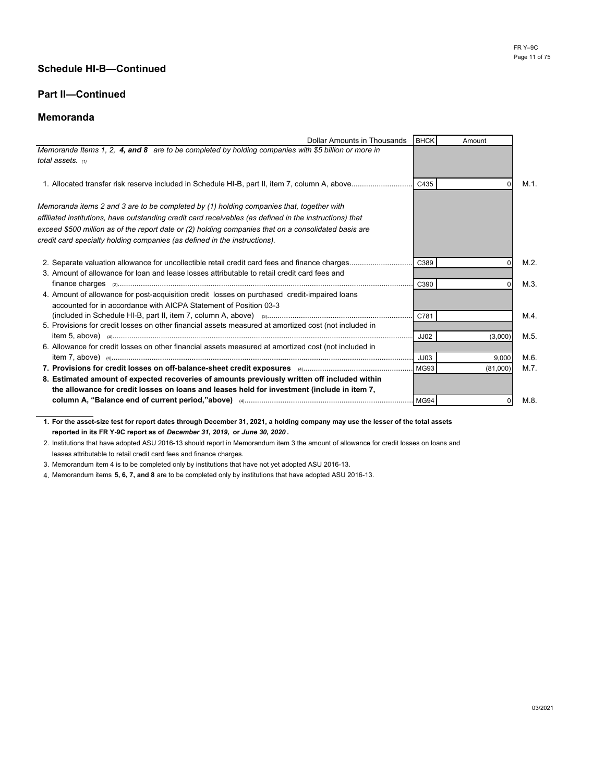## **Part II—Continued**

### **Memoranda**

| Dollar Amounts in Thousands BHCK                                                                        | Amount          |         |
|---------------------------------------------------------------------------------------------------------|-----------------|---------|
| Memoranda Items 1, 2, 4, and 8 are to be completed by holding companies with \$5 billion or more in     |                 |         |
| total assets. (1)                                                                                       |                 |         |
|                                                                                                         |                 |         |
|                                                                                                         |                 | $M.1$ . |
|                                                                                                         |                 |         |
| Memoranda items 2 and 3 are to be completed by (1) holding companies that, together with                |                 |         |
| affiliated institutions, have outstanding credit card receivables (as defined in the instructions) that |                 |         |
| exceed \$500 million as of the report date or (2) holding companies that on a consolidated basis are    |                 |         |
| credit card specialty holding companies (as defined in the instructions).                               |                 |         |
|                                                                                                         |                 |         |
|                                                                                                         |                 | M.2     |
| 3. Amount of allowance for loan and lease losses attributable to retail credit card fees and            |                 |         |
|                                                                                                         |                 | M.3     |
| 4. Amount of allowance for post-acquisition credit losses on purchased credit-impaired loans            |                 |         |
| accounted for in accordance with AICPA Statement of Position 03-3                                       |                 |         |
|                                                                                                         | C781            | M.4     |
| 5. Provisions for credit losses on other financial assets measured at amortized cost (not included in   |                 |         |
|                                                                                                         | JJO2<br>(3,000) | M.5.    |
| 6. Allowance for credit losses on other financial assets measured at amortized cost (not included in    |                 |         |
|                                                                                                         | 9,000<br>JJ03   | M.6.    |
|                                                                                                         | (81,000)        | M.7.    |
| 8. Estimated amount of expected recoveries of amounts previously written off included within            |                 |         |
| the allowance for credit losses on loans and leases held for investment (include in item 7,             |                 |         |
|                                                                                                         |                 | M.8     |

**1. For the asset-size test for report dates through December 31, 2021, a holding company may use the lesser of the total assets reported in its FR Y-9C report as of** *December 31, 2019,* **or** *June 30, 2020* **.**

2. Institutions that have adopted ASU 2016-13 should report in Memorandum item 3 the amount of allowance for credit losses on loans and leases attributable to retail credit card fees and finance charges.

3. Memorandum item 4 is to be completed only by institutions that have not yet adopted ASU 2016-13.

4. Memorandum items **5, 6, 7, and 8** are to be completed only by institutions that have adopted ASU 2016-13.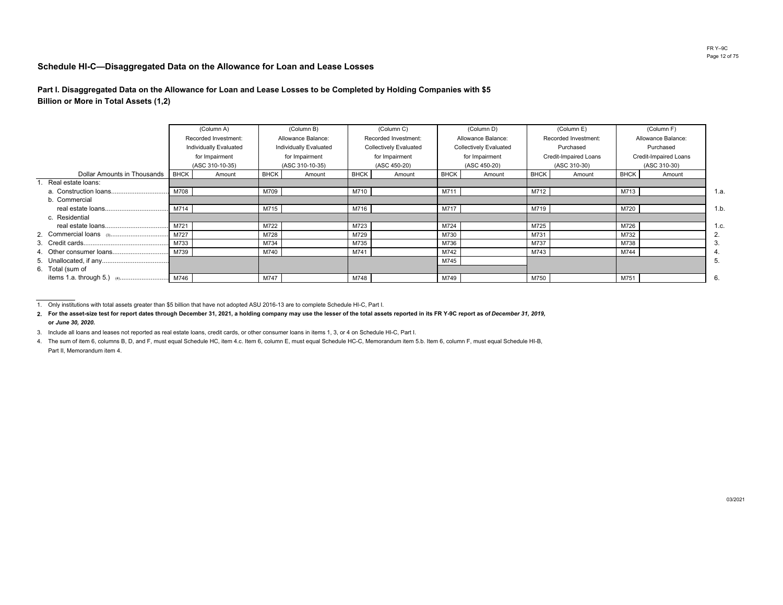#### **Schedule HI-C—Disaggregated Data on the Allowance for Loan and Lease Losses**

**Part I. Disaggregated Data on the Allowance for Loan and Lease Losses to be Completed by Holding Companies with \$5Billion or More in Total Assets (1,2)**

|                             |             | (Column A)             |             | (Column B)             |             | (Column C)             |                               | (Column D)   |             | (Column E)                   |             | (Column F)            |  |  |  |  |  |  |  |              |  |              |  |  |  |                      |                    |  |                      |  |                    |  |
|-----------------------------|-------------|------------------------|-------------|------------------------|-------------|------------------------|-------------------------------|--------------|-------------|------------------------------|-------------|-----------------------|--|--|--|--|--|--|--|--------------|--|--------------|--|--|--|----------------------|--------------------|--|----------------------|--|--------------------|--|
|                             |             | Recorded Investment:   |             | Allowance Balance:     |             |                        |                               |              |             |                              |             |                       |  |  |  |  |  |  |  |              |  |              |  |  |  | Recorded Investment: | Allowance Balance: |  | Recorded Investment: |  | Allowance Balance: |  |
|                             |             | Individually Evaluated |             | Individually Evaluated |             | Collectively Evaluated | <b>Collectively Evaluated</b> |              |             | Purchased                    |             | Purchased             |  |  |  |  |  |  |  |              |  |              |  |  |  |                      |                    |  |                      |  |                    |  |
|                             |             | for Impairment         |             | for Impairment         |             | for Impairment         | for Impairment                |              |             | <b>Credit-Impaired Loans</b> |             | Credit-Impaired Loans |  |  |  |  |  |  |  |              |  |              |  |  |  |                      |                    |  |                      |  |                    |  |
|                             |             | (ASC 310-10-35)        |             | (ASC 310-10-35)        |             | (ASC 450-20)           |                               | (ASC 450-20) |             |                              |             |                       |  |  |  |  |  |  |  | (ASC 310-30) |  | (ASC 310-30) |  |  |  |                      |                    |  |                      |  |                    |  |
| Dollar Amounts in Thousands | <b>BHCK</b> | Amount                 | <b>BHCK</b> | Amount                 | <b>BHCK</b> | Amount                 | <b>BHCK</b>                   | Amount       | <b>BHCK</b> | Amount                       | <b>BHCK</b> | Amount                |  |  |  |  |  |  |  |              |  |              |  |  |  |                      |                    |  |                      |  |                    |  |
| Real estate loans:          |             |                        |             |                        |             |                        |                               |              |             |                              |             |                       |  |  |  |  |  |  |  |              |  |              |  |  |  |                      |                    |  |                      |  |                    |  |
|                             | M708        |                        | M709        |                        | M710        |                        | M711                          |              | M712        |                              | M713        |                       |  |  |  |  |  |  |  |              |  |              |  |  |  |                      |                    |  |                      |  |                    |  |
| b. Commercial               |             |                        |             |                        |             |                        |                               |              |             |                              |             |                       |  |  |  |  |  |  |  |              |  |              |  |  |  |                      |                    |  |                      |  |                    |  |
|                             | M714        |                        | M715        |                        | M716        |                        | M717                          |              | M719        |                              | M720        |                       |  |  |  |  |  |  |  |              |  |              |  |  |  |                      |                    |  |                      |  |                    |  |
| c. Residential              |             |                        |             |                        |             |                        |                               |              |             |                              |             |                       |  |  |  |  |  |  |  |              |  |              |  |  |  |                      |                    |  |                      |  |                    |  |
|                             | M721        |                        | M722        |                        | M723        |                        | M724                          |              | M725        |                              | M726        |                       |  |  |  |  |  |  |  |              |  |              |  |  |  |                      |                    |  |                      |  |                    |  |
|                             | M727        |                        | M728        |                        | M729        |                        | M730                          |              | M731        |                              | M732        |                       |  |  |  |  |  |  |  |              |  |              |  |  |  |                      |                    |  |                      |  |                    |  |
|                             | M733        |                        | M734        |                        | M735        |                        | M736                          |              | M737        |                              | M738        |                       |  |  |  |  |  |  |  |              |  |              |  |  |  |                      |                    |  |                      |  |                    |  |
|                             | M739        |                        | M740        |                        | M741        |                        | M742                          |              | M743        |                              | M744        |                       |  |  |  |  |  |  |  |              |  |              |  |  |  |                      |                    |  |                      |  |                    |  |
|                             |             |                        |             |                        |             |                        | M745                          |              |             |                              |             |                       |  |  |  |  |  |  |  |              |  |              |  |  |  |                      |                    |  |                      |  |                    |  |
| 6. Total (sum of            |             |                        |             |                        |             |                        |                               |              |             |                              |             |                       |  |  |  |  |  |  |  |              |  |              |  |  |  |                      |                    |  |                      |  |                    |  |
|                             |             |                        | M747        |                        | M748        |                        | M749                          |              | M750        |                              | M751        |                       |  |  |  |  |  |  |  |              |  |              |  |  |  |                      |                    |  |                      |  |                    |  |

<sup>1.</sup> Only institutions with total assets greater than \$5 billion that have not adopted ASU 2016-13 are to complete Schedule HI-C, Part I.

 **2. For the asset-size test for report dates through December 31, 2021, a holding company may use the lesser of the total assets reported in its FR Y-9C report as of** *December 31, 2019,* **or** *June 30, 2020.*

3. Include all loans and leases not reported as real estate loans, credit cards, or other consumer loans in items 1, 3, or 4 on Schedule HI-C, Part I.

4. The sum of item 6, columns B, D, and F, must equal Schedule HC, item 4.c. Item 6, column E, must equal Schedule HC-C, Memorandum item 5.b. Item 6, column F, must equal Schedule HI-B, Part II, Memorandum item 4.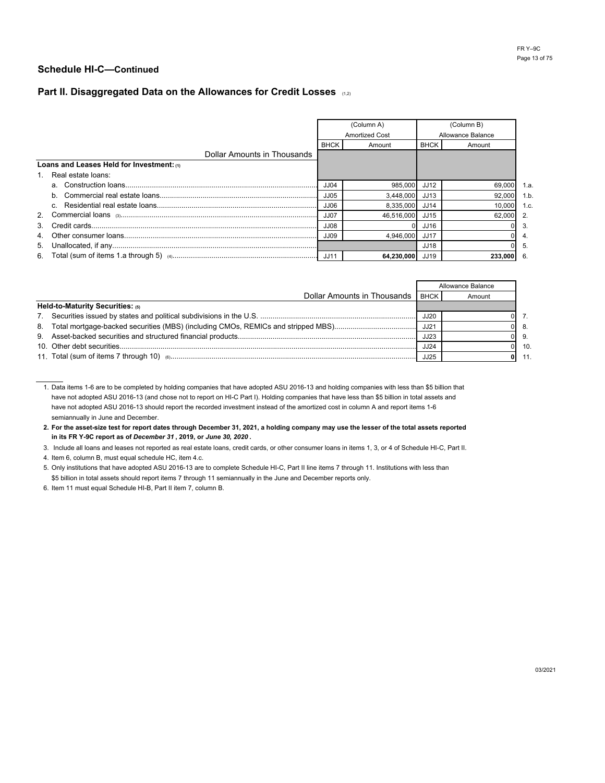## Part II. Disaggregated Data on the Allowances for Credit Losses (1,2)

|                                           |             | (Column A)<br><b>Amortized Cost</b> |       | (Column B)<br>Allowance Balance |                |
|-------------------------------------------|-------------|-------------------------------------|-------|---------------------------------|----------------|
|                                           | <b>BHCK</b> | Amount                              | BHCK  | Amount                          |                |
| Dollar Amounts in Thousands               |             |                                     |       |                                 |                |
| Loans and Leases Held for Investment: (1) |             |                                     |       |                                 |                |
| 1. Real estate loans:                     |             |                                     |       |                                 |                |
|                                           | JJO4        | 985.000                             | JJ12  | 69.000                          | 1.a.           |
|                                           | JJ05        | 3.448.000                           | JJ13  | 92.000                          | 1.b.           |
|                                           | JJO6        | 8.335.000                           | JJ 14 | 10.000                          | 1.c.           |
|                                           | JJ07        | 46.516.000                          | JJ15  | 62.000                          | $\overline{2}$ |
|                                           | JJ08        |                                     | JJ16  |                                 | -3.            |
|                                           | <b>JJ09</b> | 4.946.000                           | JJ17  |                                 | 4.             |
|                                           |             |                                     | JJ18  |                                 | -5.            |
|                                           |             | 64,230,000 JJ19                     |       | 233.000                         | - 6.           |

|                                  |             | Allowance Balance |  |
|----------------------------------|-------------|-------------------|--|
| Dollar Amounts in Thousands      | <b>BHCK</b> | Amount            |  |
| Held-to-Maturity Securities: (5) |             |                   |  |
|                                  | JJ20        |                   |  |
|                                  | JJ21        |                   |  |
|                                  | JJ23        |                   |  |
|                                  | <b>JJ24</b> |                   |  |
|                                  | JJ25        |                   |  |

1. Data items 1-6 are to be completed by holding companies that have adopted ASU 2016-13 and holding companies with less than \$5 billion that have not adopted ASU 2016-13 (and chose not to report on HI-C Part I). Holding companies that have less than \$5 billion in total assets and have not adopted ASU 2016-13 should report the recorded investment instead of the amortized cost in column A and report items 1-6 semiannually in June and December.

**2. For the asset-size test for report dates through December 31, 2021, a holding company may use the lesser of the total assets reported in its FR Y-9C report as of** *December 31* **, 2019, or** *June 30, 2020* **.**

3. Include all loans and leases not reported as real estate loans, credit cards, or other consumer loans in items 1, 3, or 4 of Schedule HI-C, Part II.

4. Item 6, column B, must equal schedule HC, item 4.c.

5. Only institutions that have adopted ASU 2016-13 are to complete Schedule HI-C, Part II line items 7 through 11. Institutions with less than \$5 billion in total assets should report items 7 through 11 semiannually in the June and December reports only.

6. Item 11 must equal Schedule HI-B, Part II item 7, column B.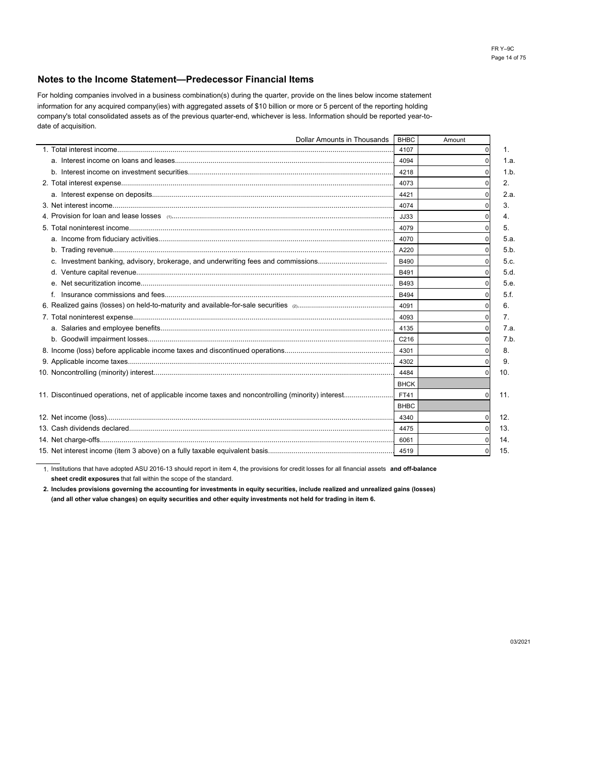#### **Notes to the Income Statement—Predecessor Financial Items**

date of acquisition. information for any acquired company(ies) with aggregated assets of \$10 billion or more or 5 percent of the reporting holding company's total consolidated assets as of the previous quarter-end, whichever is less. Information should be reported year-to-For holding companies involved in a business combination(s) during the quarter, provide on the lines below income statement

| Dollar Amounts in Thousands                                                       |             | Amount      |      |
|-----------------------------------------------------------------------------------|-------------|-------------|------|
|                                                                                   | 4107        |             | 1.   |
|                                                                                   | 4094        |             | 1.a. |
|                                                                                   | 4218        |             | 1.b  |
|                                                                                   | 4073        |             | 2.   |
|                                                                                   | 4421        |             | 2.a. |
|                                                                                   | 4074        |             | 3.   |
|                                                                                   | JJ33        |             | 4.   |
|                                                                                   | 4079        |             | 5.   |
|                                                                                   | 4070        |             | 5.a. |
|                                                                                   | A220        |             | 5.b  |
| c. Investment banking, advisory, brokerage, and underwriting fees and commissions | B490        |             | 5.c. |
|                                                                                   | B491        |             | 5.d. |
|                                                                                   | B493        |             | 5.e. |
|                                                                                   | B494        |             | 5.f. |
|                                                                                   | 4091        |             | 6.   |
|                                                                                   | 4093        |             | 7.   |
|                                                                                   | 4135        | $\Omega$    | 7.a. |
|                                                                                   | C216        |             | 7.b  |
|                                                                                   | 4301        |             | 8.   |
|                                                                                   | 4302        |             | 9.   |
|                                                                                   | 4484        |             | 10.  |
|                                                                                   | <b>BHCK</b> |             |      |
|                                                                                   | FT41        | $\Omega$    | 11.  |
|                                                                                   | <b>BHBC</b> |             |      |
|                                                                                   | 4340        |             | 12.  |
|                                                                                   | 4475        | 0           | 13.  |
|                                                                                   | 6061        |             | 14.  |
|                                                                                   | 4519        | $\mathbf 0$ | 15.  |
|                                                                                   |             | <b>BHBC</b> |      |

1. Institutions that have adopted ASU 2016-13 should report in item 4, the provisions for credit losses for all financial assets **and off-balance sheet credit exposures** that fall within the scope of the standard.

**2. Includes provisions governing the accounting for investments in equity securities, include realized and unrealized gains (losses) (and all other value changes) on equity securities and other equity investments not held for trading in item 6.**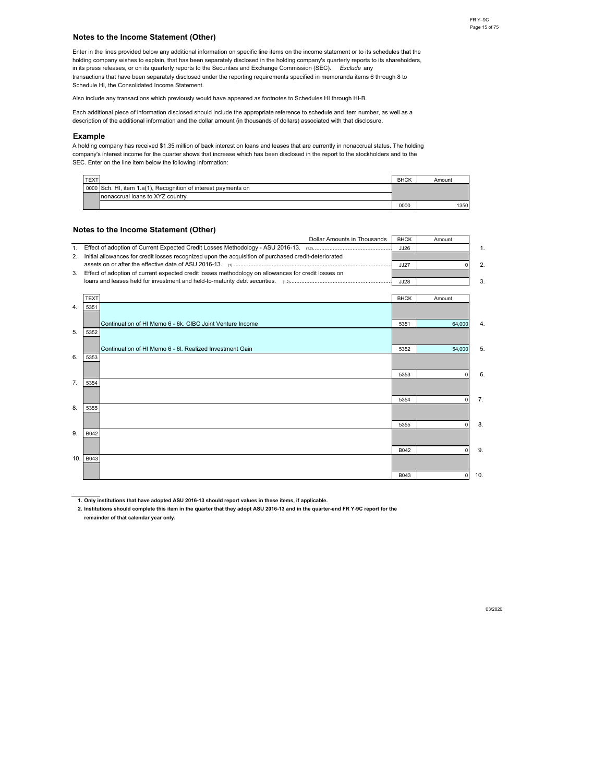#### **Notes to the Income Statement (Other)**

Schedule HI, the Consolidated Income Statement. Enter in the lines provided below any additional information on specific line items on the income statement or to its schedules that the in its press releases, or on its quarterly reports to the Securities and Exchange Commission (SEC). *Exclude* any holding company wishes to explain, that has been separately disclosed in the holding company's quarterly reports to its shareholders, transactions that have been separately disclosed under the reporting requirements specified in memoranda items 6 through 8 to

Also include any transactions which previously would have appeared as footnotes to Schedules HI through HI-B.

description of the additional information and the dollar amount (in thousands of dollars) associated with that disclosure. Each additional piece of information disclosed should include the appropriate reference to schedule and item number, as well as a

#### **Example**

SEC. Enter on the line item below the following information: company's interest income for the quarter shows that increase which has been disclosed in the report to the stockholders and to the A holding company has received \$1.35 million of back interest on loans and leases that are currently in nonaccrual status. The holding

| <b>TEXT</b> |                                                                | <b>BHCK</b> | Amount |
|-------------|----------------------------------------------------------------|-------------|--------|
|             | 0000 Sch. HI, item 1.a(1). Recognition of interest payments on |             |        |
|             | Inonaccrual loans to XYZ country                               |             |        |
|             |                                                                | 0000        | 1350   |

#### **Notes to the Income Statement (Other)**

|      | <b>Dollar Amounts in Thousands</b>                                                                    | <b>BHCK</b> | Amount      |             |
|------|-------------------------------------------------------------------------------------------------------|-------------|-------------|-------------|
| 1.   |                                                                                                       | JJ26        |             | $\mathbf 1$ |
| 2.   | Initial allowances for credit losses recognized upon the acquisition of purchased credit-deteriorated |             |             |             |
|      |                                                                                                       | JJ27        |             | 2.          |
| 3.   | Effect of adoption of current expected credit losses methodology on allowances for credit losses on   |             |             |             |
|      |                                                                                                       | JJ28        |             | 3.          |
|      |                                                                                                       |             |             |             |
|      | <b>TEXT</b>                                                                                           | <b>BHCK</b> | Amount      |             |
| 4.   | 5351                                                                                                  |             |             |             |
|      |                                                                                                       |             |             |             |
|      | Continuation of HI Memo 6 - 6k. CIBC Joint Venture Income                                             | 5351        | 64,000      | 4.          |
| 5.   | 5352                                                                                                  |             |             |             |
|      |                                                                                                       |             |             |             |
|      | Continuation of HI Memo 6 - 6I. Realized Investment Gain                                              | 5352        | 54,000      | 5.          |
| 6.   | 5353                                                                                                  |             |             |             |
|      |                                                                                                       |             |             |             |
|      |                                                                                                       | 5353        | $\Omega$    | 6.          |
| 7.   | 5354                                                                                                  |             |             |             |
|      |                                                                                                       |             |             |             |
|      |                                                                                                       | 5354        | $\mathbf 0$ | 7.          |
| 8.   | 5355                                                                                                  |             |             |             |
|      |                                                                                                       |             |             |             |
|      |                                                                                                       | 5355        | $\Omega$    | 8.          |
| 9.   | B042                                                                                                  |             |             |             |
|      |                                                                                                       |             |             |             |
|      |                                                                                                       | B042        | $\Omega$    | 9.          |
| 10.1 | B043                                                                                                  |             |             |             |
|      |                                                                                                       |             |             |             |
|      |                                                                                                       | B043        | $\Omega$    | 10.         |

**1. Only institutions that have adopted ASU 2016-13 should report values in these items, if applicable.**

**2. Institutions should complete this item in the quarter that they adopt ASU 2016-13 and in the quarter-end FR Y-9C report for the remainder of that calendar year only.**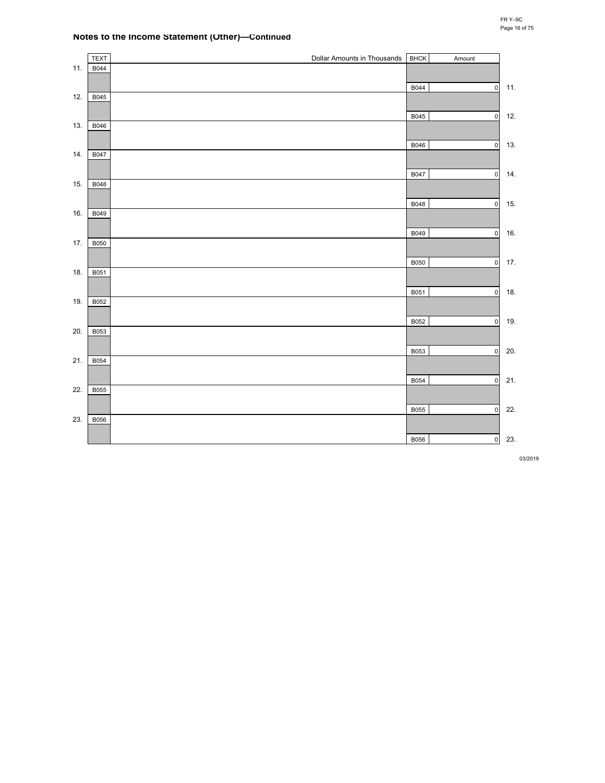### **Notes to the Income Statement (Other)—Continued**

|     | <b>TEXT</b> | Dollar Amounts in Thousands | <b>BHCK</b> | Amount              |     |
|-----|-------------|-----------------------------|-------------|---------------------|-----|
| 11. | B044        |                             |             |                     |     |
|     |             |                             | B044        | $\mathsf{o}$        | 11. |
| 12. | B045        |                             |             |                     |     |
|     |             |                             | B045        | $\mathbf 0$         | 12. |
| 13. | B046        |                             |             |                     |     |
|     |             |                             | B046        | $\mathsf{o}$        | 13. |
| 14. | B047        |                             |             |                     |     |
|     |             |                             | B047        |                     | 14. |
| 15. | B048        |                             |             | $\pmb{0}$           |     |
|     |             |                             |             |                     |     |
| 16. | B049        |                             | B048        | $\mathsf{o}$        | 15. |
|     |             |                             |             |                     |     |
| 17. | <b>B050</b> |                             | B049        | $\mathsf{O}\xspace$ | 16. |
|     |             |                             |             |                     |     |
|     |             |                             | <b>B050</b> | $\mathsf{o}\xspace$ | 17. |
| 18. | B051        |                             |             |                     |     |
|     |             |                             | B051        | $\mathsf{o}$        | 18. |
| 19. | B052        |                             |             |                     |     |
|     |             |                             | B052        | $\mathbf 0$         | 19. |
| 20. | B053        |                             |             |                     |     |
|     |             |                             | B053        | $\mathsf{o}\xspace$ | 20. |
| 21. | B054        |                             |             |                     |     |
|     |             |                             | B054        | $\mathsf{o}\xspace$ | 21. |
| 22. | B055        |                             |             |                     |     |
|     |             |                             |             |                     |     |
| 23. | B056        |                             | <b>B055</b> | $\pmb{0}$           | 22. |
|     |             |                             |             |                     |     |
|     |             |                             | B056        | 0                   | 23. |

03/2019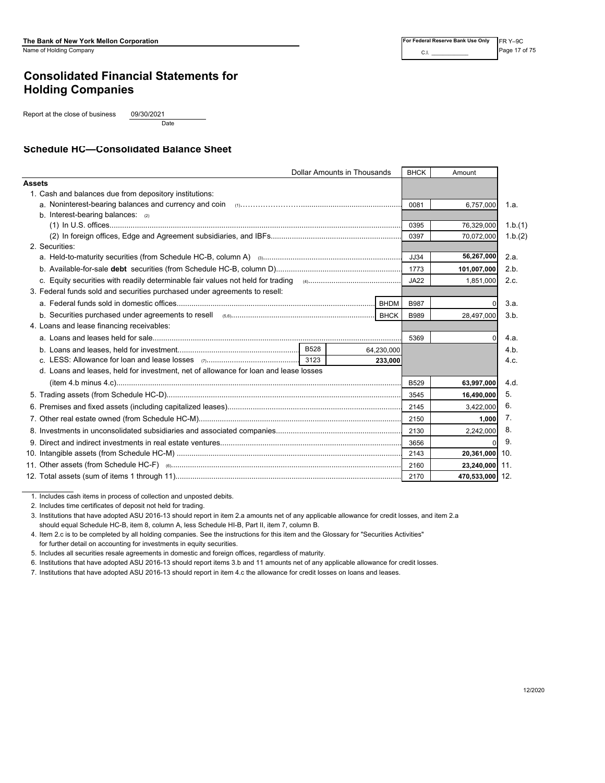# **Consolidated Financial Statements for Holding Companies**

Report at the close of business 09/30/2021

Date

### **Schedule HC—Consolidated Balance Sheet**

| <b>Dollar Amounts in Thousands</b>                                                   |             | <b>BHCK</b> | Amount          |         |
|--------------------------------------------------------------------------------------|-------------|-------------|-----------------|---------|
| <b>Assets</b>                                                                        |             |             |                 |         |
| 1. Cash and balances due from depository institutions:                               |             |             |                 |         |
|                                                                                      |             | 0081        | 6,757,000       | 1.a.    |
| b. Interest-bearing balances: $(2)$                                                  |             |             |                 |         |
|                                                                                      |             | 0395        | 76,329,000      | 1.b.(1) |
|                                                                                      |             | 0397        | 70,072,000      | 1.b.(2) |
| 2. Securities:                                                                       |             |             |                 |         |
|                                                                                      |             | JJ34        | 56,267,000      | 2.a.    |
|                                                                                      |             | 1773        | 101,007,000     | 2.b.    |
|                                                                                      |             | JA22        | 1,851,000       | 2.c.    |
| 3. Federal funds sold and securities purchased under agreements to resell:           |             |             |                 |         |
|                                                                                      | <b>BHDM</b> | <b>B987</b> |                 | 3.a.    |
|                                                                                      |             | <b>B989</b> | 28,497,000      | 3.b.    |
| 4. Loans and lease financing receivables:                                            |             |             |                 |         |
|                                                                                      |             | 5369        | $\Omega$        | 4.a.    |
|                                                                                      | 64,230,000  |             |                 | 4.b.    |
|                                                                                      | 233,000     |             |                 | 4.c.    |
| d. Loans and leases, held for investment, net of allowance for loan and lease losses |             |             |                 |         |
|                                                                                      |             | <b>B529</b> | 63,997,000      | 4.d.    |
|                                                                                      |             | 3545        | 16,490,000      | 5.      |
|                                                                                      |             | 2145        | 3,422,000       | 6.      |
|                                                                                      |             | 2150        | 1,000           | 7.      |
|                                                                                      |             | 2130        | 2.242.000       | 8.      |
|                                                                                      |             | 3656        |                 | 9.      |
|                                                                                      |             | 2143        | 20,361,000 10.  |         |
|                                                                                      |             | 2160        | 23,240,000 11.  |         |
|                                                                                      |             | 2170        | 470,533,000 12. |         |

1. Includes cash items in process of collection and unposted debits.

2. Includes time certificates of deposit not held for trading.

3. Institutions that have adopted ASU 2016-13 should report in item 2.a amounts net of any applicable allowance for credit losses, and item 2.a should equal Schedule HC-B, item 8, column A, less Schedule HI-B, Part II, item 7, column B.

4. Item 2.c is to be completed by all holding companies. See the instructions for this item and the Glossary for "Securities Activities" for further detail on accounting for investments in equity securities.

5. Includes all securities resale agreements in domestic and foreign offices, regardless of maturity.

6. Institutions that have adopted ASU 2016-13 should report items 3.b and 11 amounts net of any applicable allowance for credit losses.

7. Institutions that have adopted ASU 2016-13 should report in item 4.c the allowance for credit losses on loans and leases.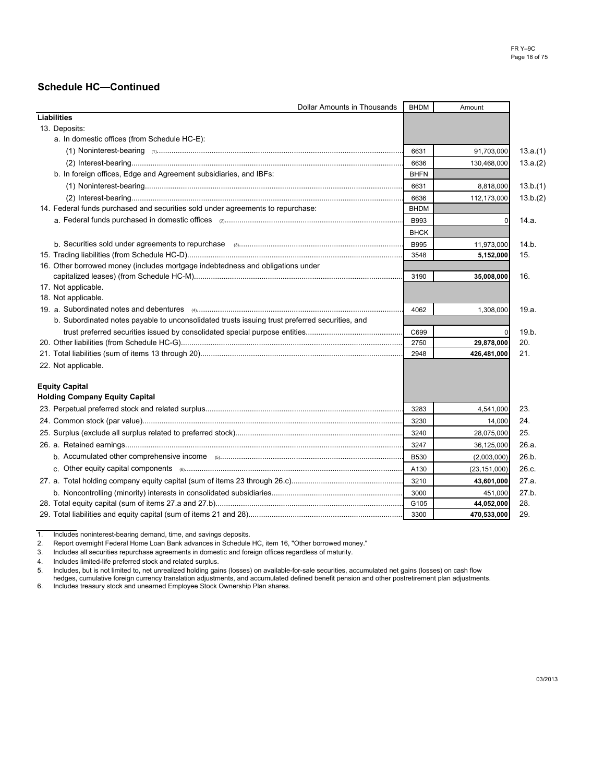| Dollar Amounts in Thousands                                                                    | <b>BHDM</b> | Amount         |          |
|------------------------------------------------------------------------------------------------|-------------|----------------|----------|
| <b>Liabilities</b>                                                                             |             |                |          |
| 13. Deposits:                                                                                  |             |                |          |
| a. In domestic offices (from Schedule HC-E):                                                   |             |                |          |
|                                                                                                | 6631        | 91,703,000     | 13.a.(1) |
|                                                                                                | 6636        | 130,468,000    | 13.a.(2) |
| b. In foreign offices, Edge and Agreement subsidiaries, and IBFs:                              | <b>BHFN</b> |                |          |
|                                                                                                | 6631        | 8,818,000      | 13.b.(1) |
|                                                                                                | 6636        | 112,173,000    | 13.b.(2) |
| 14. Federal funds purchased and securities sold under agreements to repurchase:                | <b>BHDM</b> |                |          |
|                                                                                                | <b>B993</b> | 0              | 14.a.    |
|                                                                                                | <b>BHCK</b> |                |          |
|                                                                                                | <b>B995</b> | 11,973,000     | 14.b.    |
|                                                                                                | 3548        | 5,152,000      | 15.      |
| 16. Other borrowed money (includes mortgage indebtedness and obligations under                 |             |                |          |
|                                                                                                | 3190        | 35,008,000     | 16.      |
| 17. Not applicable.                                                                            |             |                |          |
| 18. Not applicable.                                                                            |             |                |          |
|                                                                                                | 4062        | 1,308,000      | 19.a.    |
| b. Subordinated notes payable to unconsolidated trusts issuing trust preferred securities, and |             |                |          |
|                                                                                                | C699        | 0              | 19.b.    |
|                                                                                                | 2750        | 29,878,000     | 20.      |
|                                                                                                | 2948        | 426,481,000    | 21.      |
| 22. Not applicable.                                                                            |             |                |          |
| <b>Equity Capital</b>                                                                          |             |                |          |
| <b>Holding Company Equity Capital</b>                                                          |             |                |          |
|                                                                                                | 3283        | 4,541,000      | 23.      |
|                                                                                                | 3230        | 14,000         | 24.      |
|                                                                                                | 3240        | 28,075,000     | 25.      |
|                                                                                                | 3247        | 36,125,000     | 26.a.    |
|                                                                                                | <b>B530</b> | (2,003,000)    | 26.b.    |
|                                                                                                | A130        | (23, 151, 000) | 26.c.    |
|                                                                                                | 3210        | 43,601,000     | 27.a.    |
|                                                                                                | 3000        | 451,000        | 27.b.    |
|                                                                                                | G105        | 44,052,000     | 28.      |
|                                                                                                | 3300        | 470,533,000    | 29.      |

1. Includes noninterest-bearing demand, time, and savings deposits.<br>2. Report overnight Federal Home Loan Bank advances in Schedule 2. Report overnight Federal Home Loan Bank advances in Schedule HC, item 16, "Other borrowed money."

3. Includes all securities repurchase agreements in domestic and foreign offices regardless of maturity.

4. Includes limited-life preferred stock and related surplus. Includes, but is not limited to, net unrealized holding gains (losses) on available-for-sale securities, accumulated net gains (losses) on cash flow

hedges, cumulative foreign currency translation adjustments, and accumulated defined benefit pension and other postretirement plan adjustments.

6. Includes treasury stock and unearned Employee Stock Ownership Plan shares.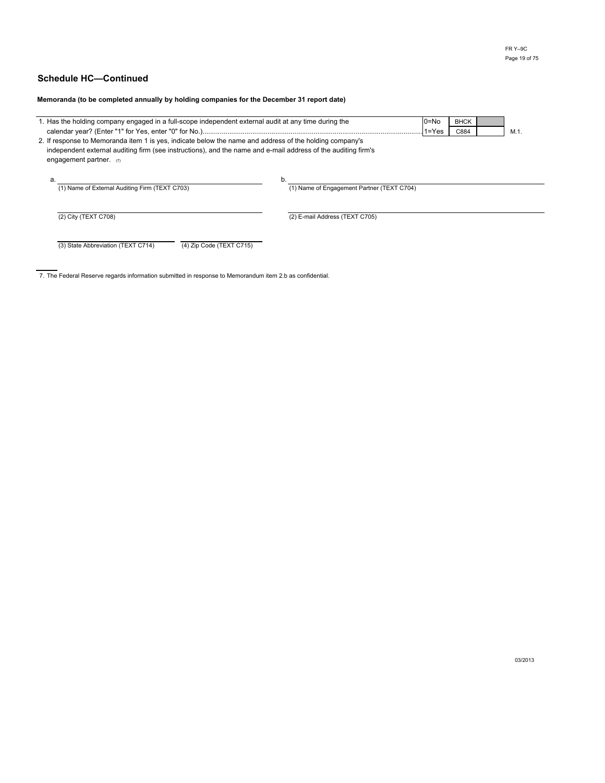**Memoranda (to be completed annually by holding companies for the December 31 report date)**

| 1. Has the holding company engaged in a full-scope independent external audit at any time during the                                                                                                                                                  | 0=No<br>$1 = Yes$                                | <b>BHCK</b><br>C884 | M.1 |  |
|-------------------------------------------------------------------------------------------------------------------------------------------------------------------------------------------------------------------------------------------------------|--------------------------------------------------|---------------------|-----|--|
| 2. If response to Memoranda item 1 is yes, indicate below the name and address of the holding company's<br>independent external auditing firm (see instructions), and the name and e-mail address of the auditing firm's<br>engagement partner. $(7)$ |                                                  |                     |     |  |
| a.<br>(1) Name of External Auditing Firm (TEXT C703)                                                                                                                                                                                                  | b.<br>(1) Name of Engagement Partner (TEXT C704) |                     |     |  |
| (2) City (TEXT C708)                                                                                                                                                                                                                                  | (2) E-mail Address (TEXT C705)                   |                     |     |  |
| (3) State Abbreviation (TEXT C714)<br>(4) Zip Code (TEXT C715)                                                                                                                                                                                        |                                                  |                     |     |  |

7. The Federal Reserve regards information submitted in response to Memorandum item 2.b as confidential.

03/2013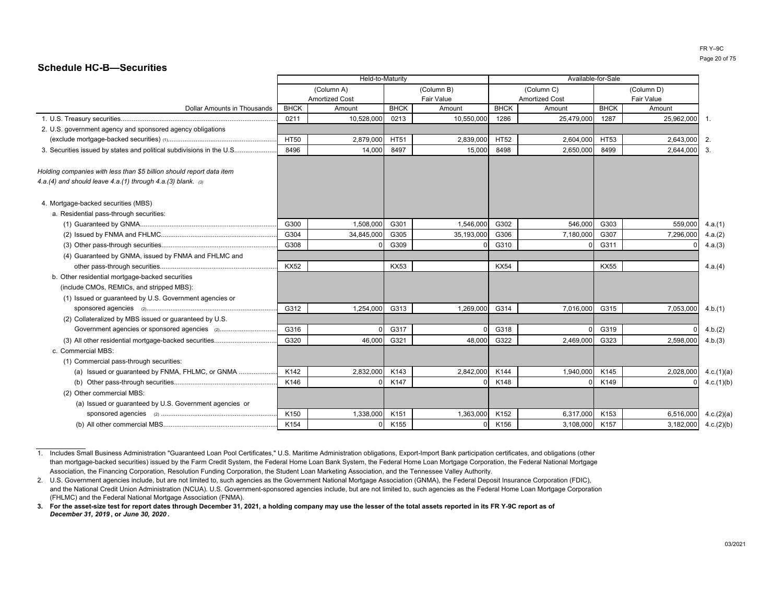### **Schedule HC-B—Securities**

|                                                                                                                                       |             | Held-to-Maturity      |             | Available-for-Sale |             |                       |             |            |            |
|---------------------------------------------------------------------------------------------------------------------------------------|-------------|-----------------------|-------------|--------------------|-------------|-----------------------|-------------|------------|------------|
|                                                                                                                                       |             | (Column A)            |             | (Column B)         |             | (Column C)            |             | (Column D) |            |
|                                                                                                                                       |             | <b>Amortized Cost</b> |             | <b>Fair Value</b>  |             | <b>Amortized Cost</b> |             | Fair Value |            |
| <b>Dollar Amounts in Thousands</b>                                                                                                    | <b>BHCK</b> | Amount                | <b>BHCK</b> | Amount             | <b>BHCK</b> | Amount                | <b>BHCK</b> | Amount     |            |
|                                                                                                                                       | 0211        | 10,528,000            | 0213        | 10,550,000         | 1286        | 25,479,000            | 1287        | 25,962,000 | -1.        |
| 2. U.S. government agency and sponsored agency obligations                                                                            |             |                       |             |                    |             |                       |             |            |            |
|                                                                                                                                       | <b>HT50</b> | 2,879,000             | <b>HT51</b> | 2,839,000          | <b>HT52</b> | 2,604,000             | HT53        | 2,643,000  | 2.         |
| 3. Securities issued by states and political subdivisions in the U.S                                                                  | 8496        | 14,000                | 8497        | 15,000             | 8498        | 2,650,000             | 8499        | 2,644,000  | 3.         |
| Holding companies with less than \$5 billion should report data item<br>4.a.(4) and should leave 4.a.(1) through 4.a.(3) blank. $(3)$ |             |                       |             |                    |             |                       |             |            |            |
| 4. Mortgage-backed securities (MBS)                                                                                                   |             |                       |             |                    |             |                       |             |            |            |
| a. Residential pass-through securities:                                                                                               |             |                       |             |                    |             |                       |             |            |            |
|                                                                                                                                       | G300        | 1,508,000             | G301        | 1,546,000          | G302        | 546,000               | G303        | 559,000    | 4.a.(1)    |
|                                                                                                                                       | G304        | 34,845,000            | G305        | 35,193,000         | G306        | 7,180,000             | G307        | 7,296,000  | 4.a.(2)    |
|                                                                                                                                       | G308        |                       | G309        |                    | G310        |                       | G311        |            | 4.a.(3)    |
| (4) Guaranteed by GNMA, issued by FNMA and FHLMC and                                                                                  |             |                       |             |                    |             |                       |             |            |            |
|                                                                                                                                       | <b>KX52</b> |                       | <b>KX53</b> |                    | <b>KX54</b> |                       | <b>KX55</b> |            | 4.a.(4)    |
| b. Other residential mortgage-backed securities                                                                                       |             |                       |             |                    |             |                       |             |            |            |
| (include CMOs, REMICs, and stripped MBS):                                                                                             |             |                       |             |                    |             |                       |             |            |            |
| (1) Issued or guaranteed by U.S. Government agencies or                                                                               |             |                       |             |                    |             |                       |             |            |            |
|                                                                                                                                       | G312        | 1,254,000             | G313        | 1,269,000          | G314        | 7,016,000             | G315        | 7,053,000  | 4.b.(1)    |
| (2) Collateralized by MBS issued or guaranteed by U.S.                                                                                |             |                       |             |                    |             |                       |             |            |            |
|                                                                                                                                       | G316        |                       | G317        |                    | G318        |                       | G319        |            | 4.b.(2)    |
| (3) All other residential mortgage-backed securities                                                                                  | G320        | 46,000                | G321        | 48,000             | G322        | 2,469,000             | G323        | 2.598.000  | 4.b.(3)    |
| c. Commercial MBS:                                                                                                                    |             |                       |             |                    |             |                       |             |            |            |
| (1) Commercial pass-through securities:                                                                                               |             |                       |             |                    |             |                       |             |            |            |
| (a) Issued or quaranteed by FNMA, FHLMC, or GNMA                                                                                      | K142        | 2,832,000             | K143        | 2,842,000          | K144        | 1,940,000             | K145        | 2,028,000  | 4.c.(1)(a) |
|                                                                                                                                       | K146        |                       | K147        |                    | K148        |                       | K149        |            | 4.c.(1)(b) |
| (2) Other commercial MBS:                                                                                                             |             |                       |             |                    |             |                       |             |            |            |
| (a) Issued or guaranteed by U.S. Government agencies or                                                                               |             |                       |             |                    |             |                       |             |            |            |
|                                                                                                                                       | K150        | 1,338,000             | K151        | 1,363,000          | K152        | 6,317,000             | K153        | 6,516,000  | 4.c.(2)(a) |
|                                                                                                                                       | K154        |                       | K155        |                    | K156        | 3,108,000             | K157        | 3,182,000  | 4.c.(2)(b) |
|                                                                                                                                       |             |                       |             |                    |             |                       |             |            |            |

<sup>1.</sup> Includes Small Business Administration "Guaranteed Loan Pool Certificates," U.S. Maritime Administration obligations, Export-Import Bank participation certificates, and obligations (other than mortgage-backed securities) issued by the Farm Credit System, the Federal Home Loan Bank System, the Federal Home Loan Mortgage Corporation, the Federal National MortgageAssociation, the Financing Corporation, Resolution Funding Corporation, the Student Loan Marketing Association, and the Tennessee Valley Authority.

<sup>2.</sup>U.S. Government agencies include, but are not limited to, such agencies as the Government National Mortgage Association (GNMA), the Federal Deposit Insurance Corporation (FDIC), and the National Credit Union Administration (NCUA). U.S. Government-sponsored agencies include, but are not limited to, such agencies as the Federal Home Loan Mortgage Corporation (FHLMC) and the Federal National Mortgage Association (FNMA).

**<sup>3.</sup> For the asset-size test for report dates through December 31, 2021, a holding company may use the lesser of the total assets reported in its FR Y-9C report as of** *December 31, 2019* **, or** *June 30, 2020* **.**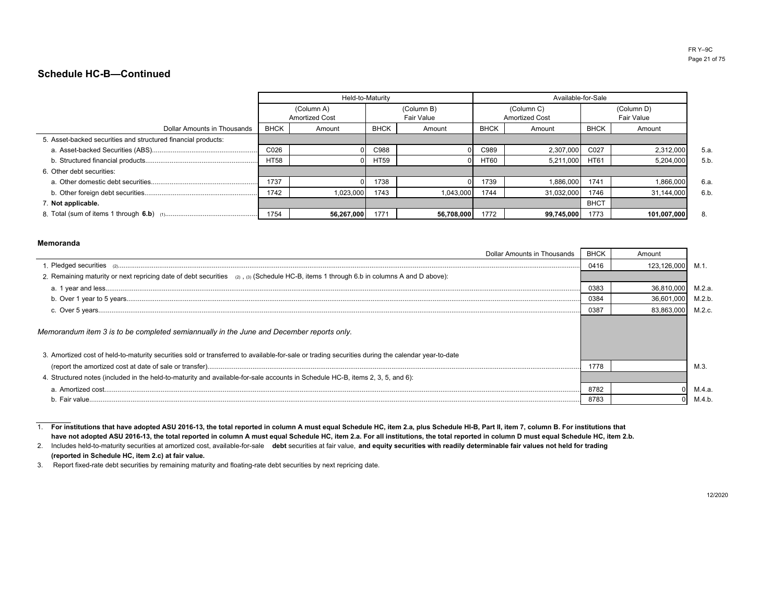|                                                               |             | Held-to-Maturity                    |             |                          | Available-for-Sale |                                     |             |                                 |     |
|---------------------------------------------------------------|-------------|-------------------------------------|-------------|--------------------------|--------------------|-------------------------------------|-------------|---------------------------------|-----|
|                                                               |             | (Column A)<br><b>Amortized Cost</b> |             | (Column B)<br>Fair Value |                    | (Column C)<br><b>Amortized Cost</b> |             | (Column D)<br><b>Fair Value</b> |     |
| Dollar Amounts in Thousands                                   | <b>BHCK</b> | Amount                              | <b>BHCK</b> | Amount                   | <b>BHCK</b>        | Amount                              | <b>BHCK</b> | Amount                          |     |
| 5. Asset-backed securities and structured financial products: |             |                                     |             |                          |                    |                                     |             |                                 |     |
|                                                               | C026        |                                     | C988        |                          | C989               | 2,307,000                           | C027        | 2,312,000                       | 5.a |
|                                                               | <b>HT58</b> |                                     | <b>HT59</b> |                          | <b>HT60</b>        | 5,211,000                           | <b>HT61</b> | 5,204,000                       | 5.b |
| 6. Other debt securities:                                     |             |                                     |             |                          |                    |                                     |             |                                 |     |
|                                                               | 1737        |                                     | 1738        |                          | 1739               | 1,886,000                           | 1741        | 1,866,000                       | 6.a |
|                                                               | 1742        | 1,023,000                           | 1743        | 1,043,000                | 1744               | 31,032,000                          | 1746        | 31,144,000                      | 6.b |
| 7. Not applicable.                                            |             |                                     |             |                          |                    |                                     | <b>BHCT</b> |                                 |     |
|                                                               | 1754        | 56,267,000                          | 1771        | 56,708,000               | 1772               | 99,745,000                          | 1773        | 101,007,000                     | 8.  |

#### **Memoranda**

| Dollar Amounts in Thousands                                                                                                                       | <b>BHCK</b> | Amount      |        |
|---------------------------------------------------------------------------------------------------------------------------------------------------|-------------|-------------|--------|
|                                                                                                                                                   | 0416        | 123,126,000 | M.1    |
| 2. Remaining maturity or next repricing date of debt securities (2), (3) (Schedule HC-B, items 1 through 6.b in columns A and D above):           |             |             |        |
|                                                                                                                                                   | 0383        | 36.810.000  | M.2.a. |
|                                                                                                                                                   | 0384        | 36,601,000  | M.2.b  |
|                                                                                                                                                   | 0387        | 83.863.000  | M.2.c  |
| Memorandum item 3 is to be completed semiannually in the June and December reports only.                                                          |             |             |        |
| 3. Amortized cost of held-to-maturity securities sold or transferred to available-for-sale or trading securities during the calendar year-to-date |             |             |        |
|                                                                                                                                                   | 1778        |             | M.3    |
| 4. Structured notes (included in the held-to-maturity and available-for-sale accounts in Schedule HC-B, items 2, 3, 5, and 6):                    |             |             |        |
|                                                                                                                                                   | 8782        |             | M.4.a. |
| h Fair value                                                                                                                                      | 8783        |             | M.4.b  |

1.**For institutions that have adopted ASU 2016-13, the total reported in column A must equal Schedule HC, item 2.a, plus Schedule HI-B, Part II, item 7, column B. For institutions thathave not adopted ASU 2016-13, the total reported in column A must equal Schedule HC, item 2.a. For all institutions, the total reported in column D must equal Schedule HC, item 2.b.**

2.Includes held-to-maturity securities at amortized cost, available-for-sale **debt** securities at fair value, **and equity securities with readily determinable fair values not held for trading(reported in Schedule HC, item 2.c) at fair value.**

3. Report fixed-rate debt securities by remaining maturity and floating-rate debt securities by next repricing date.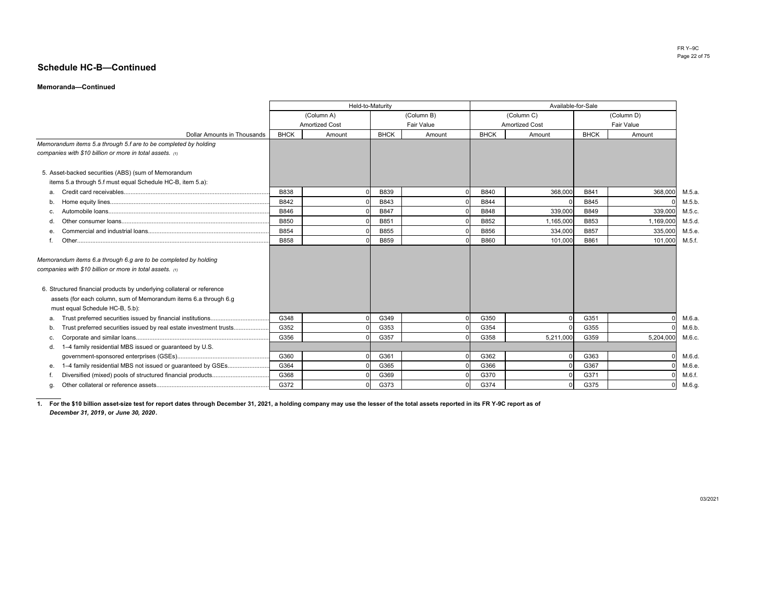#### **Memoranda—Continued**

|                                                                                                                             |             |                       | Held-to-Maturity |            | Available-for-Sale    |            |             |            |        |  |
|-----------------------------------------------------------------------------------------------------------------------------|-------------|-----------------------|------------------|------------|-----------------------|------------|-------------|------------|--------|--|
|                                                                                                                             |             | (Column A)            |                  | (Column B) |                       | (Column C) |             | (Column D) |        |  |
|                                                                                                                             |             | <b>Amortized Cost</b> | Fair Value       |            | <b>Amortized Cost</b> |            |             | Fair Value |        |  |
| <b>Dollar Amounts in Thousands</b>                                                                                          | <b>BHCK</b> | Amount                | <b>BHCK</b>      | Amount     | <b>BHCK</b>           | Amount     | <b>BHCK</b> | Amount     |        |  |
| Memorandum items 5.a through 5.f are to be completed by holding                                                             |             |                       |                  |            |                       |            |             |            |        |  |
| companies with \$10 billion or more in total assets. (1)                                                                    |             |                       |                  |            |                       |            |             |            |        |  |
|                                                                                                                             |             |                       |                  |            |                       |            |             |            |        |  |
| 5. Asset-backed securities (ABS) (sum of Memorandum                                                                         |             |                       |                  |            |                       |            |             |            |        |  |
| items 5.a through 5.f must equal Schedule HC-B, item 5.a):                                                                  |             |                       |                  |            |                       |            |             |            |        |  |
| а.                                                                                                                          | <b>B838</b> |                       | <b>B839</b>      |            | B840                  | 368,000    | B841        | 368,000    | M.5.a  |  |
| b.                                                                                                                          | B842        |                       | B843             |            | B844                  |            | B845        |            | M.5.b  |  |
|                                                                                                                             | B846        |                       | <b>B847</b>      |            | B848                  | 339,000    | B849        | 339,000    | M.5.c. |  |
|                                                                                                                             | <b>B850</b> |                       | B851             |            | B852                  | 1,165,000  | B853        | 1,169,000  | M.5.d  |  |
|                                                                                                                             | B854        |                       | B855             |            | <b>B856</b>           | 334,000    | <b>B857</b> | 335,000    | M.5.e  |  |
|                                                                                                                             | <b>B858</b> |                       | B859             |            | <b>B860</b>           | 101,000    | B861        | 101.000    | M.5.f. |  |
| Memorandum items 6.a through 6.g are to be completed by holding<br>companies with \$10 billion or more in total assets. (1) |             |                       |                  |            |                       |            |             |            |        |  |
| 6. Structured financial products by underlying collateral or reference                                                      |             |                       |                  |            |                       |            |             |            |        |  |
| assets (for each column, sum of Memorandum items 6.a through 6.g                                                            |             |                       |                  |            |                       |            |             |            |        |  |
| must equal Schedule HC-B, 5.b):                                                                                             |             |                       |                  |            |                       |            |             |            |        |  |
| а.                                                                                                                          | G348        |                       | G349             |            | G350                  |            | G351        |            | M.6.a  |  |
| Trust preferred securities issued by real estate investment trusts<br>b.                                                    | G352        |                       | G353             |            | G354                  |            | G355        |            | M.6.b  |  |
|                                                                                                                             | G356        |                       | G357             |            | G358                  | 5,211,000  | G359        | 5,204,000  | M.6.c. |  |
| 1-4 family residential MBS issued or guaranteed by U.S.<br>d.                                                               |             |                       |                  |            |                       |            |             |            |        |  |
|                                                                                                                             | G360        |                       | G361             |            | G362                  |            | G363        |            | M.6.d  |  |
| 1-4 family residential MBS not issued or guaranteed by GSEs<br>е.                                                           | G364        |                       | G365             |            | G366                  |            | G367        |            | M.6.e  |  |
|                                                                                                                             | G368        |                       | G369             |            | G370                  |            | G371        |            | M.6.f. |  |
|                                                                                                                             | G372        |                       | G373             |            | G374                  |            | G375        |            | M.6.g  |  |

**1.For the \$10 billion asset-size test for report dates through December 31, 2021, a holding company may use the lesser of the total assets reported in its FR Y-9C report as of***December 31, 2019***, or** *June 30, 2020***.**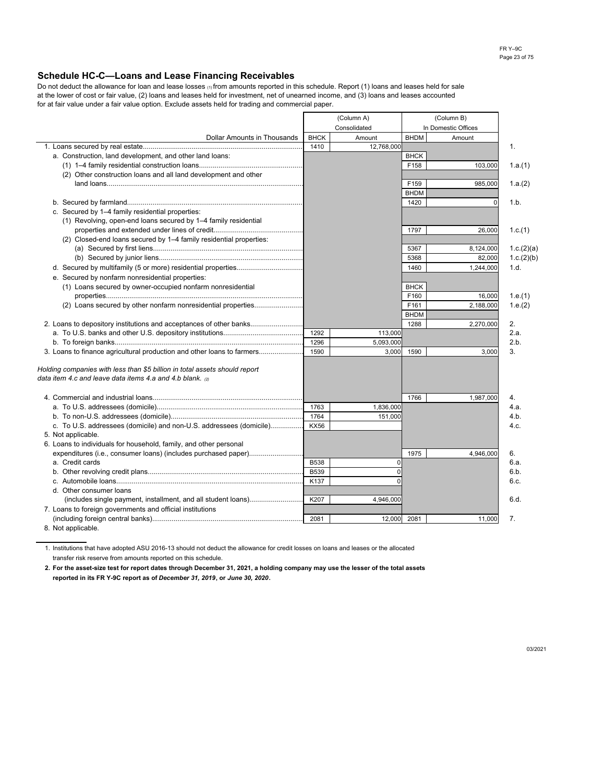#### **Schedule HC-C—Loans and Lease Financing Receivables**

at the lower of cost or fair value, (2) loans and leases held for investment, net of unearned income, and (3) loans and leases accounted Do not deduct the allowance for loan and lease losses (1) from amounts reported in this schedule. Report (1) loans and leases held for sale for at fair value under a fair value option. Exclude assets held for trading and commercial paper.

|                                                                            | (Column A)<br>Consolidated |             |             | (Column B)          |                |
|----------------------------------------------------------------------------|----------------------------|-------------|-------------|---------------------|----------------|
|                                                                            |                            |             |             | In Domestic Offices |                |
| <b>Dollar Amounts in Thousands</b>                                         | <b>BHCK</b>                | Amount      | <b>BHDM</b> | Amount              |                |
|                                                                            | 1410                       | 12,768,000  |             |                     | $\mathbf{1}$ . |
| a. Construction, land development, and other land loans:                   |                            |             | <b>BHCK</b> |                     |                |
|                                                                            |                            |             | F158        | 103,000             | 1.a.(1)        |
| (2) Other construction loans and all land development and other            |                            |             |             |                     |                |
|                                                                            |                            |             | F159        | 985,000             | 1.a.(2)        |
|                                                                            |                            |             | <b>BHDM</b> |                     |                |
|                                                                            |                            |             | 1420        | $\Omega$            | 1.b.           |
| c. Secured by 1-4 family residential properties:                           |                            |             |             |                     |                |
| (1) Revolving, open-end loans secured by 1–4 family residential            |                            |             |             |                     |                |
|                                                                            |                            |             | 1797        | 26,000              | 1.c.(1)        |
| (2) Closed-end loans secured by 1-4 family residential properties:         |                            |             |             |                     |                |
|                                                                            |                            |             | 5367        | 8,124,000           | 1.c.(2)(a)     |
|                                                                            |                            |             | 5368        | 82,000              | 1.c.(2)(b)     |
|                                                                            |                            |             | 1460        | 1,244,000           | 1.d.           |
| e. Secured by nonfarm nonresidential properties:                           |                            |             |             |                     |                |
| (1) Loans secured by owner-occupied nonfarm nonresidential                 |                            |             | <b>BHCK</b> |                     |                |
|                                                                            |                            |             | F160        | 16,000              | 1.e.(1)        |
| (2) Loans secured by other nonfarm nonresidential properties               |                            |             | F161        | 2,188,000           | 1.e.(2)        |
|                                                                            |                            |             | <b>BHDM</b> |                     |                |
| 2. Loans to depository institutions and acceptances of other banks         |                            |             | 1288        | 2,270,000           | 2.             |
|                                                                            | 1292                       | 113,000     |             |                     | 2.a.           |
|                                                                            | 1296                       | 5,093,000   |             |                     | 2.b.           |
| 3. Loans to finance agricultural production and other loans to farmers     | 1590                       | 3,000       | 1590        | 3,000               | 3.             |
|                                                                            |                            |             |             |                     |                |
| Holding companies with less than \$5 billion in total assets should report |                            |             |             |                     |                |
| data item 4.c and leave data items 4.a and 4.b blank. a                    |                            |             |             |                     |                |
|                                                                            |                            |             |             |                     |                |
|                                                                            |                            |             | 1766        | 1,987,000           | 4.             |
|                                                                            | 1763                       | 1,836,000   |             |                     | 4.a.           |
|                                                                            | 1764                       | 151,000     |             |                     | 4.b.           |
| c. To U.S. addressees (domicile) and non-U.S. addressees (domicile)        | <b>KX56</b>                |             |             |                     | 4.c.           |
| 5. Not applicable.                                                         |                            |             |             |                     |                |
| 6. Loans to individuals for household, family, and other personal          |                            |             |             |                     |                |
| expenditures (i.e., consumer loans) (includes purchased paper)             |                            |             | 1975        | 4,946,000           | 6.             |
| a. Credit cards                                                            | <b>B538</b>                | $\mathbf 0$ |             |                     | 6.а.           |
|                                                                            | B539                       | $\Omega$    |             |                     | 6.b.           |
|                                                                            | K137                       | $\Omega$    |             |                     | 6.c.           |
| d. Other consumer loans                                                    |                            |             |             |                     |                |
| (includes single payment, installment, and all student loans)              | K207                       | 4,946,000   |             |                     | 6.d.           |
| 7. Loans to foreign governments and official institutions                  |                            |             |             |                     |                |
|                                                                            | 2081                       |             |             |                     | 7.             |
|                                                                            |                            | 12,000      | 2081        | 11,000              |                |

8. Not applicable.

1. Institutions that have adopted ASU 2016-13 should not deduct the allowance for credit losses on loans and leases or the allocated transfer risk reserve from amounts reported on this schedule.

**2. For the asset-size test for report dates through December 31, 2021, a holding company may use the lesser of the total assets reported in its FR Y-9C report as of** *December 31, 2019***, or** *June 30, 2020***.**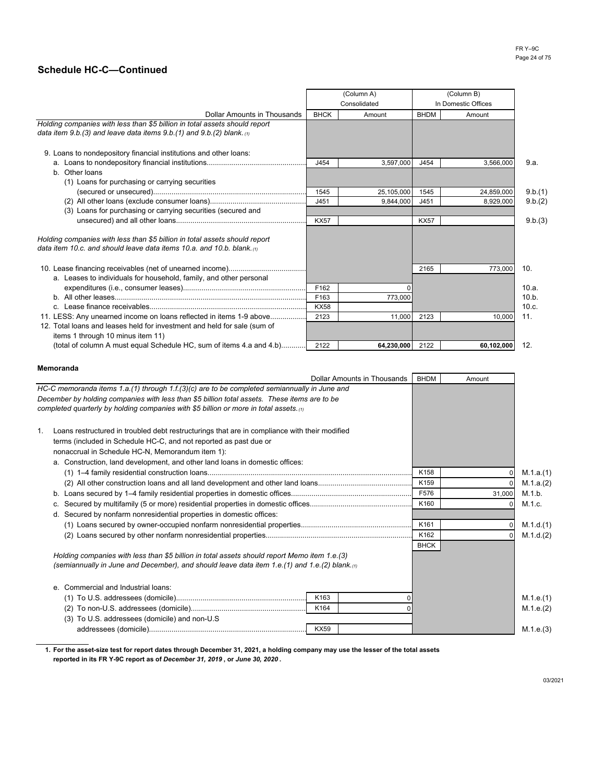|                                                                                                                                                           |             | (Column A)   |             | (Column B)          |         |
|-----------------------------------------------------------------------------------------------------------------------------------------------------------|-------------|--------------|-------------|---------------------|---------|
|                                                                                                                                                           |             | Consolidated |             | In Domestic Offices |         |
| Dollar Amounts in Thousands                                                                                                                               | <b>BHCK</b> | Amount       | <b>BHDM</b> | Amount              |         |
| Holding companies with less than \$5 billion in total assets should report<br>data item 9.b.(3) and leave data items $9.b.(1)$ and $9.b.(2)$ blank. $(1)$ |             |              |             |                     |         |
| 9. Loans to nondepository financial institutions and other loans:                                                                                         |             |              |             |                     |         |
|                                                                                                                                                           | J454        | 3,597,000    | J454        | 3,566,000           | 9.a.    |
| b. Other loans                                                                                                                                            |             |              |             |                     |         |
| (1) Loans for purchasing or carrying securities                                                                                                           |             |              |             |                     |         |
|                                                                                                                                                           | 1545        | 25,105,000   | 1545        | 24,859,000          | 9.b.(1) |
|                                                                                                                                                           | J451        | 9.844.000    | J451        | 8,929,000           | 9.b.(2) |
| (3) Loans for purchasing or carrying securities (secured and                                                                                              |             |              |             |                     |         |
|                                                                                                                                                           | <b>KX57</b> |              | <b>KX57</b> |                     | 9.b.(3) |
| Holding companies with less than \$5 billion in total assets should report<br>data item 10.c. and should leave data items 10.a. and 10.b. blank. $\omega$ |             |              |             |                     |         |
|                                                                                                                                                           |             |              | 2165        | 773,000             | 10.     |
| a. Leases to individuals for household, family, and other personal                                                                                        |             |              |             |                     |         |
|                                                                                                                                                           | F162        |              |             |                     | 10.a.   |
|                                                                                                                                                           | F163        | 773,000      |             |                     | 10.b.   |
|                                                                                                                                                           | <b>KX58</b> |              |             |                     | 10.c.   |
| 11. LESS: Any unearned income on loans reflected in items 1-9 above                                                                                       | 2123        | 11.000       | 2123        | 10.000              | 11.     |
| 12. Total loans and leases held for investment and held for sale (sum of<br>items 1 through 10 minus item 11)                                             |             |              |             |                     |         |
| (total of column A must equal Schedule HC, sum of items 4.a and 4.b)                                                                                      | 2122        | 64,230,000   | 2122        | 60,102,000          | 12.     |

#### **Memoranda**

|    | <b>Dollar Amounts in Thousands</b>                                                                                                                                                          | <b>BHDM</b> | Amount |           |
|----|---------------------------------------------------------------------------------------------------------------------------------------------------------------------------------------------|-------------|--------|-----------|
|    | HC-C memoranda items 1.a.(1) through 1.f.(3)(c) are to be completed semiannually in June and                                                                                                |             |        |           |
|    | December by holding companies with less than \$5 billion total assets. These items are to be<br>completed quarterly by holding companies with \$5 billion or more in total assets. $_{(1)}$ |             |        |           |
| 1. | Loans restructured in troubled debt restructurings that are in compliance with their modified                                                                                               |             |        |           |
|    | terms (included in Schedule HC-C, and not reported as past due or                                                                                                                           |             |        |           |
|    | nonaccrual in Schedule HC-N, Memorandum item 1):                                                                                                                                            |             |        |           |
|    | a. Construction, land development, and other land loans in domestic offices:                                                                                                                |             |        |           |
|    |                                                                                                                                                                                             | K158        | 0      | M.1.a.(1) |
|    |                                                                                                                                                                                             | K159        |        | M.1.a.(2) |
|    |                                                                                                                                                                                             | F576        | 31,000 | M.1.b.    |
|    | C.                                                                                                                                                                                          | K160        |        | M.1.c.    |
|    | d. Secured by nonfarm nonresidential properties in domestic offices:                                                                                                                        |             |        |           |
|    |                                                                                                                                                                                             | K161        |        | M.1.d.(1) |
|    |                                                                                                                                                                                             | K162        |        | M.1.d.(2) |
|    |                                                                                                                                                                                             | <b>BHCK</b> |        |           |
|    | Holding companies with less than \$5 billion in total assets should report Memo item 1.e.(3)                                                                                                |             |        |           |
|    | (semiannually in June and December), and should leave data item 1.e.(1) and 1.e.(2) blank. $\omega$                                                                                         |             |        |           |
|    | e. Commercial and Industrial loans:                                                                                                                                                         |             |        |           |
|    | K163                                                                                                                                                                                        |             |        | M.1.e.(1) |
|    | K164                                                                                                                                                                                        |             |        | M.1.e.(2) |
|    | (3) To U.S. addressees (domicile) and non-U.S                                                                                                                                               |             |        |           |
|    | <b>KX59</b>                                                                                                                                                                                 |             |        | M.1.e.(3) |
|    |                                                                                                                                                                                             |             |        |           |

**1. For the asset-size test for report dates through December 31, 2021, a holding company may use the lesser of the total assets reported in its FR Y-9C report as of** *December 31, 2019* **, or** *June 30, 2020* **.**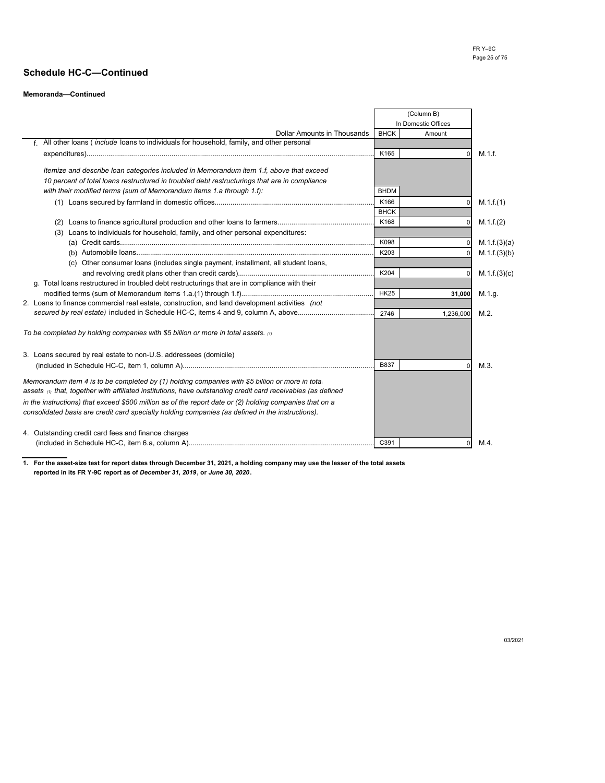#### **Memoranda—Continued**

|                                                                                                                                          |             | (Column B)          |              |
|------------------------------------------------------------------------------------------------------------------------------------------|-------------|---------------------|--------------|
|                                                                                                                                          |             | In Domestic Offices |              |
| <b>Dollar Amounts in Thousands</b><br>f. All other loans ( <i>include</i> loans to individuals for household, family, and other personal | <b>BHCK</b> | Amount              |              |
|                                                                                                                                          |             |                     |              |
|                                                                                                                                          | K165        | O                   | M.1.f.       |
| Itemize and describe loan categories included in Memorandum item 1.f, above that exceed                                                  |             |                     |              |
| 10 percent of total loans restructured in troubled debt restructurings that are in compliance                                            |             |                     |              |
| with their modified terms (sum of Memorandum items 1.a through 1.f):                                                                     | <b>BHDM</b> |                     |              |
|                                                                                                                                          | K166        | 0                   | M.1.f.(1)    |
|                                                                                                                                          | <b>BHCK</b> |                     |              |
|                                                                                                                                          | K168        | O                   | M.1.f.(2)    |
| Loans to individuals for household, family, and other personal expenditures:<br>(3)                                                      |             |                     |              |
|                                                                                                                                          | K098        |                     | M.1.f.(3)(a) |
|                                                                                                                                          | K203        |                     | M.1.f.(3)(b) |
| (c) Other consumer loans (includes single payment, installment, all student loans,                                                       |             |                     |              |
|                                                                                                                                          | K204        |                     | M.1.f.(3)(c) |
| g. Total loans restructured in troubled debt restructurings that are in compliance with their                                            |             |                     |              |
|                                                                                                                                          | <b>HK25</b> | 31,000              | M.1.g.       |
| 2. Loans to finance commercial real estate, construction, and land development activities (not                                           |             |                     |              |
|                                                                                                                                          | 2746        | 1,236,000           | $M.2$ .      |
|                                                                                                                                          |             |                     |              |
| To be completed by holding companies with \$5 billion or more in total assets. $\omega$                                                  |             |                     |              |
| 3. Loans secured by real estate to non-U.S. addressees (domicile)                                                                        |             |                     |              |
|                                                                                                                                          | B837        | O                   | M.3          |
|                                                                                                                                          |             |                     |              |
| Memorandum item 4 is to be completed by (1) holding companies with \$5 billion or more in tota.                                          |             |                     |              |
| assets <sub>(1)</sub> that, together with affiliated institutions, have outstanding credit card receivables (as defined                  |             |                     |              |
| in the instructions) that exceed \$500 million as of the report date or $(2)$ holding companies that on a                                |             |                     |              |
| consolidated basis are credit card specialty holding companies (as defined in the instructions).                                         |             |                     |              |
|                                                                                                                                          |             |                     |              |
| 4. Outstanding credit card fees and finance charges                                                                                      |             |                     |              |
|                                                                                                                                          | C391        | $\overline{0}$      | M.4.         |

**1. For the asset-size test for report dates through December 31, 2021, a holding company may use the lesser of the total assets reported in its FR Y-9C report as of** *December 31, 2019***, or** *June 30, 2020***.**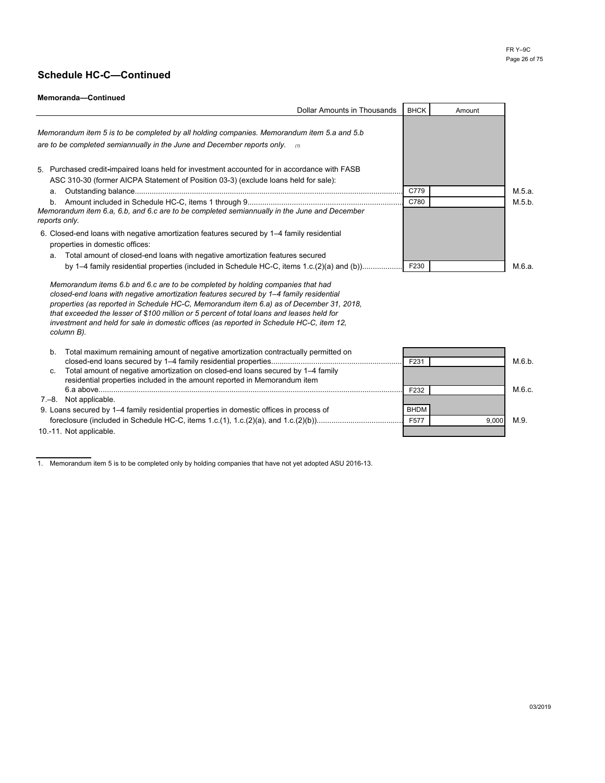### **Memoranda—Continued**

| <b>Dollar Amounts in Thousands</b>                                                                                                                                                                                                                                                                                                                                                                                                                                         | <b>BHCK</b> | Amount |        |
|----------------------------------------------------------------------------------------------------------------------------------------------------------------------------------------------------------------------------------------------------------------------------------------------------------------------------------------------------------------------------------------------------------------------------------------------------------------------------|-------------|--------|--------|
| Memorandum item 5 is to be completed by all holding companies. Memorandum item 5.a and 5.b                                                                                                                                                                                                                                                                                                                                                                                 |             |        |        |
| are to be completed semiannually in the June and December reports only. $\alpha$                                                                                                                                                                                                                                                                                                                                                                                           |             |        |        |
| 5. Purchased credit-impaired loans held for investment accounted for in accordance with FASB<br>ASC 310-30 (former AICPA Statement of Position 03-3) (exclude loans held for sale):<br>a.                                                                                                                                                                                                                                                                                  | C779        |        | M.5.a. |
| b <sub>1</sub>                                                                                                                                                                                                                                                                                                                                                                                                                                                             | C780        |        | M.5.b. |
| Memorandum item 6.a, 6.b, and 6.c are to be completed semiannually in the June and December<br>reports only.                                                                                                                                                                                                                                                                                                                                                               |             |        |        |
| 6. Closed-end loans with negative amortization features secured by 1–4 family residential<br>properties in domestic offices:                                                                                                                                                                                                                                                                                                                                               |             |        |        |
| Total amount of closed-end loans with negative amortization features secured<br>a.                                                                                                                                                                                                                                                                                                                                                                                         |             |        |        |
| by 1–4 family residential properties (included in Schedule HC-C, items 1.c.(2)(a) and (b))                                                                                                                                                                                                                                                                                                                                                                                 | F230        |        | M.6.a. |
| Memorandum items 6.b and 6.c are to be completed by holding companies that had<br>closed-end loans with negative amortization features secured by 1-4 family residential<br>properties (as reported in Schedule HC-C, Memorandum item 6.a) as of December 31, 2018.<br>that exceeded the lesser of \$100 million or 5 percent of total loans and leases held for<br>investment and held for sale in domestic offices (as reported in Schedule HC-C, item 12,<br>column B). |             |        |        |
| Total maximum remaining amount of negative amortization contractually permitted on<br>b.                                                                                                                                                                                                                                                                                                                                                                                   | F231        |        | M.6.b. |
| Total amount of negative amortization on closed-end loans secured by 1-4 family<br>C.<br>residential properties included in the amount reported in Memorandum item                                                                                                                                                                                                                                                                                                         |             |        |        |
|                                                                                                                                                                                                                                                                                                                                                                                                                                                                            | F232        |        | M.6.c. |
| 7.–8. Not applicable.                                                                                                                                                                                                                                                                                                                                                                                                                                                      |             |        |        |
| 9. Loans secured by 1–4 family residential properties in domestic offices in process of                                                                                                                                                                                                                                                                                                                                                                                    | <b>BHDM</b> |        |        |
|                                                                                                                                                                                                                                                                                                                                                                                                                                                                            | F577        | 9,000  | M.9.   |
| 10.-11. Not applicable.                                                                                                                                                                                                                                                                                                                                                                                                                                                    |             |        |        |

1. Memorandum item 5 is to be completed only by holding companies that have not yet adopted ASU 2016-13.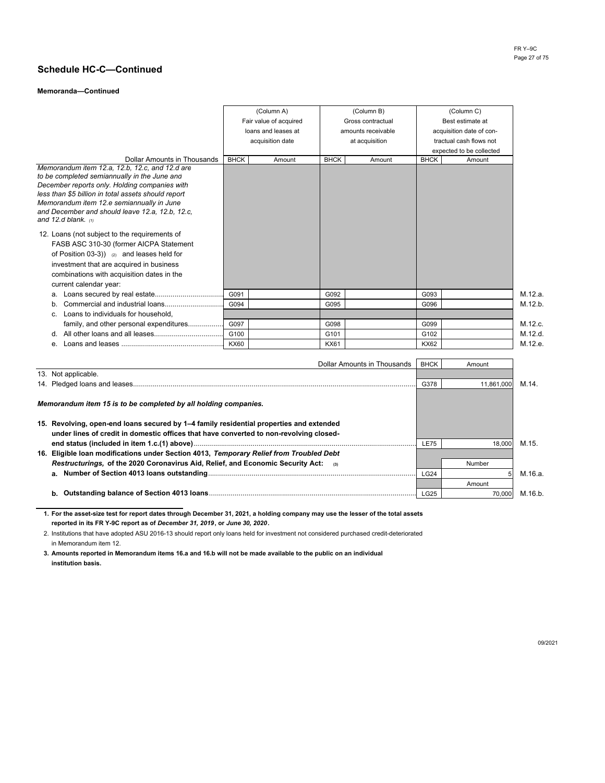#### **Memoranda—Continued**

|                                                                                                      |                  | (Column A)             |             | (Column B)         |             | (Column C)               |
|------------------------------------------------------------------------------------------------------|------------------|------------------------|-------------|--------------------|-------------|--------------------------|
|                                                                                                      |                  | Fair value of acquired |             | Gross contractual  |             | Best estimate at         |
|                                                                                                      |                  | loans and leases at    |             | amounts receivable |             | acquisition date of con- |
|                                                                                                      |                  | acquisition date       |             | at acquisition     |             | tractual cash flows not  |
|                                                                                                      |                  |                        |             |                    |             | expected to be collected |
| Dollar Amounts in Thousands                                                                          | <b>BHCK</b>      | Amount                 | <b>BHCK</b> | Amount             | <b>BHCK</b> | Amount                   |
| Memorandum item 12.a, 12.b, 12.c, and 12.d are                                                       |                  |                        |             |                    |             |                          |
| to be completed semiannually in the June and                                                         |                  |                        |             |                    |             |                          |
| December reports only. Holding companies with<br>less than \$5 billion in total assets should report |                  |                        |             |                    |             |                          |
| Memorandum item 12.e semiannually in June                                                            |                  |                        |             |                    |             |                          |
| and December and should leave 12.a, 12.b, 12.c,                                                      |                  |                        |             |                    |             |                          |
| and 12.d blank. $\omega$                                                                             |                  |                        |             |                    |             |                          |
| 12. Loans (not subject to the requirements of                                                        |                  |                        |             |                    |             |                          |
| FASB ASC 310-30 (former AICPA Statement                                                              |                  |                        |             |                    |             |                          |
| of Position 03-3)) $(2)$ and leases held for                                                         |                  |                        |             |                    |             |                          |
| investment that are acquired in business                                                             |                  |                        |             |                    |             |                          |
| combinations with acquisition dates in the                                                           |                  |                        |             |                    |             |                          |
| current calendar year:                                                                               |                  |                        |             |                    |             |                          |
| a.                                                                                                   | G091             |                        | G092        |                    | G093        | M.12.a.                  |
| b.                                                                                                   | G094             |                        | G095        |                    | G096        | M.12.b.                  |
| Loans to individuals for household.<br>C.                                                            |                  |                        |             |                    |             |                          |
| family, and other personal expenditures                                                              | G097             |                        | G098        |                    | G099        | M.12.c.                  |
| d.                                                                                                   | G <sub>100</sub> |                        | G101        |                    | G102        | M.12.d.                  |
| е.                                                                                                   | KX60             |                        | <b>KX61</b> |                    | <b>KX62</b> | M.12.e.                  |

| Dollar Amounts in Thousands                                                             | <b>BHCK</b> | Amount     |         |
|-----------------------------------------------------------------------------------------|-------------|------------|---------|
| 13. Not applicable.                                                                     |             |            |         |
|                                                                                         | G378        | 11.861.000 | M.14.   |
| Memorandum item 15 is to be completed by all holding companies.                         |             |            |         |
| 15. Revolving, open-end loans secured by 1–4 family residential properties and extended |             |            |         |
| under lines of credit in domestic offices that have converted to non-revolving closed-  |             |            |         |
|                                                                                         | <b>LE75</b> | 18.000     | M.15.   |
| 16. Eligible loan modifications under Section 4013, Temporary Relief from Troubled Debt |             |            |         |
| Restructurings, of the 2020 Coronavirus Aid, Relief, and Economic Security Act:<br>(3)  |             | Number     |         |
|                                                                                         | <b>LG24</b> |            | М.16.а. |
|                                                                                         |             | Amount     |         |
|                                                                                         | <b>LG25</b> | 70.000     | M.16.b. |

**1. For the asset-size test for report dates through December 31, 2021, a holding company may use the lesser of the total assets reported in its FR Y-9C report as of** *December 31, 2019***, or** *June 30, 2020***.** 

2. Institutions that have adopted ASU 2016-13 should report only loans held for investment not considered purchased credit-deteriorated in Memorandum item 12.

**3. Amounts reported in Memorandum items 16.a and 16.b will not be made available to the public on an individual institution basis.**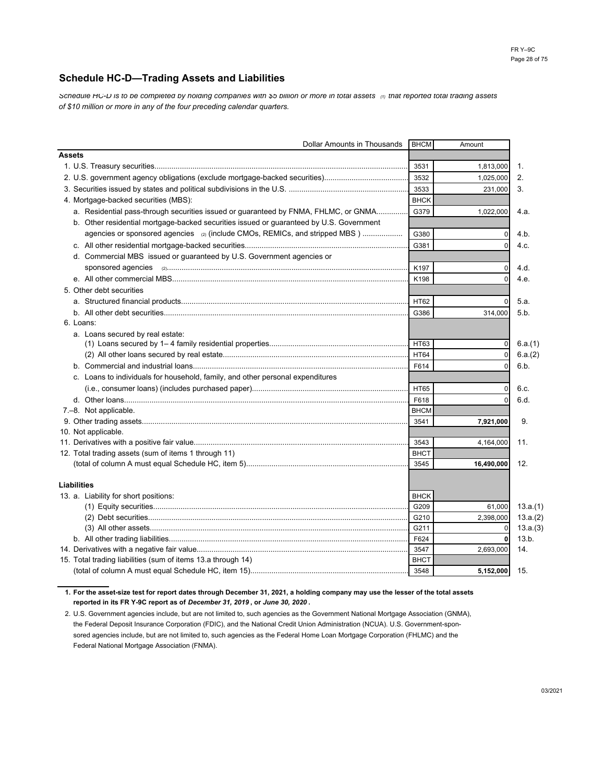## **Schedule HC-D—Trading Assets and Liabilities**

*Schedule HC-D is to be completed by holding companies with \$5 billion or more in total assets (1) that reported total trading assets of \$10 million or more in any of the four preceding calendar quarters.*

| Dollar Amounts in Thousands                                                             | <b>BHCM</b> | Amount         |          |
|-----------------------------------------------------------------------------------------|-------------|----------------|----------|
| <b>Assets</b>                                                                           |             |                |          |
|                                                                                         | 3531        | 1,813,000      | 1.       |
|                                                                                         | 3532        | 1,025,000      | 2.       |
|                                                                                         | 3533        | 231,000        | 3.       |
| 4. Mortgage-backed securities (MBS):                                                    | <b>BHCK</b> |                |          |
| a. Residential pass-through securities issued or guaranteed by FNMA, FHLMC, or GNMA     | G379        | 1,022,000      | 4.a.     |
| b. Other residential mortgage-backed securities issued or guaranteed by U.S. Government |             |                |          |
| agencies or sponsored agencies (2) (include CMOs, REMICs, and stripped MBS)             | G380        | 0              | 4.b.     |
|                                                                                         | G381        |                | 4.c.     |
| d. Commercial MBS issued or guaranteed by U.S. Government agencies or                   |             |                |          |
|                                                                                         | K197        |                | 4.d.     |
|                                                                                         | K198        | $\Omega$       | 4.e.     |
| 5. Other debt securities                                                                |             |                |          |
|                                                                                         | HT62        |                | 5.a.     |
|                                                                                         | G386        | 314,000        | 5.b.     |
| 6. Loans:                                                                               |             |                |          |
| a. Loans secured by real estate:                                                        |             |                |          |
|                                                                                         | HT63        | $\Omega$       | 6.a.(1)  |
|                                                                                         | <b>HT64</b> | $\Omega$       | 6.a.(2)  |
|                                                                                         | F614        | $\Omega$       | 6.b.     |
| c. Loans to individuals for household, family, and other personal expenditures          |             |                |          |
|                                                                                         | <b>HT65</b> | $\Omega$       | 6.c.     |
|                                                                                         | F618        |                | 6.d.     |
| 7.-8. Not applicable.                                                                   | <b>BHCM</b> |                |          |
|                                                                                         | 3541        | 7,921,000      | 9.       |
| 10. Not applicable.                                                                     |             |                |          |
|                                                                                         | 3543        | 4,164,000      | 11.      |
| 12. Total trading assets (sum of items 1 through 11)                                    | <b>BHCT</b> |                |          |
|                                                                                         | 3545        | 16,490,000     | 12.      |
|                                                                                         |             |                |          |
| <b>Liabilities</b>                                                                      |             |                |          |
| 13. a. Liability for short positions:                                                   | <b>BHCK</b> |                |          |
|                                                                                         | G209        | 61,000         | 13.a.(1) |
|                                                                                         | G210        | 2,398,000      | 13.a.(2) |
|                                                                                         | G211        | $\overline{0}$ | 13.a.(3) |
|                                                                                         | F624        | $\mathbf{0}$   | 13.b.    |
|                                                                                         | 3547        | 2,693,000      | 14.      |
| 15. Total trading liabilities (sum of items 13.a through 14)                            | <b>BHCT</b> |                |          |
|                                                                                         | 3548        | 5,152,000      | 15.      |

**1. For the asset-size test for report dates through December 31, 2021, a holding company may use the lesser of the total assets reported in its FR Y-9C report as of** *December 31, 2019* **, or** *June 30, 2020* **.** 

2. U.S. Government agencies include, but are not limited to, such agencies as the Government National Mortgage Association (GNMA), the Federal Deposit Insurance Corporation (FDIC), and the National Credit Union Administration (NCUA). U.S. Government-sponsored agencies include, but are not limited to, such agencies as the Federal Home Loan Mortgage Corporation (FHLMC) and the Federal National Mortgage Association (FNMA).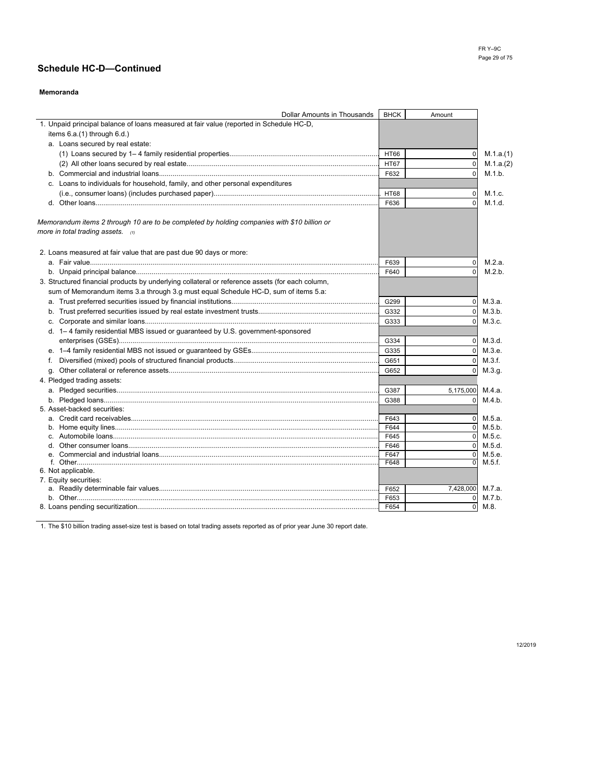### **Memoranda**

| <b>Dollar Amounts in Thousands</b>                                                              | <b>BHCK</b> | Amount         |            |
|-------------------------------------------------------------------------------------------------|-------------|----------------|------------|
| 1. Unpaid principal balance of loans measured at fair value (reported in Schedule HC-D,         |             |                |            |
| items 6.a.(1) through 6.d.)                                                                     |             |                |            |
| a. Loans secured by real estate:                                                                |             |                |            |
|                                                                                                 | <b>HT66</b> | $\mathbf 0$    | M.1.a.(1)  |
|                                                                                                 | <b>HT67</b> | $\mathbf 0$    | M.1.a.(2)  |
|                                                                                                 | F632        | $\Omega$       | M.1.b.     |
| c. Loans to individuals for household, family, and other personal expenditures                  |             |                |            |
|                                                                                                 | <b>HT68</b> | $\mathbf 0$    | M.1.c.     |
|                                                                                                 | F636        | $\Omega$       | M.1.d.     |
|                                                                                                 |             |                |            |
| Memorandum items 2 through 10 are to be completed by holding companies with \$10 billion or     |             |                |            |
| more in total trading assets. $(1)$                                                             |             |                |            |
|                                                                                                 |             |                |            |
| 2. Loans measured at fair value that are past due 90 days or more:                              |             |                |            |
|                                                                                                 | F639        | $\Omega$       | M.2.a.     |
|                                                                                                 | F640        | $\Omega$       | M.2.b.     |
| 3. Structured financial products by underlying collateral or reference assets (for each column, |             |                |            |
| sum of Memorandum items 3.a through 3.g must equal Schedule HC-D, sum of items 5.a:             |             |                |            |
|                                                                                                 | G299        | $\overline{0}$ | M.3.a.     |
|                                                                                                 | G332        | $\Omega$       | M.3.b.     |
|                                                                                                 | G333        | $\Omega$       | M.3.c.     |
| d. 1-4 family residential MBS issued or guaranteed by U.S. government-sponsored                 |             |                |            |
|                                                                                                 | G334        | $\overline{0}$ | M.3.d.     |
|                                                                                                 | G335        |                | $0$ M.3.e. |
|                                                                                                 | G651        | $\Omega$       | M.3.f.     |
| f.                                                                                              | G652        |                |            |
|                                                                                                 |             |                | $0$ M.3.g. |
| 4. Pledged trading assets:                                                                      |             |                | M.4.a.     |
|                                                                                                 | G387        | 5,175,000      |            |
| 5. Asset-backed securities:                                                                     | G388        | $\Omega$       | M.4.b.     |
|                                                                                                 | F643        | $\Omega$       | M.5.a.     |
|                                                                                                 | F644        | $\Omega$       | M.5.b.     |
|                                                                                                 | F645        |                | $0$ M.5.c. |
|                                                                                                 | F646        | $\Omega$       | M.5.d.     |
|                                                                                                 | F647        | $\Omega$       | M.5.e.     |
|                                                                                                 | F648        | $\Omega$       | M.5.f.     |
| 6. Not applicable.                                                                              |             |                |            |
| 7. Equity securities:                                                                           |             |                |            |
|                                                                                                 | F652        | 7,428,000      | M.7.a.     |
|                                                                                                 | F653        | 0              | M.7.b.     |
|                                                                                                 | F654        | $\mathbf 0$    | M.8.       |

1. The \$10 billion trading asset-size test is based on total trading assets reported as of prior year June 30 report date.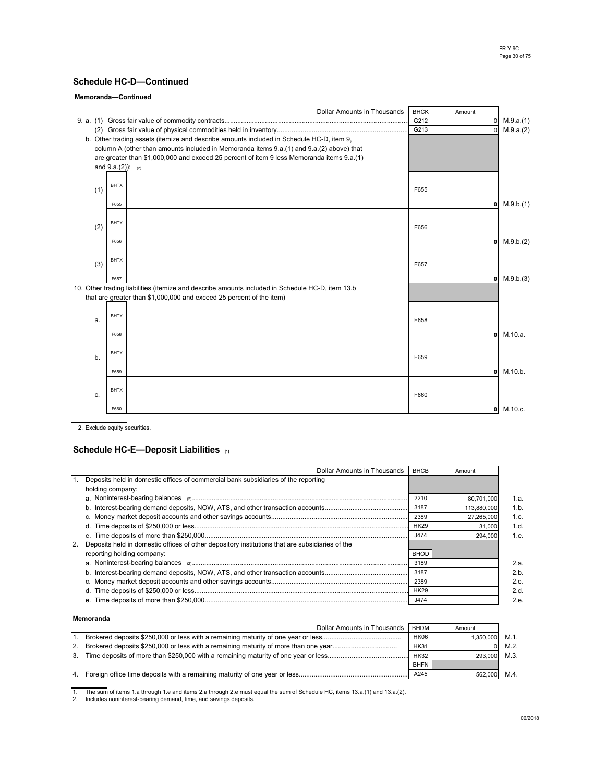#### **Memoranda—Continued**

|     | Dollar Amounts in Thousands                                                                                                                                                                                                                                                                              | <b>BHCK</b> | Amount       |                           |
|-----|----------------------------------------------------------------------------------------------------------------------------------------------------------------------------------------------------------------------------------------------------------------------------------------------------------|-------------|--------------|---------------------------|
|     |                                                                                                                                                                                                                                                                                                          | G212        | $\mathbf 0$  | M.9.a.(1)                 |
|     |                                                                                                                                                                                                                                                                                                          | G213        | $\Omega$     | M.9.a.(2)                 |
|     | b. Other trading assets (itemize and describe amounts included in Schedule HC-D, item 9,<br>column A (other than amounts included in Memoranda items 9.a.(1) and 9.a.(2) above) that<br>are greater than \$1,000,000 and exceed 25 percent of item 9 less Memoranda items 9.a.(1)<br>and $9.a.(2)$ : (2) |             |              |                           |
| (1) | <b>BHTX</b>                                                                                                                                                                                                                                                                                              | F655        |              |                           |
|     | F655                                                                                                                                                                                                                                                                                                     |             |              | $0$ M.9.b.(1)             |
| (2) | <b>BHTX</b>                                                                                                                                                                                                                                                                                              | F656        |              |                           |
|     | F656                                                                                                                                                                                                                                                                                                     |             |              | M.9.b.(2)<br>$\mathbf{0}$ |
| (3) | <b>BHTX</b>                                                                                                                                                                                                                                                                                              | F657        |              |                           |
|     | F657                                                                                                                                                                                                                                                                                                     |             |              | $0$ M.9.b.(3)             |
|     | 10. Other trading liabilities (itemize and describe amounts included in Schedule HC-D, item 13.b<br>that are greater than \$1,000,000 and exceed 25 percent of the item)                                                                                                                                 |             |              |                           |
| a.  | <b>BHTX</b>                                                                                                                                                                                                                                                                                              | F658        |              |                           |
|     | F658                                                                                                                                                                                                                                                                                                     |             | $\mathbf{0}$ | M.10.a.                   |
| b.  | <b>BHTX</b>                                                                                                                                                                                                                                                                                              | F659        |              |                           |
|     | F659                                                                                                                                                                                                                                                                                                     |             | $\mathbf{0}$ | M.10.b.                   |
| C.  | <b>BHTX</b>                                                                                                                                                                                                                                                                                              | F660        |              |                           |
|     | F660                                                                                                                                                                                                                                                                                                     |             |              | M.10.c.<br>$\mathbf{0}$   |

2. Exclude equity securities.

### **Schedule HC-E—Deposit Liabilities (1)**

| Dollar Amounts in Thousands                                                                        | BHCB        | Amount      |      |
|----------------------------------------------------------------------------------------------------|-------------|-------------|------|
| 1. Deposits held in domestic offices of commercial bank subsidiaries of the reporting              |             |             |      |
| holding company:                                                                                   |             |             |      |
|                                                                                                    | 2210        | 80,701,000  | 1.a. |
|                                                                                                    | 3187        | 113,880,000 | 1.b. |
|                                                                                                    | 2389        | 27,265,000  | 1.c. |
| d.                                                                                                 | <b>HK29</b> | 31.000      | 1.d. |
|                                                                                                    | J474        | 294,000     | 1.e. |
| 2. Deposits held in domestic offices of other depository institutions that are subsidiaries of the |             |             |      |
| reporting holding company:                                                                         | <b>BHOD</b> |             |      |
|                                                                                                    | 3189        |             | 2.a  |
|                                                                                                    | 3187        |             | 2.b  |
|                                                                                                    | 2389        |             | 2.c. |
|                                                                                                    | <b>HK29</b> |             | 2.d. |
|                                                                                                    | J474        |             | 2.e. |

#### **Memoranda**

|    | Dollar Amounts in Thousands | <b>BHDM</b> | Amount    |         |
|----|-----------------------------|-------------|-----------|---------|
|    |                             | <b>HK06</b> | 1.350.000 | M.1.    |
| 2. |                             | <b>HK31</b> |           | $M.2$ . |
| 3. |                             | <b>HK32</b> | 293.000   | M.3.    |
|    |                             | <b>BHFN</b> |           |         |
|    |                             | A245        | 562.000   | M.4.    |

1. The sum of items 1.a through 1.e and items 2.a through 2.e must equal the sum of Schedule HC, items 13.a.(1) and 13.a.(2). 2. Includes noninterest-bearing demand, time, and savings deposits.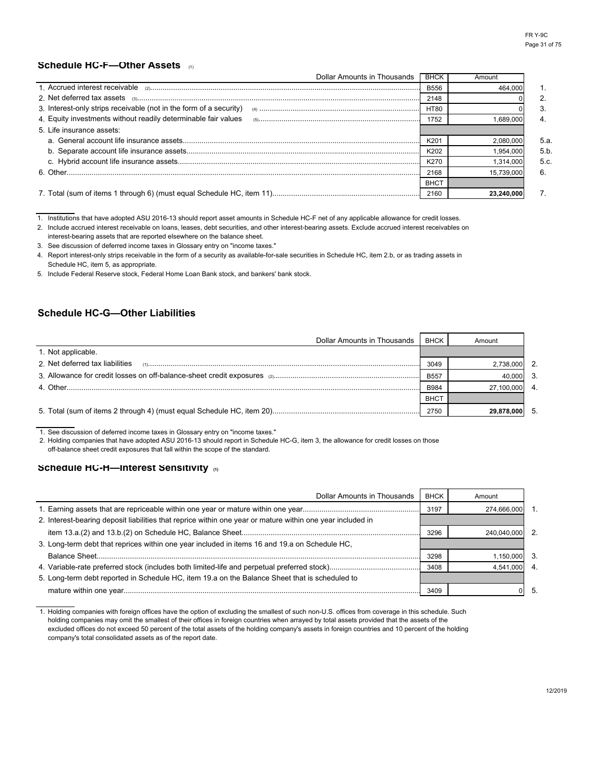# **Schedule HC-F—Other Assets** (1)

| Dollar Amounts in Thousands                                        | <b>BHCK</b>      | Amount     |      |
|--------------------------------------------------------------------|------------------|------------|------|
| 1 Accrued interest receivable                                      | <b>B556</b>      | 464.000    |      |
| 2. Net deferred tax assets                                         | 2148             |            |      |
| 3. Interest-only strips receivable (not in the form of a security) | <b>HT80</b>      |            |      |
| 4. Equity investments without readily determinable fair values     | 1752             | 1.689.000  |      |
| 5. Life insurance assets:                                          |                  |            |      |
|                                                                    | K <sub>201</sub> | 2.080.000  | 5.a. |
|                                                                    | K202             | 1.954.000  | 5.b. |
|                                                                    | K270             | 1.314.000  | 5.c. |
|                                                                    | 2168             | 15.739.000 | 6.   |
|                                                                    | <b>BHCT</b>      |            |      |
|                                                                    | 2160             | 23.240.00  |      |

1. Institutions that have adopted ASU 2016-13 should report asset amounts in Schedule HC-F net of any applicable allowance for credit losses.

2. Include accrued interest receivable on loans, leases, debt securities, and other interest-bearing assets. Exclude accrued interest receivables on interest-bearing assets that are reported elsewhere on the balance sheet.

3. See discussion of deferred income taxes in Glossary entry on "income taxes."

4. Report interest-only strips receivable in the form of a security as available-for-sale securities in Schedule HC, item 2.b, or as trading assets in Schedule HC, item 5, as appropriate.

5. Include Federal Reserve stock, Federal Home Loan Bank stock, and bankers' bank stock.

# **Schedule HC-G—Other Liabilities**

| Dollar Amounts in Thousands     | BHCK        | Amount     |               |
|---------------------------------|-------------|------------|---------------|
| 1. Not applicable.              |             |            |               |
| 2. Net deferred tax liabilities | 3049        | 2.738.000  | $\mathcal{P}$ |
|                                 | <b>B557</b> | 40.000     | $\mathcal{R}$ |
|                                 | <b>B984</b> | 27.100.000 | 4             |
|                                 | <b>BHCT</b> |            |               |
|                                 | 2750        |            | 5             |

1. See discussion of deferred income taxes in Glossary entry on "income taxes."

2. Holding companies that have adopted ASU 2016-13 should report in Schedule HC-G, item 3, the allowance for credit losses on those off-balance sheet credit exposures that fall within the scope of the standard.

#### **Schedule HC-H—Interest Sensitivity (1)**

| Dollar Amounts in Thousands                                                                                | <b>BHCK</b> | Amount      |    |
|------------------------------------------------------------------------------------------------------------|-------------|-------------|----|
|                                                                                                            | 3197        | 274.666.000 |    |
| 2. Interest-bearing deposit liabilities that reprice within one year or mature within one year included in |             |             |    |
|                                                                                                            | 3296        | 240.040.000 |    |
| 3. Long-term debt that reprices within one year included in items 16 and 19.a on Schedule HC,              |             |             |    |
|                                                                                                            | 3298        | 1,150,000   | 3  |
|                                                                                                            | 3408        | 4.541.000   | 4  |
| 5. Long-term debt reported in Schedule HC, item 19.a on the Balance Sheet that is scheduled to             |             |             |    |
|                                                                                                            | 3409        |             | 5. |

1. Holding companies with foreign offices have the option of excluding the smallest of such non-U.S. offices from coverage in this schedule. Such company's total consolidated assets as of the report date. holding companies may omit the smallest of their offices in foreign countries when arrayed by total assets provided that the assets of the excluded offices do not exceed 50 percent of the total assets of the holding company's assets in foreign countries and 10 percent of the holding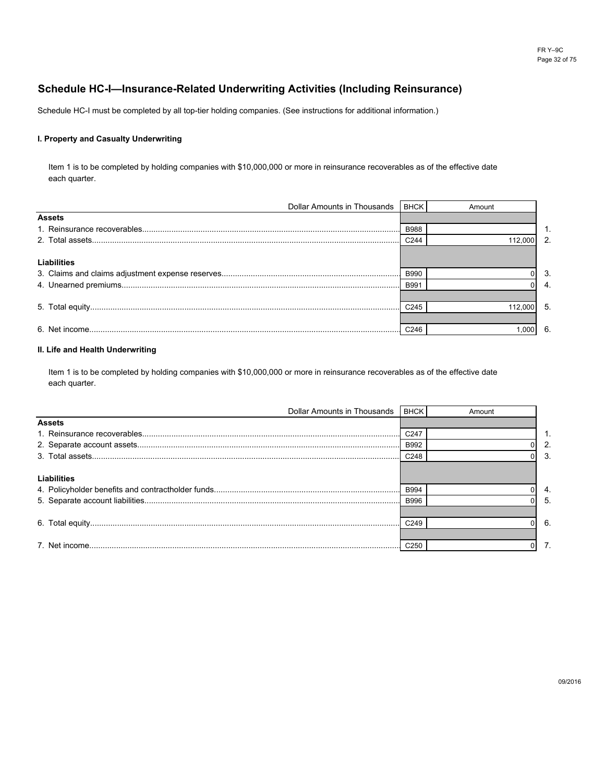# **Schedule HC-I—Insurance-Related Underwriting Activities (Including Reinsurance)**

Schedule HC-I must be completed by all top-tier holding companies. (See instructions for additional information.)

#### **I. Property and Casualty Underwriting**

each quarter. Item 1 is to be completed by holding companies with \$10,000,000 or more in reinsurance recoverables as of the effective date

| <b>Dollar Amounts in Thousands</b> | <b>BHCK</b>      | Amount  |    |
|------------------------------------|------------------|---------|----|
| <b>Assets</b>                      |                  |         |    |
|                                    | <b>B988</b>      |         |    |
|                                    | C <sub>244</sub> | 112.000 | 2. |
|                                    |                  |         |    |
| <b>Liabilities</b>                 |                  |         |    |
|                                    | <b>B990</b>      |         | 3. |
|                                    | <b>B991</b>      |         | 4. |
|                                    |                  |         |    |
|                                    | C <sub>245</sub> | 112.000 | 5  |
|                                    |                  |         |    |
|                                    |                  | 0001    | 6. |

#### **II. Life and Health Underwriting**

each quarter. Item 1 is to be completed by holding companies with \$10,000,000 or more in reinsurance recoverables as of the effective date

| Dollar Amounts in Thousands   BHCK |                  | Amount |    |
|------------------------------------|------------------|--------|----|
| <b>Assets</b>                      |                  |        |    |
|                                    | C <sub>247</sub> |        |    |
|                                    | <b>B992</b>      |        |    |
|                                    | C <sub>248</sub> |        | 3  |
| Liabilities                        |                  |        |    |
|                                    | <b>B994</b>      |        | 4. |
|                                    | <b>B996</b>      |        | .5 |
|                                    | C <sub>249</sub> |        | 6. |
|                                    | C <sub>250</sub> |        |    |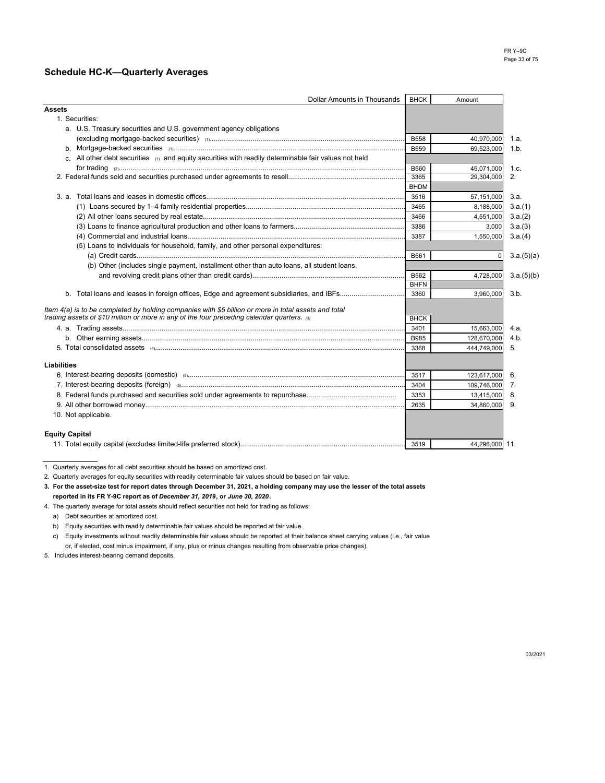## **Schedule HC-K—Quarterly Averages**

| <b>Dollar Amounts in Thousands</b>                                                                    | <b>BHCK</b> | Amount         |            |
|-------------------------------------------------------------------------------------------------------|-------------|----------------|------------|
| <b>Assets</b>                                                                                         |             |                |            |
| 1. Securities:                                                                                        |             |                |            |
| a. U.S. Treasury securities and U.S. government agency obligations                                    |             |                |            |
|                                                                                                       | <b>B558</b> | 40,970,000     | 1.a.       |
|                                                                                                       | <b>B559</b> | 69,523,000     | 1.b.       |
| c. All other debt securities (1) and equity securities with readily determinable fair values not held |             |                |            |
|                                                                                                       | <b>B560</b> | 45,071,000     | 1.c.       |
|                                                                                                       | 3365        | 29.304.000     | 2.         |
|                                                                                                       | <b>BHDM</b> |                |            |
|                                                                                                       | 3516        | 57,151,000     | 3.a.       |
|                                                                                                       | 3465        | 8,188,000      | 3.a.(1)    |
|                                                                                                       | 3466        | 4,551,000      | 3.a.(2)    |
|                                                                                                       | 3386        | 3,000          | 3.a.(3)    |
|                                                                                                       | 3387        | 1,550,000      | 3.a.(4)    |
| (5) Loans to individuals for household, family, and other personal expenditures:                      |             |                |            |
|                                                                                                       | B561        | 0              | 3.a.(5)(a) |
| (b) Other (includes single payment, installment other than auto loans, all student loans,             |             |                |            |
|                                                                                                       | B562        | 4,728,000      | 3.a.(5)(b) |
|                                                                                                       | <b>BHFN</b> |                |            |
|                                                                                                       | 3360        | 3,960,000      | 3.b.       |
| Item 4(a) is to be completed by holding companies with \$5 billion or more in total assets and total  |             |                |            |
| trading assets of \$10 million or more in any of the four preceding calendar quarters. (3)            | <b>BHCK</b> |                |            |
|                                                                                                       | 3401        | 15,663,000     | 4.a.       |
|                                                                                                       | <b>B985</b> | 128,670,000    | 4.b.       |
|                                                                                                       | 3368        | 444,749,000    | 5.         |
|                                                                                                       |             |                |            |
| <b>Liabilities</b>                                                                                    |             |                |            |
|                                                                                                       | 3517        | 123,617,000    | 6.         |
|                                                                                                       | 3404        | 109,746,000    | 7.         |
|                                                                                                       | 3353        | 13,415,000     | 8.         |
|                                                                                                       | 2635        | 34,860,000     | 9.         |
| 10. Not applicable.                                                                                   |             |                |            |
|                                                                                                       |             |                |            |
| <b>Equity Capital</b>                                                                                 |             |                |            |
|                                                                                                       | 3519        | 44,296,000 11. |            |

<sup>1.</sup> Quarterly averages for all debt securities should be based on amortized cost.

- 4. The quarterly average for total assets should reflect securities not held for trading as follows:
- a) Debt securities at amortized cost.
- b) Equity securities with readily determinable fair values should be reported at fair value.
- c) Equity investments without readily determinable fair values should be reported at their balance sheet carrying values (i.e., fair value or, if elected, cost minus impairment, if any, plus or minus changes resulting from observable price changes).
- 5. Includes interest-bearing demand deposits.

<sup>2.</sup> Quarterly averages for equity securities with readily determinable fair values should be based on fair value.

**<sup>3.</sup> For the asset-size test for report dates through December 31, 2021, a holding company may use the lesser of the total assets reported in its FR Y-9C report as of** *December 31, 2019***, or** *June 30, 2020***.**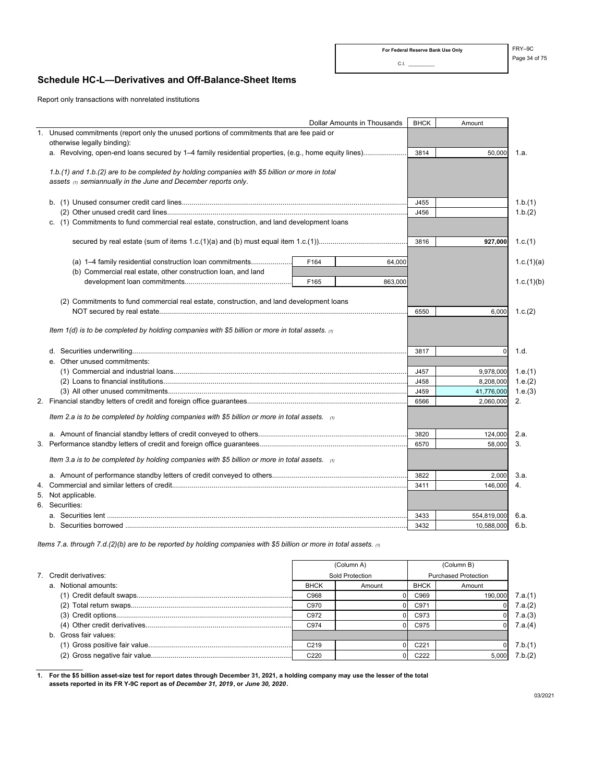### **Schedule HC-L—Derivatives and Off-Balance-Sheet Items**

Report only transactions with nonrelated institutions

| <b>Dollar Amounts in Thousands</b>                                                                   | <b>BHCK</b> | Amount      |            |
|------------------------------------------------------------------------------------------------------|-------------|-------------|------------|
| 1. Unused commitments (report only the unused portions of commitments that are fee paid or           |             |             |            |
| otherwise legally binding):                                                                          |             |             |            |
| a. Revolving, open-end loans secured by 1-4 family residential properties, (e.g., home equity lines) | 3814        | 50,000      | 1.a.       |
|                                                                                                      |             |             |            |
| 1.b.(1) and 1.b.(2) are to be completed by holding companies with \$5 billion or more in total       |             |             |            |
| assets (1) semiannually in the June and December reports only.                                       |             |             |            |
|                                                                                                      |             |             |            |
|                                                                                                      | J455        |             | 1.b.(1)    |
| c. (1) Commitments to fund commercial real estate, construction, and land development loans          | J456        |             | 1.b.(2)    |
|                                                                                                      |             |             |            |
|                                                                                                      | 3816        | 927,000     | 1.c.(1)    |
|                                                                                                      |             |             |            |
| (a) 1-4 family residential construction loan commitments<br>F164<br>64,000                           |             |             | 1.c.(1)(a) |
| (b) Commercial real estate, other construction loan, and land                                        |             |             |            |
| F165<br>863,000                                                                                      |             |             | 1.c.(1)(b) |
|                                                                                                      |             |             |            |
| (2) Commitments to fund commercial real estate, construction, and land development loans             |             |             |            |
|                                                                                                      | 6550        | 6,000       | 1.c.(2)    |
|                                                                                                      |             |             |            |
| Item 1(d) is to be completed by holding companies with \$5 billion or more in total assets. $\omega$ |             |             |            |
|                                                                                                      |             |             |            |
| e. Other unused commitments:                                                                         | 3817        | $\mathbf 0$ | 1.d.       |
|                                                                                                      | J457        | 9,978,000   | 1.e.(1)    |
|                                                                                                      | J458        | 8,208,000   | 1.e.(2)    |
|                                                                                                      | J459        | 41,776,000  | 1.e.(3)    |
|                                                                                                      | 6566        | 2,060,000   | 2.         |
|                                                                                                      |             |             |            |
| Item 2.a is to be completed by holding companies with \$5 billion or more in total assets. $\omega$  |             |             |            |
|                                                                                                      | 3820        | 124,000     | 2.a.       |
|                                                                                                      | 6570        | 58,000      | 3.         |
|                                                                                                      |             |             |            |
| Item 3.a is to be completed by holding companies with \$5 billion or more in total assets. $\alpha$  |             |             |            |
|                                                                                                      | 3822        | 2,000       | 3.a.       |
|                                                                                                      | 3411        | 146,000     | 4.         |
| 5. Not applicable.                                                                                   |             |             |            |
| 6. Securities:                                                                                       |             |             |            |
|                                                                                                      | 3433        | 554,819,000 | 6.a.       |
|                                                                                                      | 3432        | 10,588,000  | 6.b.       |

*Items 7.a. through 7.d.(2)(b) are to be reported by holding companies with \$5 billion or more in total assets. (1)*

|                        |                 | (Column A) |                             | (Column B) |         |
|------------------------|-----------------|------------|-----------------------------|------------|---------|
| 7. Credit derivatives: | Sold Protection |            | <b>Purchased Protection</b> |            |         |
| a. Notional amounts:   | <b>BHCK</b>     | Amount     | <b>BHCK</b>                 | Amount     |         |
|                        | C968            |            | C969                        | 190.000    | 7.a.(1) |
|                        | C970            |            | C971                        |            | 7.a.(2) |
|                        | C972            |            | C973                        |            | 7.a.(3) |
|                        | C974            |            | C975                        |            | 7.a.(4) |
| b. Gross fair values:  |                 |            |                             |            |         |
|                        | C219            |            | C <sub>221</sub>            |            | 7.b.(1) |
|                        | C220            |            | C <sub>222</sub>            | 5,000      | 7.b.(2) |

**1. For the \$5 billion asset-size test for report dates through December 31, 2021, a holding company may use the lesser of the total assets reported in its FR Y-9C report as of** *December 31, 2019***, or** *June 30, 2020***.**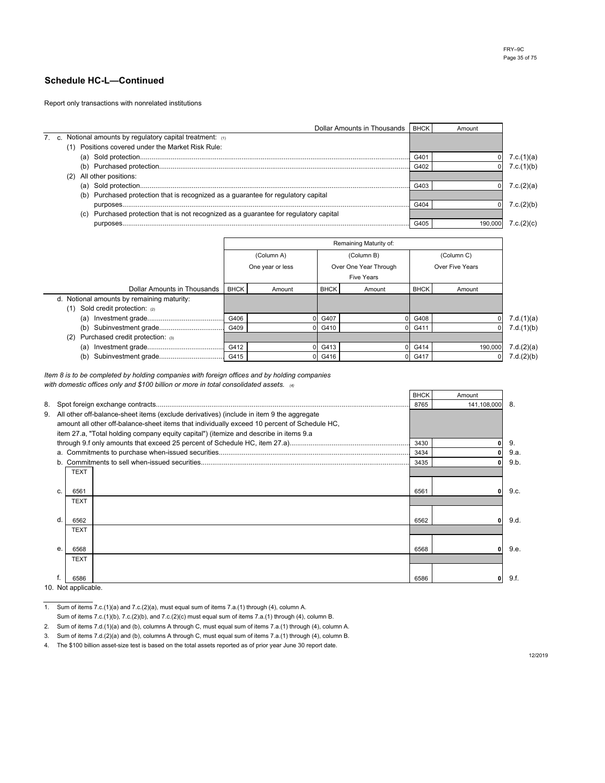Report only transactions with nonrelated institutions

|                                                                                          | Dollar Amounts in Thousands | <b>BHCK</b> | Amount |            |
|------------------------------------------------------------------------------------------|-----------------------------|-------------|--------|------------|
| 7. c. Notional amounts by regulatory capital treatment: (1)                              |                             |             |        |            |
| Positions covered under the Market Risk Rule:<br>(1)                                     |                             |             |        |            |
|                                                                                          |                             | G40         |        | 7.c.(1)(a) |
|                                                                                          |                             | G402        |        | 7.c.(1)(b) |
| All other positions:<br>(2)                                                              |                             |             |        |            |
|                                                                                          |                             | G403        |        | 7.c.(2)(a) |
| (b) Purchased protection that is recognized as a guarantee for regulatory capital        |                             |             |        |            |
|                                                                                          |                             | G404        |        | 7.c.(2)(b) |
| Purchased protection that is not recognized as a guarantee for regulatory capital<br>(c) |                             |             |        |            |
|                                                                                          |                             | G405        |        |            |

|                                            | Remaining Maturity of: |                  |             |                       |             |                 |            |
|--------------------------------------------|------------------------|------------------|-------------|-----------------------|-------------|-----------------|------------|
|                                            | (Column A)             |                  | (Column B)  |                       | (Column C)  |                 |            |
|                                            |                        | One year or less |             | Over One Year Through |             | Over Five Years |            |
|                                            |                        |                  |             | <b>Five Years</b>     |             |                 |            |
| Dollar Amounts in Thousands                | <b>BHCK</b>            | Amount           | <b>BHCK</b> | Amount                | <b>BHCK</b> | Amount          |            |
| d. Notional amounts by remaining maturity: |                        |                  |             |                       |             |                 |            |
| Sold credit protection: $(2)$<br>(1)       |                        |                  |             |                       |             |                 |            |
| (a)                                        | G406                   |                  | G407        |                       | G408        |                 | 7.d.(1)(a) |
| (b)                                        | G409                   |                  | G410        |                       | G411        | $\Omega$        | 7.d.(1)(b) |
| Purchased credit protection: (3)<br>(2)    |                        |                  |             |                       |             |                 |            |
| (a)                                        | G412                   |                  | G413        |                       | G414        | 190,000         | 7.d.(2)(a) |
| (b)                                        | G415                   |                  | 0 G416      |                       | G417        | $\overline{0}$  | 7.d.(2)(b) |

*Item 8 is to be completed by holding companies with foreign offices and by holding companies with domestic offices only and \$100 billion or more in total consolidated assets. (4)*

|             |                                                                                              | <b>BHCK</b> | Amount      |      |
|-------------|----------------------------------------------------------------------------------------------|-------------|-------------|------|
|             |                                                                                              | 8765        | 141,108,000 | -8.  |
|             | 9. All other off-balance-sheet items (exclude derivatives) (include in item 9 the aggregate  |             |             |      |
|             | amount all other off-balance-sheet items that individually exceed 10 percent of Schedule HC. |             |             |      |
|             | item 27.a, "Total holding company equity capital") (itemize and describe in items 9.a        |             |             |      |
|             |                                                                                              | 3430        |             | 9.   |
|             |                                                                                              | 3434        |             | 9.a. |
| b.          |                                                                                              | 3435        |             | 9.b. |
| <b>TEXT</b> |                                                                                              |             |             |      |
|             |                                                                                              |             |             |      |
| c.<br>6561  |                                                                                              | 6561        |             | 9.c. |
| <b>TEXT</b> |                                                                                              |             |             |      |
|             |                                                                                              |             |             |      |
| d<br>6562   |                                                                                              | 6562        | 0           | 9.d. |
| <b>TEXT</b> |                                                                                              |             |             |      |
|             |                                                                                              |             |             |      |
| e.<br>6568  |                                                                                              | 6568        | 0           | 9.e. |
| <b>TEXT</b> |                                                                                              |             |             |      |
|             |                                                                                              |             |             |      |
| 6586        |                                                                                              | 6586        | n           | 9.f. |

<sup>10.</sup> Not applicable.

1. Sum of items 7.c.(1)(a) and 7.c.(2)(a), must equal sum of items 7.a.(1) through (4), column A.

Sum of items 7.c.(1)(b), 7.c.(2)(b), and 7.c.(2)(c) must equal sum of items 7.a.(1) through (4), column B.

2. Sum of items 7.d.(1)(a) and (b), columns A through C, must equal sum of items 7.a.(1) through (4), column A.

3. Sum of items 7.d.(2)(a) and (b), columns A through C, must equal sum of items 7.a.(1) through (4), column B.

4. The \$100 billion asset-size test is based on the total assets reported as of prior year June 30 report date.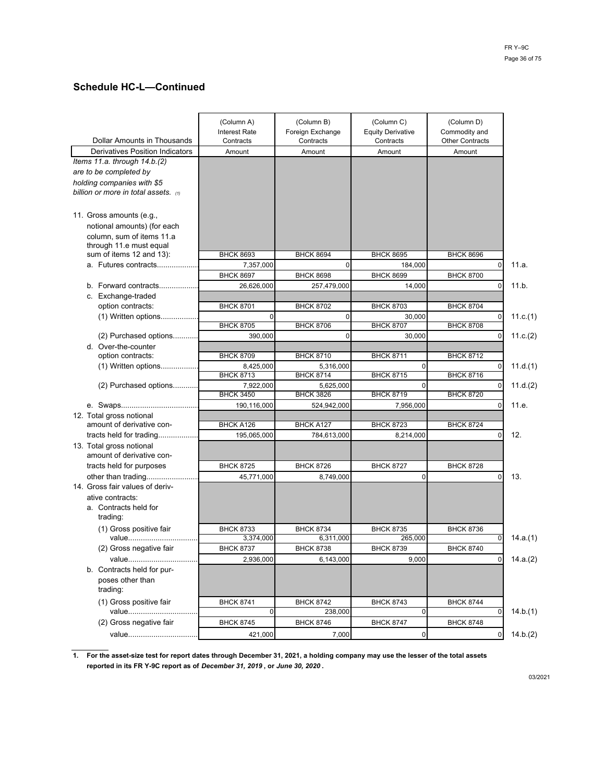|                                           | (Column A)<br><b>Interest Rate</b> | (Column B)<br>Foreign Exchange | (Column C)<br><b>Equity Derivative</b> | (Column D)<br>Commodity and |
|-------------------------------------------|------------------------------------|--------------------------------|----------------------------------------|-----------------------------|
| Dollar Amounts in Thousands               | Contracts                          | Contracts                      | Contracts                              | <b>Other Contracts</b>      |
| <b>Derivatives Position Indicators</b>    | Amount                             | Amount                         | Amount                                 | Amount                      |
| Items 11.a. through 14.b.(2)              |                                    |                                |                                        |                             |
| are to be completed by                    |                                    |                                |                                        |                             |
| holding companies with \$5                |                                    |                                |                                        |                             |
| billion or more in total assets. $\omega$ |                                    |                                |                                        |                             |
|                                           |                                    |                                |                                        |                             |
|                                           |                                    |                                |                                        |                             |
| 11. Gross amounts (e.g.,                  |                                    |                                |                                        |                             |
| notional amounts) (for each               |                                    |                                |                                        |                             |
| column, sum of items 11.a                 |                                    |                                |                                        |                             |
| through 11.e must equal                   |                                    |                                |                                        |                             |
| sum of items 12 and 13):                  | <b>BHCK 8693</b>                   | <b>BHCK 8694</b>               | <b>BHCK 8695</b>                       | <b>BHCK 8696</b>            |
| a. Futures contracts                      | 7,357,000                          | 0                              | 184,000                                | 0                           |
|                                           | <b>BHCK 8697</b>                   | <b>BHCK 8698</b>               | <b>BHCK 8699</b>                       | <b>BHCK 8700</b>            |
| b. Forward contracts                      | 26,626,000                         | 257,479,000                    | 14.000                                 | $\Omega$                    |
| c. Exchange-traded                        |                                    |                                |                                        |                             |
| option contracts:                         | <b>BHCK 8701</b>                   | <b>BHCK 8702</b>               | <b>BHCK 8703</b>                       | <b>BHCK 8704</b>            |
| $(1)$ Written options                     | 0                                  | 0                              | 30,000                                 | 0                           |
|                                           | <b>BHCK 8705</b>                   | <b>BHCK 8706</b>               | <b>BHCK 8707</b>                       | <b>BHCK 8708</b>            |
| (2) Purchased options                     | 390.000                            | 0                              | 30.000                                 | $\Omega$                    |
| d. Over-the-counter                       |                                    |                                |                                        |                             |
| option contracts:                         | <b>BHCK 8709</b>                   | <b>BHCK 8710</b>               | <b>BHCK 8711</b>                       | <b>BHCK 8712</b>            |
| $(1)$ Written options                     | 8,425,000                          | 5,316,000                      | O                                      | 0                           |
|                                           | <b>BHCK 8713</b>                   | <b>BHCK 8714</b>               | <b>BHCK 8715</b>                       | <b>BHCK 8716</b>            |
| (2) Purchased options                     | 7,922,000                          | 5,625,000                      | $\mathbf 0$                            | $\Omega$                    |
|                                           | <b>BHCK 3450</b>                   | <b>BHCK 3826</b>               | <b>BHCK 8719</b>                       | <b>BHCK 8720</b>            |
|                                           | 190,116,000                        | 524,942,000                    | 7,956,000                              | 0                           |
| 12. Total gross notional                  |                                    |                                |                                        |                             |
| amount of derivative con-                 | <b>BHCK A126</b>                   | <b>BHCK A127</b>               | <b>BHCK 8723</b>                       | <b>BHCK 8724</b>            |
| tracts held for trading                   | 195,065,000                        | 784,613,000                    | 8,214,000                              | 0                           |
| 13. Total gross notional                  |                                    |                                |                                        |                             |
| amount of derivative con-                 |                                    |                                |                                        |                             |
| tracts held for purposes                  | <b>BHCK 8725</b>                   | <b>BHCK 8726</b>               | <b>BHCK 8727</b>                       | <b>BHCK 8728</b>            |
| other than trading                        | 45,771,000                         | 8,749,000                      | $\mathbf 0$                            | $\Omega$                    |
| 14. Gross fair values of deriv-           |                                    |                                |                                        |                             |
|                                           |                                    |                                |                                        |                             |
| ative contracts:                          |                                    |                                |                                        |                             |
| a. Contracts held for                     |                                    |                                |                                        |                             |
| trading:                                  |                                    |                                |                                        |                             |
| (1) Gross positive fair                   | <b>BHCK 8733</b>                   | <b>BHCK 8734</b>               | <b>BHCK 8735</b>                       | <b>BHCK 8736</b>            |
| value                                     | 3,374,000                          | 6,311,000                      | 265,000                                |                             |
| (2) Gross negative fair                   | <b>BHCK 8737</b>                   | <b>BHCK 8738</b>               | <b>BHCK 8739</b>                       | <b>BHCK 8740</b>            |
| value                                     | 2,936,000                          | 6,143,000                      | 9,000                                  | $\mathbf{0}$                |
| b. Contracts held for pur-                |                                    |                                |                                        |                             |
| poses other than                          |                                    |                                |                                        |                             |
| trading:                                  |                                    |                                |                                        |                             |
| (1) Gross positive fair                   | <b>BHCK 8741</b>                   | <b>BHCK 8742</b>               | <b>BHCK 8743</b>                       | <b>BHCK 8744</b>            |
| value                                     | 0                                  | 238,000                        | 0                                      | 0                           |
| (2) Gross negative fair                   | <b>BHCK 8745</b>                   | <b>BHCK 8746</b>               | <b>BHCK 8747</b>                       | <b>BHCK 8748</b>            |
|                                           |                                    |                                |                                        |                             |
| value                                     | 421,000                            | 7,000                          | $\mathbf 0$                            | $\mathbf{0}$                |

**1. For the asset-size test for report dates through December 31, 2021, a holding company may use the lesser of the total assets reported in its FR Y-9C report as of** *December 31, 2019* **, or** *June 30, 2020* **.**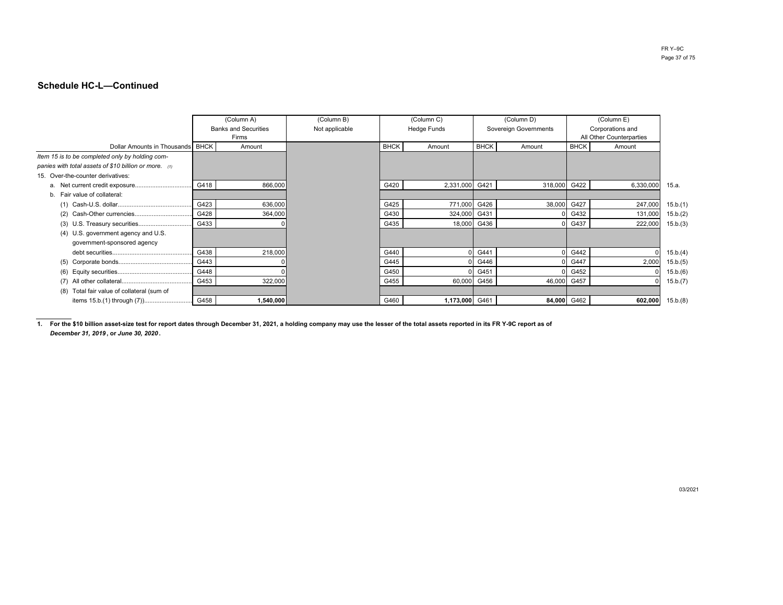|                                                         |      | (Column A)                           | (Column B)     |             | (Column C)         | (Column D)  |                       | (Column E)  |                                              |          |  |
|---------------------------------------------------------|------|--------------------------------------|----------------|-------------|--------------------|-------------|-----------------------|-------------|----------------------------------------------|----------|--|
|                                                         |      | <b>Banks and Securities</b><br>Firms | Not applicable |             | <b>Hedge Funds</b> |             | Sovereign Governments |             | Corporations and<br>All Other Counterparties |          |  |
| Dollar Amounts in Thousands BHCK                        |      | Amount                               |                | <b>BHCK</b> | Amount             | <b>BHCK</b> | Amount                | <b>BHCK</b> | Amount                                       |          |  |
| Item 15 is to be completed only by holding com-         |      |                                      |                |             |                    |             |                       |             |                                              |          |  |
| panies with total assets of \$10 billion or more. $(1)$ |      |                                      |                |             |                    |             |                       |             |                                              |          |  |
| 15. Over-the-counter derivatives:                       |      |                                      |                |             |                    |             |                       |             |                                              |          |  |
|                                                         | G418 | 866,000                              |                | G420        | 2,331,000          | G421        | 318,000               | G422        | 6,330,000                                    | 15.a.    |  |
| b. Fair value of collateral:                            |      |                                      |                |             |                    |             |                       |             |                                              |          |  |
|                                                         | G423 | 636,000                              |                | G425        | 771,000            | G426        | 38,000                | G427        | 247,000                                      | 15.b.(1) |  |
|                                                         | G428 | 364,000                              |                | G430        | 324,000            | G431        |                       | G432        | 131,000                                      | 15.b.(2) |  |
|                                                         | G433 |                                      |                | G435        | 18,000             | G436        |                       | G437        | 222,000                                      | 15.b.(3) |  |
| (4) U.S. government agency and U.S.                     |      |                                      |                |             |                    |             |                       |             |                                              |          |  |
| government-sponsored agency                             |      |                                      |                |             |                    |             |                       |             |                                              |          |  |
|                                                         | G438 | 218,000                              |                | G440        |                    | G441        |                       | G442        |                                              | 15.b.(4) |  |
|                                                         | G443 |                                      |                | G445        |                    | G446        |                       | G447        | 2,000                                        | 15.b.(5) |  |
| (6)                                                     | G448 |                                      |                | G450        |                    | G451        |                       | G452        |                                              | 15.b.(6) |  |
| (7)                                                     | G453 | 322,000                              |                | G455        |                    | 60,000 G456 | 46,000                | G457        |                                              | 15.b.(7) |  |
| Total fair value of collateral (sum of<br>(8)           |      |                                      |                |             |                    |             |                       |             |                                              |          |  |
| items 15.b.(1) through (7)                              | G458 | 1,540,000                            |                | G460        | 1,173,000 G461     |             |                       | 84,000 G462 | 602,000                                      | 15.b.(8) |  |

**1. For the \$10 billion asset-size test for report dates through December 31, 2021, a holding company may use the lesser of the total assets reported in its FR Y-9C report as of***December 31, 2019* **, or** *June 30, 2020* **.**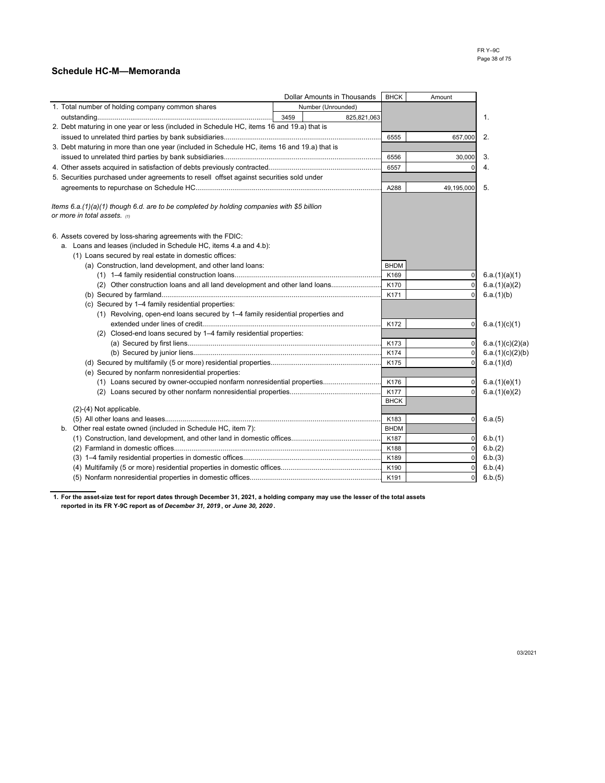## **Schedule HC-M—Memoranda**

|                                                                                             |      | <b>Dollar Amounts in Thousands</b> | <b>BHCK</b>         | Amount         |                  |
|---------------------------------------------------------------------------------------------|------|------------------------------------|---------------------|----------------|------------------|
| 1. Total number of holding company common shares                                            |      | Number (Unrounded)                 |                     |                |                  |
|                                                                                             | 3459 | 825,821,063                        |                     |                | 1.               |
| 2. Debt maturing in one year or less (included in Schedule HC, items 16 and 19.a) that is   |      |                                    |                     |                |                  |
|                                                                                             |      |                                    | 6555                | 657,000        | 2.               |
| 3. Debt maturing in more than one year (included in Schedule HC, items 16 and 19.a) that is |      |                                    |                     |                |                  |
|                                                                                             |      |                                    | 6556                | 30,000         | 3.               |
|                                                                                             |      |                                    | 6557                | $\Omega$       | 4.               |
| 5. Securities purchased under agreements to resell offset against securities sold under     |      |                                    |                     |                |                  |
|                                                                                             |      |                                    | A288                | 49,195,000     | 5.               |
|                                                                                             |      |                                    |                     |                |                  |
| Items 6.a.(1)(a)(1) though 6.d. are to be completed by holding companies with \$5 billion   |      |                                    |                     |                |                  |
| or more in total assets. $\omega$                                                           |      |                                    |                     |                |                  |
|                                                                                             |      |                                    |                     |                |                  |
| 6. Assets covered by loss-sharing agreements with the FDIC:                                 |      |                                    |                     |                |                  |
| a. Loans and leases (included in Schedule HC, items 4.a and 4.b):                           |      |                                    |                     |                |                  |
| (1) Loans secured by real estate in domestic offices:                                       |      |                                    |                     |                |                  |
| (a) Construction, land development, and other land loans:                                   |      |                                    | <b>BHDM</b>         |                |                  |
|                                                                                             |      |                                    | K169                | 0              | 6.a.(1)(a)(1)    |
| (2) Other construction loans and all land development and other land loans                  |      |                                    | K170                | $\pmb{0}$      | 6.a.(1)(a)(2)    |
|                                                                                             |      |                                    | K171                | $\mathbf 0$    | 6.a.(1)(b)       |
| (c) Secured by 1-4 family residential properties:                                           |      |                                    |                     |                |                  |
| (1) Revolving, open-end loans secured by 1-4 family residential properties and              |      |                                    |                     |                |                  |
|                                                                                             |      |                                    | K172                | 0              | 6.a.(1)(c)(1)    |
| (2) Closed-end loans secured by 1-4 family residential properties:                          |      |                                    |                     |                |                  |
|                                                                                             |      |                                    | K173                | 0              | 6.a.(1)(c)(2)(a) |
|                                                                                             |      |                                    | K174                | $\pmb{0}$      | 6.a.(1)(c)(2)(b) |
|                                                                                             |      |                                    | K175                | $\mathbf 0$    | 6.a.(1)(d)       |
| (e) Secured by nonfarm nonresidential properties:                                           |      |                                    |                     |                |                  |
| (1) Loans secured by owner-occupied nonfarm nonresidential properties                       |      |                                    | K176                | 0              | 6.a.(1)(e)(1)    |
|                                                                                             |      |                                    | K177<br><b>BHCK</b> | $\mathbf 0$    | 6.a.(1)(e)(2)    |
| (2)-(4) Not applicable.                                                                     |      |                                    |                     |                |                  |
|                                                                                             |      |                                    | K183                | 0              | 6.a.(5)          |
| Other real estate owned (included in Schedule HC, item 7):<br>b.                            |      |                                    | <b>BHDM</b>         |                |                  |
|                                                                                             |      |                                    | K187                | 0              | 6.b.(1)          |
|                                                                                             |      |                                    | K188                | $\mathbf 0$    | 6.b.(2)          |
|                                                                                             |      |                                    | K189                | $\Omega$       | 6.b.(3)          |
|                                                                                             |      |                                    | K190                | 0              | 6.b.(4)          |
|                                                                                             |      |                                    | K <sub>191</sub>    | $\overline{0}$ | 6.b.(5)          |

**1. For the asset-size test for report dates through December 31, 2021, a holding company may use the lesser of the total assets reported in its FR Y-9C report as of** *December 31, 2019* **, or** *June 30, 2020* **.**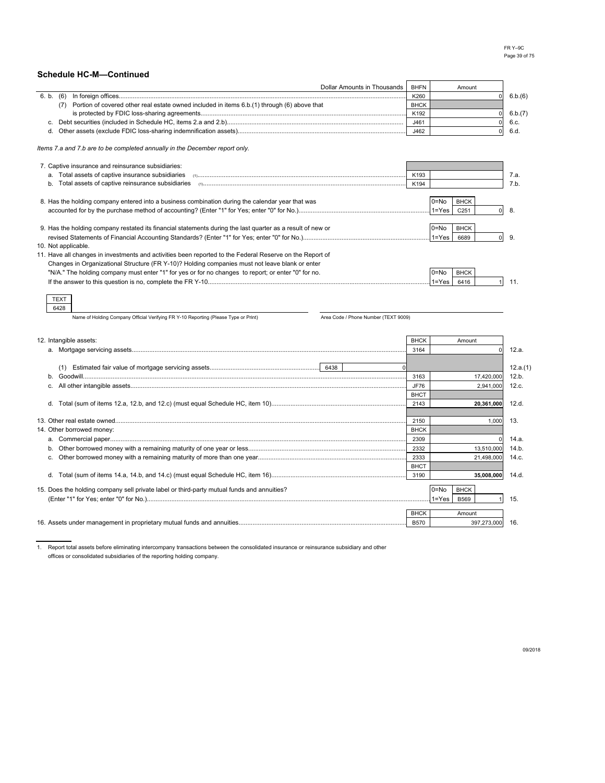|                                                                                                            | Dollar Amounts in Thousands          | <b>BHFN</b>         | Amount                              |          |
|------------------------------------------------------------------------------------------------------------|--------------------------------------|---------------------|-------------------------------------|----------|
|                                                                                                            |                                      | K260                | $\Omega$                            | 6.b.(6)  |
| (7) Portion of covered other real estate owned included in items 6.b.(1) through (6) above that            |                                      | <b>BHCK</b>         |                                     |          |
|                                                                                                            |                                      | K192                | $\mathbf 0$                         | 6.b.(7)  |
|                                                                                                            |                                      | J461                | $\mathbf 0$                         | 6.c.     |
| d.                                                                                                         |                                      | J462                | $\mathbf 0$                         | 6.d.     |
| Items 7.a and 7.b are to be completed annually in the December report only.                                |                                      |                     |                                     |          |
| 7. Captive insurance and reinsurance subsidiaries:                                                         |                                      |                     |                                     |          |
|                                                                                                            |                                      | K193                |                                     | 7.a.     |
|                                                                                                            |                                      | K194                |                                     | 7.b.     |
|                                                                                                            |                                      |                     |                                     |          |
| 8. Has the holding company entered into a business combination during the calendar year that was           |                                      |                     | $0 = No$<br><b>BHCK</b>             |          |
|                                                                                                            |                                      |                     | $1 = Yes$<br>C251<br>$\overline{0}$ | 8.       |
|                                                                                                            |                                      |                     | $0 = No$<br><b>BHCK</b>             |          |
| 9. Has the holding company restated its financial statements during the last quarter as a result of new or |                                      |                     | $1 = Yes$<br>6689<br>$\overline{0}$ | 9.       |
| 10. Not applicable.                                                                                        |                                      |                     |                                     |          |
| 11. Have all changes in investments and activities been reported to the Federal Reserve on the Report of   |                                      |                     |                                     |          |
| Changes in Organizational Structure (FR Y-10)? Holding companies must not leave blank or enter             |                                      |                     |                                     |          |
| "N/A." The holding company must enter "1" for yes or for no changes to report; or enter "0" for no.        |                                      |                     | $0 = No$<br><b>BHCK</b>             |          |
|                                                                                                            |                                      |                     | $1 = Yes$<br>6416<br>$\overline{1}$ | 11.      |
|                                                                                                            |                                      |                     |                                     |          |
| <b>TEXT</b>                                                                                                |                                      |                     |                                     |          |
| 6428                                                                                                       |                                      |                     |                                     |          |
| Name of Holding Company Official Verifying FR Y-10 Reporting (Please Type or Print)                        | Area Code / Phone Number (TEXT 9009) |                     |                                     |          |
|                                                                                                            |                                      |                     |                                     |          |
| 12. Intangible assets:                                                                                     |                                      | <b>BHCK</b>         | Amount                              |          |
|                                                                                                            |                                      | 3164                | $\Omega$                            | 12.a.    |
|                                                                                                            |                                      |                     |                                     |          |
|                                                                                                            |                                      |                     |                                     | 12.a.(1) |
| h.                                                                                                         |                                      | 3163                | 17,420,000                          | 12.b.    |
|                                                                                                            |                                      | <b>JF76</b>         | 2,941,000                           | 12.c.    |
|                                                                                                            |                                      | <b>BHCT</b>         |                                     |          |
|                                                                                                            |                                      | 2143                | 20,361,000                          | 12.d.    |
|                                                                                                            |                                      |                     |                                     |          |
| 14. Other borrowed money:                                                                                  |                                      | 2150<br><b>BHCK</b> | 1,000                               | 13.      |
|                                                                                                            |                                      | 2309                |                                     | 14.a.    |
|                                                                                                            |                                      | 2332                | 13,510,000                          | 14.b.    |
|                                                                                                            |                                      | 2333                | 21,498,000                          | 14.c.    |
|                                                                                                            |                                      | <b>BHCT</b>         |                                     |          |
|                                                                                                            |                                      | 3190                | 35,008,000                          | 14.d.    |
|                                                                                                            |                                      |                     |                                     |          |
| 15. Does the holding company sell private label or third-party mutual funds and annuities?                 |                                      |                     | $0 = No$<br><b>BHCK</b>             |          |
|                                                                                                            |                                      |                     |                                     |          |
|                                                                                                            |                                      |                     | $1 = Yes$<br><b>B569</b>            | 15.      |
|                                                                                                            |                                      | <b>BHCK</b>         | Amount                              |          |
|                                                                                                            |                                      | <b>B570</b>         | 397,273,000                         | 16.      |

1. Report total assets before eliminating intercompany transactions between the consolidated insurance or reinsurance subsidiary and other offices or consolidated subsidiaries of the reporting holding company.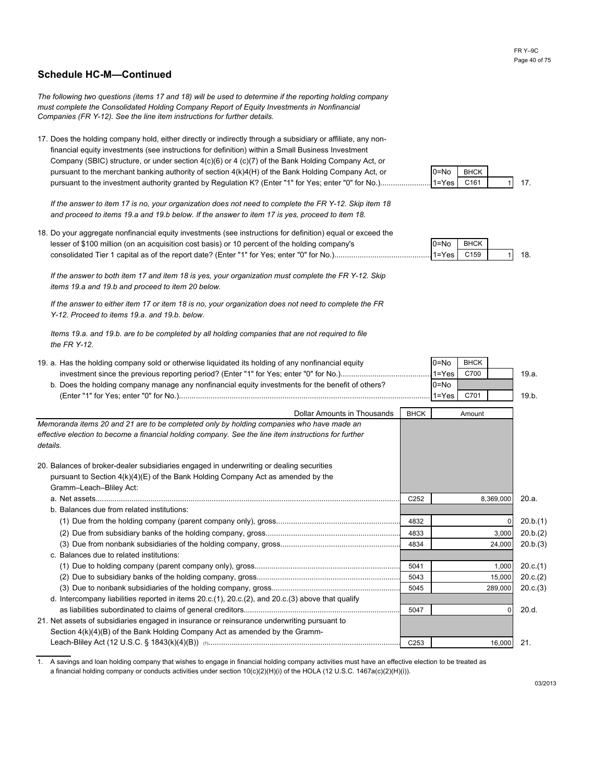*The following two questions (items 17 and 18) will be used to determine if the reporting holding company must complete the Consolidated Holding Company Report of Equity Investments in Nonfinancial Companies (FR Y-12). See the line item instructions for further details.*

17. Does the holding company hold, either directly or indirectly through a subsidiary or affiliate, any non financial equity investments (see instructions for definition) within a Small Business Investment pursuant to the investment authority granted by Regulation K? (Enter "1" for Yes; enter "0" for No.).................................................................................................... 1=Yes C161 1 17. ................................... pursuant to the merchant banking authority of section 4(k)4(H) of the Bank Holding Company Act, or Company (SBIC) structure, or under section 4(c)(6) or 4 (c)(7) of the Bank Holding Company Act, or

*If the answer to item 17 is no, your organization does not need to complete the FR Y-12. Skip item 18 and proceed to items 19.a and 19.b below. If the answer to item 17 is yes, proceed to item 18.*

18. Do your aggregate nonfinancial equity investments (see instructions for definition) equal or exceed the lesser of \$100 million (on an acquisition cost basis) or 10 percent of the holding company's consolidated Tier 1 capital as of the report date? (Enter "1" for Yes; enter "0" for No.)............................................................................................................... 1=Yes C159 1 18. ..................

*If the answer to both item 17 and item 18 is yes, your organization must complete the FR Y-12. Skip items 19.a and 19.b and proceed to item 20 below.*

*If the answer to either item 17 or item 18 is no, your organization does not need to complete the FR Y-12. Proceed to items 19.a. and 19.b. below.*

*Items 19.a. and 19.b. are to be completed by all holding companies that are not required to file the FR Y-12.*

| 19. a. Has the holding company sold or otherwise liguidated its holding of any nonfinancial equity               |                  | $0 = No$  | <b>BHCK</b> |          |
|------------------------------------------------------------------------------------------------------------------|------------------|-----------|-------------|----------|
|                                                                                                                  |                  | $1 = Yes$ | C700        | 19.a.    |
| b. Does the holding company manage any nonfinancial equity investments for the benefit of others?                | $0 = No$         |           |             |          |
|                                                                                                                  |                  | $1 = Yes$ | C701        | 19.b.    |
| Dollar Amounts in Thousands                                                                                      | <b>BHCK</b>      |           | Amount      |          |
| Memoranda items 20 and 21 are to be completed only by holding companies who have made an                         |                  |           |             |          |
| effective election to become a financial holding company. See the line item instructions for further<br>details. |                  |           |             |          |
| 20. Balances of broker-dealer subsidiaries engaged in underwriting or dealing securities                         |                  |           |             |          |
| pursuant to Section $4(k)(4)(E)$ of the Bank Holding Company Act as amended by the                               |                  |           |             |          |
| Gramm-Leach-Bliley Act:                                                                                          |                  |           |             |          |
|                                                                                                                  | C <sub>252</sub> |           | 8,369,000   | 20.a.    |
| b. Balances due from related institutions:                                                                       |                  |           |             |          |
|                                                                                                                  | 4832             |           |             | 20.b.(1) |
|                                                                                                                  | 4833             |           | 3,000       | 20.b.(2) |
|                                                                                                                  | 4834             |           | 24,000      | 20.b.(3) |
| c. Balances due to related institutions:                                                                         |                  |           |             |          |
|                                                                                                                  | 5041             |           | 1,000       | 20.c.(1) |
|                                                                                                                  | 5043             |           | 15,000      | 20.c.(2) |
|                                                                                                                  | 5045             |           | 289,000     | 20.c.(3) |
| d. Intercompany liabilities reported in items 20.c.(1), 20.c.(2), and 20.c.(3) above that qualify                |                  |           |             |          |
|                                                                                                                  | 5047             |           | O           | 20.d.    |
| 21. Net assets of subsidiaries engaged in insurance or reinsurance underwriting pursuant to                      |                  |           |             |          |
| Section $4(k)(4)(B)$ of the Bank Holding Company Act as amended by the Gramm-                                    |                  |           |             |          |
|                                                                                                                  | C <sub>253</sub> |           | 16,000      | 21.      |

1. A savings and loan holding company that wishes to engage in financial holding company activities must have an effective election to be treated as a financial holding company or conducts activities under section 10(c)(2)(H)(i) of the HOLA (12 U.S.C. 1467a(c)(2)(H)(i)).



| $0 = N0$          | BHCK |  |
|-------------------|------|--|
| $.1 = Yes$ $C159$ |      |  |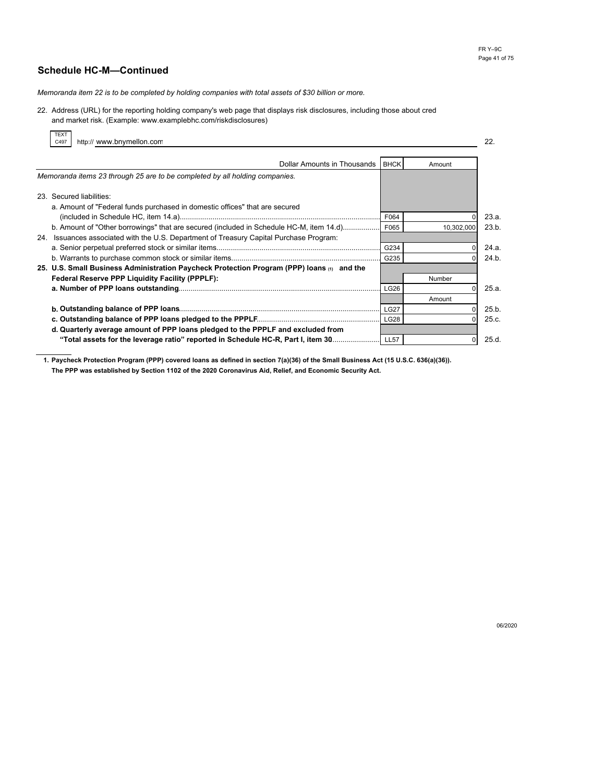*Memoranda item 22 is to be completed by holding companies with total assets of \$30 billion or more.*

22. Address (URL) for the reporting holding company's web page that displays risk disclosures, including those about cred and market risk. (Example: www.examplebhc.com/riskdisclosures)

| IEXI<br>C497 | http:// www.bnymellon.com                                                                  |              |            | 22.            |
|--------------|--------------------------------------------------------------------------------------------|--------------|------------|----------------|
|              | Dollar Amounts in Thousands BHCK                                                           |              | Amount     |                |
|              | Memoranda items 23 through 25 are to be completed by all holding companies.                |              |            |                |
|              | 23. Secured liabilities:                                                                   |              |            |                |
|              | a. Amount of "Federal funds purchased in domestic offices" that are secured                |              |            |                |
|              | b. Amount of "Other borrowings" that are secured (included in Schedule HC-M, item 14.d)    | F064<br>F065 | 10,302,000 | 23.a.<br>23.b. |
|              | 24. Issuances associated with the U.S. Department of Treasury Capital Purchase Program:    |              |            |                |
|              |                                                                                            | G234<br>G235 |            | 24.a.<br>24.b. |
|              | 25. U.S. Small Business Administration Paycheck Protection Program (PPP) loans (1) and the |              |            |                |
|              | Federal Reserve PPP Liquidity Facility (PPPLF):                                            | LG26         | Number     | 25.a.          |
|              |                                                                                            |              | Amount     |                |
|              |                                                                                            | <b>LG27</b>  |            | 25.b.          |
|              | d. Quarterly average amount of PPP loans pledged to the PPPLF and excluded from            | <b>LG28</b>  |            | 25.c.          |
|              | "Total assets for the leverage ratio" reported in Schedule HC-R, Part I, item 30           | <b>LL57</b>  |            | 25.d.          |

**1. Paycheck Protection Program (PPP) covered loans as defined in section 7(a)(36) of the Small Business Act (15 U.S.C. 636(a)(36)). The PPP was established by Section 1102 of the 2020 Coronavirus Aid, Relief, and Economic Security Act.**

06/2020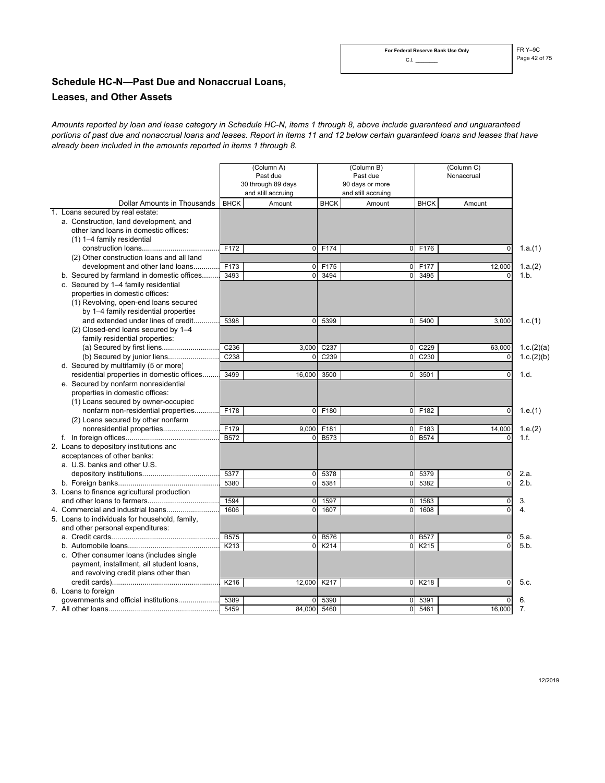# **Schedule HC-N—Past Due and Nonaccrual Loans, Leases, and Other Assets**

*portions of past due and nonaccrual loans and leases. Report in items 11 and 12 below certain guaranteed loans and leases that have Amounts reported by loan and lease category in Schedule HC-N, items 1 through 8, above include guaranteed and unguaranteed already been included in the amounts reported in items 1 through 8.*

|                                                |             | (Column A)<br>Past due<br>30 through 89 days<br>and still accruing | (Column B)<br>Past due<br>90 days or more<br>and still accruing |                |                  | (Column C)<br>Nonaccrual |                  |
|------------------------------------------------|-------------|--------------------------------------------------------------------|-----------------------------------------------------------------|----------------|------------------|--------------------------|------------------|
| Dollar Amounts in Thousands                    | <b>BHCK</b> | Amount                                                             | <b>BHCK</b>                                                     | Amount         | <b>BHCK</b>      | Amount                   |                  |
| 1. Loans secured by real estate:               |             |                                                                    |                                                                 |                |                  |                          |                  |
| a. Construction, land development, and         |             |                                                                    |                                                                 |                |                  |                          |                  |
| other land loans in domestic offices:          |             |                                                                    |                                                                 |                |                  |                          |                  |
| (1) 1-4 family residential                     |             |                                                                    |                                                                 |                |                  |                          |                  |
|                                                | F172        | $\Omega$                                                           | F174                                                            | $\Omega$       | F176             | $\mathbf 0$              | 1.a.(1)          |
| (2) Other construction loans and all land      |             |                                                                    |                                                                 |                |                  |                          |                  |
| development and other land loans               | F173        | $\overline{0}$                                                     | F175                                                            | $\overline{0}$ | F177             | 12,000                   | 1.a.(2)          |
| b. Secured by farmland in domestic offices     | 3493        | $\mathbf 0$                                                        | 3494                                                            | $\pmb{0}$      | 3495             | $\mathbf 0$              | 1.b.             |
| c. Secured by 1-4 family residential           |             |                                                                    |                                                                 |                |                  |                          |                  |
| properties in domestic offices:                |             |                                                                    |                                                                 |                |                  |                          |                  |
| (1) Revolving, open-end loans secured          |             |                                                                    |                                                                 |                |                  |                          |                  |
| by 1–4 family residential properties           |             |                                                                    |                                                                 |                |                  |                          |                  |
| and extended under lines of credit             | 5398        | $\mathbf 0$                                                        | 5399                                                            | 0              | 5400             | 3,000                    | 1.c.(1)          |
| (2) Closed-end loans secured by 1-4            |             |                                                                    |                                                                 |                |                  |                          |                  |
| family residential properties:                 |             |                                                                    |                                                                 |                |                  |                          |                  |
|                                                | C236        | 3,000                                                              | C237                                                            | 0              | C229             | 63,000                   | 1.c.(2)(a)       |
|                                                | C238        | $\Omega$                                                           | C <sub>239</sub>                                                | $\mathbf 0$    | C <sub>230</sub> | $\mathbf 0$              | 1.c.(2)(b)       |
| d. Secured by multifamily (5 or more)          |             |                                                                    |                                                                 |                |                  |                          |                  |
| residential properties in domestic offices     | 3499        | 16,000                                                             | 3500                                                            | $\overline{0}$ | 3501             | $\mathbf 0$              | 1.d.             |
| e. Secured by nonfarm nonresidentia            |             |                                                                    |                                                                 |                |                  |                          |                  |
| properties in domestic offices:                |             |                                                                    |                                                                 |                |                  |                          |                  |
| (1) Loans secured by owner-occupied            |             |                                                                    |                                                                 |                |                  |                          |                  |
| nonfarm non-residential properties             | F178        | $\overline{0}$                                                     | F180                                                            | 0              | F182             | $\pmb{0}$                | 1.e.(1)          |
| (2) Loans secured by other nonfarm             |             |                                                                    |                                                                 |                |                  |                          |                  |
| nonresidential properties                      | F179        | 9,000                                                              | F181                                                            | $\mathbf 0$    | F183             | 14,000                   | 1.e.(2)          |
|                                                | B572        | 0                                                                  | <b>B573</b>                                                     | $\mathbf 0$    | <b>B574</b>      | $\mathbf 0$              | 1.f.             |
| 2. Loans to depository institutions and        |             |                                                                    |                                                                 |                |                  |                          |                  |
| acceptances of other banks:                    |             |                                                                    |                                                                 |                |                  |                          |                  |
| a. U.S. banks and other U.S.                   |             |                                                                    |                                                                 |                |                  |                          |                  |
|                                                | 5377        | $\mathbf 0$                                                        | 5378                                                            | 0              | 5379             | $\mathbf 0$              | 2.a.             |
|                                                | 5380        | $\mathbf 0$                                                        | 5381                                                            | $\mathbf 0$    | 5382             | $\mathbf 0$              | 2.b.             |
| 3. Loans to finance agricultural production    |             |                                                                    |                                                                 |                |                  |                          |                  |
|                                                | 1594        | 0                                                                  | 1597                                                            | 0              | 1583             | $\mathbf 0$              | 3.               |
| 4. Commercial and industrial loans             | 1606        | $\Omega$                                                           | 1607                                                            | $\mathbf 0$    | 1608             | $\Omega$                 | $\overline{4}$ . |
| 5. Loans to individuals for household, family, |             |                                                                    |                                                                 |                |                  |                          |                  |
| and other personal expenditures:               |             |                                                                    |                                                                 |                |                  |                          |                  |
|                                                | <b>B575</b> | 0                                                                  | <b>B576</b>                                                     | 0              | <b>B577</b>      | $\mathbf 0$              | 5.a.             |
|                                                | K213        | $\mathbf 0$                                                        | K214                                                            | $\mathbf 0$    | K215             | $\Omega$                 | 5.b.             |
| c. Other consumer loans (includes single       |             |                                                                    |                                                                 |                |                  |                          |                  |
| payment, installment, all student loans,       |             |                                                                    |                                                                 |                |                  |                          |                  |
| and revolving credit plans other than          |             |                                                                    |                                                                 |                |                  |                          |                  |
|                                                | K216        | 12.000                                                             | K217                                                            | $\mathbf 0$    | K218             | $\Omega$                 | 5.c.             |
| 6. Loans to foreign                            |             |                                                                    |                                                                 |                |                  |                          |                  |
| governments and official institutions          | 5389        | 0                                                                  | 5390                                                            | 0              | 5391             | 0                        | 6.               |
|                                                | 5459        | 84.000                                                             | 5460                                                            | $\mathbf 0$    | 5461             | 16.000                   | 7 <sub>1</sub>   |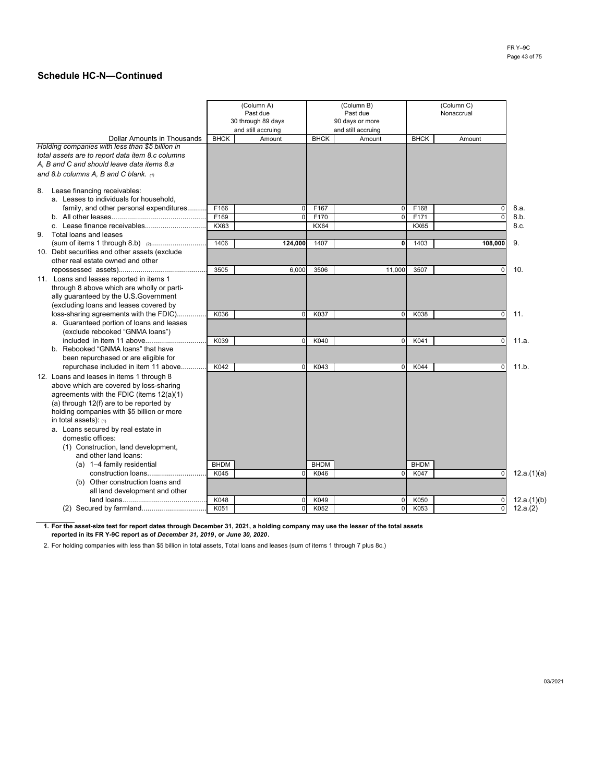|                                                         |             | (Column A)<br>Past due<br>30 through 89 days<br>and still accruing |             | (Column B)<br>Past due<br>90 days or more<br>and still accruing |             |             |             |
|---------------------------------------------------------|-------------|--------------------------------------------------------------------|-------------|-----------------------------------------------------------------|-------------|-------------|-------------|
| <b>Dollar Amounts in Thousands</b>                      | <b>BHCK</b> | Amount                                                             | <b>BHCK</b> | Amount                                                          | <b>BHCK</b> | Amount      |             |
| Holding companies with less than \$5 billion in         |             |                                                                    |             |                                                                 |             |             |             |
| total assets are to report data item 8.c columns        |             |                                                                    |             |                                                                 |             |             |             |
| A, B and C and should leave data items 8.a              |             |                                                                    |             |                                                                 |             |             |             |
| and 8.b columns A, B and C blank. $\omega$              |             |                                                                    |             |                                                                 |             |             |             |
| 8. Lease financing receivables:                         |             |                                                                    |             |                                                                 |             |             |             |
| a. Leases to individuals for household,                 |             |                                                                    |             |                                                                 |             |             |             |
| family, and other personal expenditures                 | F166        | $\mathbf 0$                                                        | F167        | $\Omega$                                                        | F168        | $\Omega$    | 8.a.        |
|                                                         | F169        | $\mathbf{0}$                                                       | F170        | $\mathbf 0$                                                     | F171        | $\Omega$    | 8.b.        |
|                                                         | KX63        |                                                                    | <b>KX64</b> |                                                                 | <b>KX65</b> |             | 8.c.        |
| 9. Total loans and leases                               |             |                                                                    |             |                                                                 |             |             |             |
|                                                         | 1406        | 124,000                                                            | 1407        | $\mathbf 0$                                                     | 1403        | 108.000     | 9.          |
| 10. Debt securities and other assets (exclude           |             |                                                                    |             |                                                                 |             |             |             |
| other real estate owned and other                       |             |                                                                    |             |                                                                 |             |             |             |
|                                                         | 3505        | 6,000                                                              | 3506        | 11,000                                                          | 3507        | $\Omega$    | 10.         |
| 11. Loans and leases reported in items 1                |             |                                                                    |             |                                                                 |             |             |             |
| through 8 above which are wholly or parti-              |             |                                                                    |             |                                                                 |             |             |             |
| ally guaranteed by the U.S.Government                   |             |                                                                    |             |                                                                 |             |             |             |
| (excluding loans and leases covered by                  |             |                                                                    |             |                                                                 |             |             |             |
| loss-sharing agreements with the FDIC)                  | K036        | 0                                                                  | K037        | 0                                                               | K038        | $\mathbf 0$ | 11.         |
| a. Guaranteed portion of loans and leases               |             |                                                                    |             |                                                                 |             |             |             |
| (exclude rebooked "GNMA loans")                         |             |                                                                    |             |                                                                 |             |             |             |
|                                                         | K039        | $\Omega$                                                           | K040        | $\mathbf 0$                                                     | K041        | $\mathbf 0$ | 11.a.       |
| b. Rebooked "GNMA loans" that have                      |             |                                                                    |             |                                                                 |             |             |             |
| been repurchased or are eligible for                    |             |                                                                    |             |                                                                 |             |             |             |
| repurchase included in item 11 above                    | K042        | $\Omega$                                                           | K043        | $\Omega$                                                        | K044        | $\Omega$    | 11.b.       |
| 12. Loans and leases in items 1 through 8               |             |                                                                    |             |                                                                 |             |             |             |
| above which are covered by loss-sharing                 |             |                                                                    |             |                                                                 |             |             |             |
| agreements with the FDIC (items $12(a)(1)$              |             |                                                                    |             |                                                                 |             |             |             |
| (a) through 12(f) are to be reported by                 |             |                                                                    |             |                                                                 |             |             |             |
| holding companies with \$5 billion or more              |             |                                                                    |             |                                                                 |             |             |             |
| in total assets): (1)                                   |             |                                                                    |             |                                                                 |             |             |             |
| a. Loans secured by real estate in<br>domestic offices: |             |                                                                    |             |                                                                 |             |             |             |
| (1) Construction, land development,                     |             |                                                                    |             |                                                                 |             |             |             |
|                                                         |             |                                                                    |             |                                                                 |             |             |             |
| and other land loans:<br>(a) 1-4 family residential     | <b>BHDM</b> |                                                                    | <b>BHDM</b> |                                                                 | <b>BHDM</b> |             |             |
| construction loans                                      | K045        | $\mathbf 0$                                                        | K046        | $\Omega$                                                        | K047        | $\mathbf 0$ |             |
| (b) Other construction loans and                        |             |                                                                    |             |                                                                 |             |             | 12.a.(1)(a) |
| all land development and other                          |             |                                                                    |             |                                                                 |             |             |             |
|                                                         | K048        | $\mathbf 0$                                                        | K049        | $\Omega$                                                        | K050        | 0           | 12.a.(1)(b) |
|                                                         | K051        | $\mathbf{0}$                                                       | K052        | $\Omega$                                                        | K053        | $\mathbf 0$ | 12.a.(2)    |
|                                                         |             |                                                                    |             |                                                                 |             |             |             |

**1. For the asset-size test for report dates through December 31, 2021, a holding company may use the lesser of the total assets reported in its FR Y-9C report as of** *December 31, 2019***, or** *June 30, 2020***.** 

2. For holding companies with less than \$5 billion in total assets, Total loans and leases (sum of items 1 through 7 plus 8c.)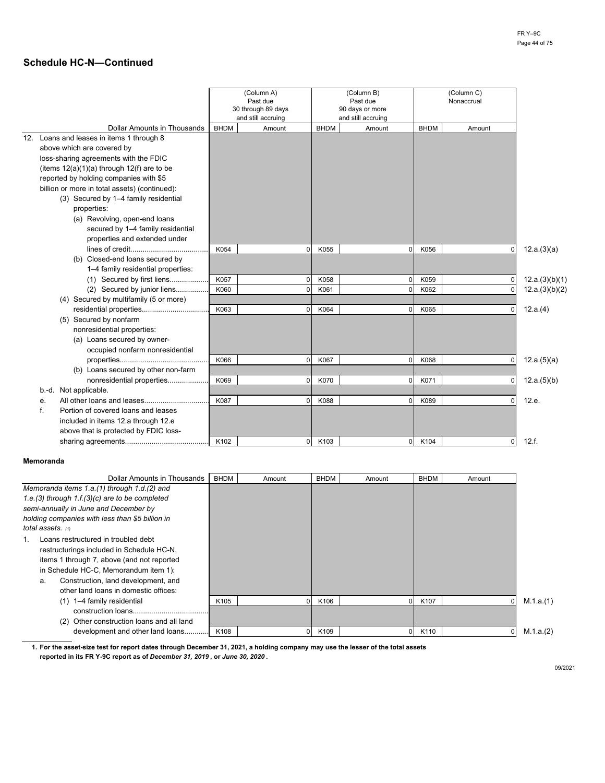|                                                |             | (Column A)<br>Past due<br>30 through 89 days<br>and still accruing |             | (Column B)<br>Past due<br>90 days or more<br>and still accruing |             | (Column C)<br>Nonaccrual |                |
|------------------------------------------------|-------------|--------------------------------------------------------------------|-------------|-----------------------------------------------------------------|-------------|--------------------------|----------------|
| <b>Dollar Amounts in Thousands</b>             | <b>BHDM</b> | Amount                                                             | <b>BHDM</b> | Amount                                                          | <b>BHDM</b> | Amount                   |                |
| 12. Loans and leases in items 1 through 8      |             |                                                                    |             |                                                                 |             |                          |                |
| above which are covered by                     |             |                                                                    |             |                                                                 |             |                          |                |
| loss-sharing agreements with the FDIC          |             |                                                                    |             |                                                                 |             |                          |                |
| (items $12(a)(1)(a)$ through $12(f)$ are to be |             |                                                                    |             |                                                                 |             |                          |                |
| reported by holding companies with \$5         |             |                                                                    |             |                                                                 |             |                          |                |
| billion or more in total assets) (continued):  |             |                                                                    |             |                                                                 |             |                          |                |
| (3) Secured by 1-4 family residential          |             |                                                                    |             |                                                                 |             |                          |                |
| properties:                                    |             |                                                                    |             |                                                                 |             |                          |                |
| (a) Revolving, open-end loans                  |             |                                                                    |             |                                                                 |             |                          |                |
| secured by 1-4 family residential              |             |                                                                    |             |                                                                 |             |                          |                |
| properties and extended under                  |             |                                                                    |             |                                                                 |             |                          |                |
|                                                | K054        | $\mathbf 0$                                                        | K055        | $\overline{0}$                                                  | K056        | $\mathbf{0}$             | 12.a.(3)(a)    |
| (b) Closed-end loans secured by                |             |                                                                    |             |                                                                 |             |                          |                |
| 1-4 family residential properties:             |             |                                                                    |             |                                                                 |             |                          |                |
| (1) Secured by first liens                     | K057        | $\Omega$                                                           | K058        | $\overline{0}$                                                  | K059        |                          | 12.a.(3)(b)(1) |
| (2) Secured by junior liens                    | K060        | $\Omega$                                                           | K061        | $\Omega$                                                        | K062        | $\Omega$                 | 12.a.(3)(b)(2) |
| (4) Secured by multifamily (5 or more)         |             |                                                                    |             |                                                                 |             |                          |                |
| residential properties                         | K063        | $\Omega$                                                           | K064        | $\Omega$                                                        | K065        | $\mathbf 0$              | 12.a.(4)       |
| (5) Secured by nonfarm                         |             |                                                                    |             |                                                                 |             |                          |                |
| nonresidential properties:                     |             |                                                                    |             |                                                                 |             |                          |                |
| (a) Loans secured by owner-                    |             |                                                                    |             |                                                                 |             |                          |                |
| occupied nonfarm nonresidential                |             |                                                                    |             |                                                                 |             |                          |                |
|                                                | K066        | $\Omega$                                                           | K067        | $\overline{0}$                                                  | K068        | $\mathbf 0$              | 12.a.(5)(a)    |
| (b) Loans secured by other non-farm            |             |                                                                    |             |                                                                 |             |                          |                |
| nonresidential properties                      | K069        | $\Omega$                                                           | K070        | $\overline{0}$                                                  | K071        | $\overline{0}$           | 12.a.(5)(b)    |
| b.-d. Not applicable.                          |             |                                                                    |             |                                                                 |             |                          |                |
| е.                                             | K087        | $\Omega$                                                           | K088        | $\overline{0}$                                                  | K089        | $\Omega$                 | 12.e.          |
| f.<br>Portion of covered loans and leases      |             |                                                                    |             |                                                                 |             |                          |                |
| included in items 12.a through 12.e            |             |                                                                    |             |                                                                 |             |                          |                |
| above that is protected by FDIC loss-          |             |                                                                    |             |                                                                 |             |                          |                |
|                                                | K102        | $\Omega$                                                           | K103        | $\Omega$                                                        | K104        | $\Omega$                 | 12.f.          |

### **Memoranda**

| Dollar Amounts in Thousands                      | <b>BHDM</b> | Amount | <b>BHDM</b> | Amount | <b>BHDM</b>      | Amount |           |
|--------------------------------------------------|-------------|--------|-------------|--------|------------------|--------|-----------|
| Memoranda items 1.a.(1) through 1.d.(2) and      |             |        |             |        |                  |        |           |
| 1.e.(3) through $1.f.(3)(c)$ are to be completed |             |        |             |        |                  |        |           |
| semi-annually in June and December by            |             |        |             |        |                  |        |           |
| holding companies with less than \$5 billion in  |             |        |             |        |                  |        |           |
| total assets. $(1)$                              |             |        |             |        |                  |        |           |
| Loans restructured in troubled debt              |             |        |             |        |                  |        |           |
| restructurings included in Schedule HC-N,        |             |        |             |        |                  |        |           |
| items 1 through 7, above (and not reported       |             |        |             |        |                  |        |           |
| in Schedule HC-C, Memorandum item 1):            |             |        |             |        |                  |        |           |
| Construction, land development, and<br>a.        |             |        |             |        |                  |        |           |
| other land loans in domestic offices:            |             |        |             |        |                  |        |           |
| (1) 1-4 family residential                       | K105        | 01     | K106        |        | K <sub>107</sub> |        | M.1.a.(1) |
| construction loans                               |             |        |             |        |                  |        |           |
| Other construction loans and all land<br>(2)     |             |        |             |        |                  |        |           |
| development and other land loans                 | K108        | 0      | K109        |        | K110             |        | M.1.a.(2) |

**1. For the asset-size test for report dates through December 31, 2021, a holding company may use the lesser of the total assets reported in its FR Y-9C report as of** *December 31, 2019* **, or** *June 30, 2020* **.**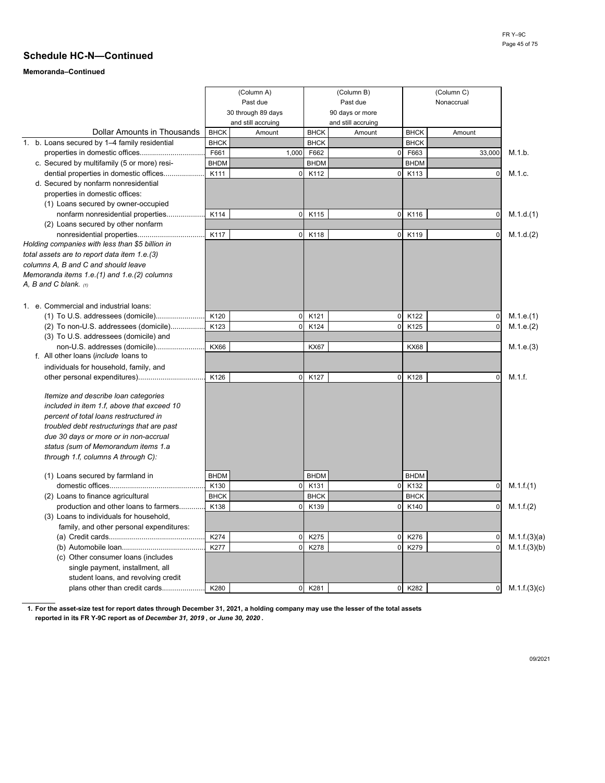# **Memoranda–Continued**

|                                                 |             | (Column A)         |             | (Column B)         |             | (Column C)  |              |
|-------------------------------------------------|-------------|--------------------|-------------|--------------------|-------------|-------------|--------------|
|                                                 |             | Past due           |             | Past due           |             | Nonaccrual  |              |
|                                                 |             | 30 through 89 days |             | 90 days or more    |             |             |              |
|                                                 |             | and still accruing |             | and still accruing |             |             |              |
| Dollar Amounts in Thousands                     | <b>BHCK</b> | Amount             | <b>BHCK</b> | Amount             | <b>BHCK</b> | Amount      |              |
| 1. b. Loans secured by 1-4 family residential   | <b>BHCK</b> |                    | <b>BHCK</b> |                    | <b>BHCK</b> |             |              |
| properties in domestic offices                  | F661        | 1,000              | F662        | 0                  | F663        | 33,000      | M.1.b.       |
| c. Secured by multifamily (5 or more) resi-     | <b>BHDM</b> |                    | <b>BHDM</b> |                    | <b>BHDM</b> |             |              |
| dential properties in domestic offices          | K111        | $\mathbf 0$        | K112        | 0                  | K113        | $\mathbf 0$ | M.1.c.       |
| d. Secured by nonfarm nonresidential            |             |                    |             |                    |             |             |              |
| properties in domestic offices:                 |             |                    |             |                    |             |             |              |
| (1) Loans secured by owner-occupied             |             |                    |             |                    |             |             |              |
| nonfarm nonresidential properties               | K114        | $\mathbf 0$        | K115        | 0                  | K116        | 0           | M.1.d.(1)    |
| (2) Loans secured by other nonfarm              |             |                    |             |                    |             |             |              |
| nonresidential properties                       | K117        | $\overline{0}$     | K118        | 0                  | K119        | 0           | M.1.d.(2)    |
| Holding companies with less than \$5 billion in |             |                    |             |                    |             |             |              |
| total assets are to report data item 1.e.(3)    |             |                    |             |                    |             |             |              |
| columns A, B and C and should leave             |             |                    |             |                    |             |             |              |
| Memoranda items 1.e.(1) and 1.e.(2) columns     |             |                    |             |                    |             |             |              |
| A, B and C blank. (1)                           |             |                    |             |                    |             |             |              |
|                                                 |             |                    |             |                    |             |             |              |
| 1. e. Commercial and industrial loans:          |             |                    |             |                    |             |             |              |
|                                                 | K120        | $\mathbf 0$        | K121        | 0                  | K122        | $\pmb{0}$   | M.1.e.(1)    |
| (2) To non-U.S. addressees (domicile)           | K123        | $\Omega$           | K124        | $\Omega$           | K125        | $\mathbf 0$ | M.1.e.(2)    |
| (3) To U.S. addressees (domicile) and           |             |                    |             |                    |             |             |              |
| non-U.S. addresses (domicile)                   | <b>KX66</b> |                    | <b>KX67</b> |                    | <b>KX68</b> |             | M.1.e.(3)    |
| f. All other loans (include loans to            |             |                    |             |                    |             |             |              |
| individuals for household, family, and          |             |                    |             |                    |             |             |              |
|                                                 | K126        | $\overline{0}$     | K127        | 0                  | K128        | $\mathbf 0$ | M.1.f.       |
|                                                 |             |                    |             |                    |             |             |              |
| Itemize and describe loan categories            |             |                    |             |                    |             |             |              |
| included in item 1.f, above that exceed 10      |             |                    |             |                    |             |             |              |
| percent of total loans restructured in          |             |                    |             |                    |             |             |              |
| troubled debt restructurings that are past      |             |                    |             |                    |             |             |              |
| due 30 days or more or in non-accrual           |             |                    |             |                    |             |             |              |
| status (sum of Memorandum items 1.a             |             |                    |             |                    |             |             |              |
| through 1.f, columns A through C):              |             |                    |             |                    |             |             |              |
| (1) Loans secured by farmland in                | <b>BHDM</b> |                    | <b>BHDM</b> |                    | <b>BHDM</b> |             |              |
|                                                 | K130        | $\mathbf 0$        | K131        | $\mathbf 0$        | K132        | $\pmb{0}$   | M.1.f.(1)    |
| (2) Loans to finance agricultural               | <b>BHCK</b> |                    | <b>BHCK</b> |                    | <b>BHCK</b> |             |              |
| production and other loans to farmers           | K138        | $\Omega$           | K139        | 0                  | K140        | 0           | M.1.f.(2)    |
| (3) Loans to individuals for household,         |             |                    |             |                    |             |             |              |
| family, and other personal expenditures:        |             |                    |             |                    |             |             |              |
|                                                 | K274        | $\mathbf 0$        | K275        | 0                  | K276        | 0           | M.1.f.(3)(a) |
|                                                 | K277        | $\mathbf 0$        | K278        | 0                  | K279        | $\mathbf 0$ | M.1.f.(3)(b) |
| (c) Other consumer loans (includes              |             |                    |             |                    |             |             |              |
| single payment, installment, all                |             |                    |             |                    |             |             |              |
| student loans, and revolving credit             |             |                    |             |                    |             |             |              |
| plans other than credit cards                   | K280        | $\overline{0}$     | K281        | 0                  | K282        | 0           | M.1.f.(3)(c) |
|                                                 |             |                    |             |                    |             |             |              |

**1. For the asset-size test for report dates through December 31, 2021, a holding company may use the lesser of the total assets reported in its FR Y-9C report as of** *December 31, 2019* **, or** *June 30, 2020* **.**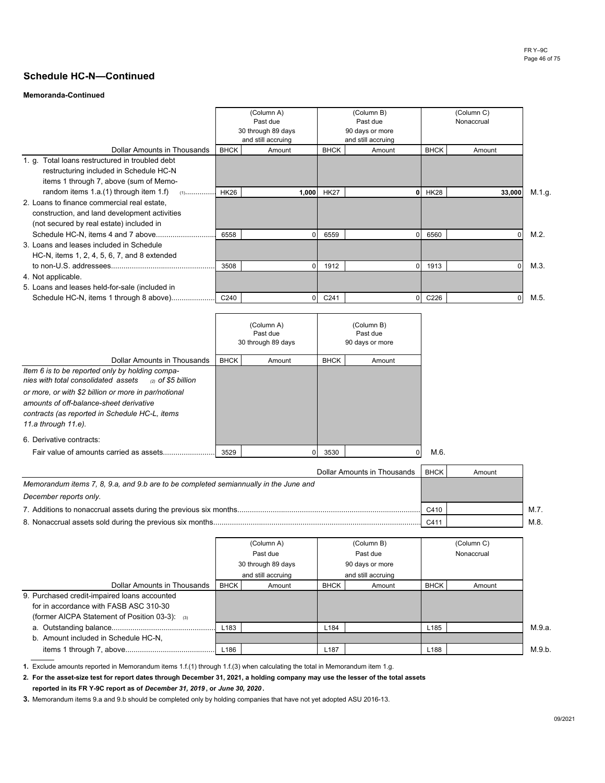## **Memoranda-Continued**

|                                                                                                                                          | (Column A)<br>Past due<br>30 through 89 days<br>and still accruing |        |                  | (Column B)<br>Past due<br>90 days or more<br>and still accruing |                  |        |        |
|------------------------------------------------------------------------------------------------------------------------------------------|--------------------------------------------------------------------|--------|------------------|-----------------------------------------------------------------|------------------|--------|--------|
| Dollar Amounts in Thousands                                                                                                              | <b>BHCK</b>                                                        | Amount | <b>BHCK</b>      | Amount                                                          | <b>BHCK</b>      | Amount |        |
| 1. g. Total loans restructured in troubled debt<br>restructuring included in Schedule HC-N                                               |                                                                    |        |                  |                                                                 |                  |        |        |
| items 1 through 7, above (sum of Memo-<br>random items 1.a.(1) through item 1.f) $(1)$                                                   | <b>HK26</b>                                                        | 1,000  | <b>HK27</b>      |                                                                 | <b>HK28</b>      | 33,000 | M.1.g. |
| 2. Loans to finance commercial real estate.<br>construction, and land development activities<br>(not secured by real estate) included in |                                                                    |        |                  |                                                                 |                  |        |        |
| 3. Loans and leases included in Schedule                                                                                                 | 6558                                                               |        | 6559             |                                                                 | 6560             |        | M.2.   |
| HC-N, items 1, 2, 4, 5, 6, 7, and 8 extended                                                                                             |                                                                    |        |                  |                                                                 |                  |        |        |
|                                                                                                                                          | 3508                                                               |        | 1912             |                                                                 | 1913             |        | M.3.   |
| 4. Not applicable.<br>5. Loans and leases held-for-sale (included in                                                                     |                                                                    |        |                  |                                                                 |                  |        |        |
|                                                                                                                                          | C240                                                               |        | C <sub>241</sub> |                                                                 | C <sub>226</sub> |        | M.5.   |

|                                                                                                                                                                          |             | (Column A)<br>Past due<br>30 through 89 days | 90 days or more |        |      |
|--------------------------------------------------------------------------------------------------------------------------------------------------------------------------|-------------|----------------------------------------------|-----------------|--------|------|
| Dollar Amounts in Thousands                                                                                                                                              | <b>BHCK</b> | Amount                                       | <b>BHCK</b>     | Amount |      |
| Item 6 is to be reported only by holding compa-<br>nies with total consolidated assets<br>ു of \$5 billion                                                               |             |                                              |                 |        |      |
| or more, or with \$2 billion or more in par/notional<br>amounts of off-balance-sheet derivative<br>contracts (as reported in Schedule HC-L, items<br>11.a through 11.e). |             |                                              |                 |        |      |
| 6. Derivative contracts:                                                                                                                                                 |             |                                              |                 |        |      |
| Fair value of amounts carried as assets                                                                                                                                  | 3529        |                                              | 3530            |        | M.6. |

| Dollar Amounts in Thousands                                                          | <b>BHCK</b> | Amount |      |
|--------------------------------------------------------------------------------------|-------------|--------|------|
| Memorandum items 7, 8, 9.a, and 9.b are to be completed semiannually in the June and |             |        |      |
| December reports only.                                                               |             |        |      |
|                                                                                      | C410        |        | M.7. |
| 8. Nonaccrual assets sold during the previous six months                             | C41         |        | M.8  |

|                                                |                                | (Column A)         |                  | (Column B)         |                  | (Column C) |        |
|------------------------------------------------|--------------------------------|--------------------|------------------|--------------------|------------------|------------|--------|
|                                                | Past due<br>30 through 89 days |                    |                  | Past due           |                  | Nonaccrual |        |
|                                                |                                |                    |                  | 90 days or more    |                  |            |        |
|                                                |                                | and still accruing |                  | and still accruing |                  |            |        |
| Dollar Amounts in Thousands                    | <b>BHCK</b>                    | Amount             | <b>BHCK</b>      | Amount             | <b>BHCK</b>      | Amount     |        |
| 9. Purchased credit-impaired loans accounted   |                                |                    |                  |                    |                  |            |        |
| for in accordance with FASB ASC 310-30         |                                |                    |                  |                    |                  |            |        |
| (former AICPA Statement of Position 03-3): (3) |                                |                    |                  |                    |                  |            |        |
|                                                | L <sub>183</sub>               |                    | L <sub>184</sub> |                    | L <sub>185</sub> |            | M.9.a. |
| b. Amount included in Schedule HC-N,           |                                |                    |                  |                    |                  |            |        |
|                                                | L186                           |                    | L <sub>187</sub> |                    | L <sub>188</sub> |            | M.9.b. |

**1.** Exclude amounts reported in Memorandum items 1.f.(1) through 1.f.(3) when calculating the total in Memorandum item 1.g.

**2. For the asset-size test for report dates through December 31, 2021, a holding company may use the lesser of the total assets**

**reported in its FR Y-9C report as of** *December 31, 2019* **, or** *June 30, 2020* **.**

**3.** Memorandum items 9.a and 9.b should be completed only by holding companies that have not yet adopted ASU 2016-13.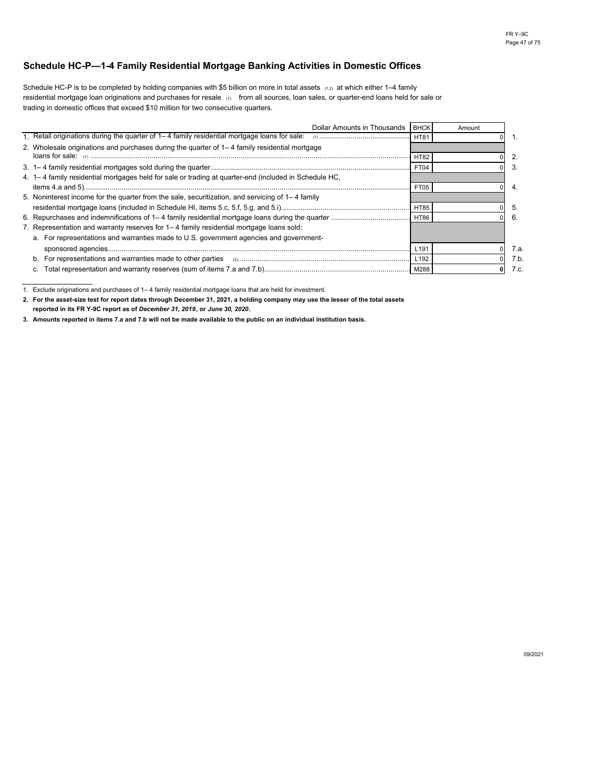## **Schedule HC-P—1-4 Family Residential Mortgage Banking Activities in Domestic Offices**

Schedule HC-P is to be completed by holding companies with \$5 billion on more in total assets (1,2) at which either 1–4 family residential mortgage loan originations and purchases for resale (1) from all sources, loan sales, or quarter-end loans held for sale or trading in domestic offices that exceed \$10 million for two consecutive quarters.

| Dollar Amounts in Thousands                                                                           | <b>BHCK</b> | Amount |      |
|-------------------------------------------------------------------------------------------------------|-------------|--------|------|
| 1. Retail originations during the quarter of 1–4 family residential mortgage loans for sale:          | <b>HT81</b> |        |      |
| 2. Wholesale originations and purchases during the quarter of 1–4 family residential mortgage         |             |        |      |
|                                                                                                       | <b>HT82</b> |        |      |
|                                                                                                       | FT04        |        |      |
| 4. 1–4 family residential mortgages held for sale or trading at quarter-end (included in Schedule HC, |             |        |      |
|                                                                                                       | FT05        |        |      |
| 5. Noninterest income for the quarter from the sale, securitization, and servicing of 1–4 family      |             |        |      |
|                                                                                                       | <b>HT85</b> |        | b.   |
|                                                                                                       |             |        | 6.   |
| 7. Representation and warranty reserves for 1–4 family residential mortgage loans sold:               |             |        |      |
| a. For representations and warranties made to U.S. government agencies and government-                |             |        |      |
|                                                                                                       | L191        |        | 7.a. |
| b.                                                                                                    | L192        |        | 7.b  |
|                                                                                                       | M288        |        | 7.c. |

1. Exclude originations and purchases of 1– 4 family residential mortgage loans that are held for investment.

**2. For the asset-size test for report dates through December 31, 2021, a holding company may use the lesser of the total assets** 

**reported in its FR Y-9C report as of** *December 31, 2019***, or** *June 30, 2020***.**

**3. Amounts reported in items 7.a and 7.b will not be made available to the public on an individual institution basis.**

09/2021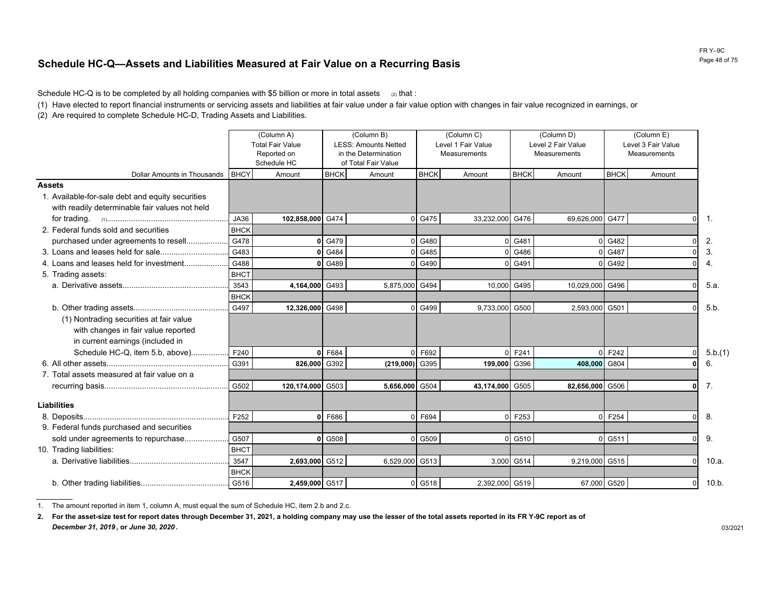# **Schedule HC-Q—Assets and Liabilities Measured at Fair Value on a Recurring Basis**

Schedule HC-Q is to be completed by all holding companies with \$5 billion or more in total assets  $\alpha$  that :

(1) Have elected to report financial instruments or servicing assets and liabilities at fair value under a fair value option with changes in fair value recognized in earnings, or

(2) Are required to complete Schedule HC-D, Trading Assets and Liabilities.

|                                                                                                                     |             | (Column A)<br><b>Total Fair Value</b><br>Reported on<br>Schedule HC | (Column B)<br><b>LESS: Amounts Netted</b><br>in the Determination<br>of Total Fair Value |                | (Column C)<br>Level 1 Fair Value<br><b>Measurements</b> |                 |             | (Column D)<br>Level 2 Fair Value<br>Measurements | (Column E)<br>Level 3 Fair Value<br>Measurements |          |               |
|---------------------------------------------------------------------------------------------------------------------|-------------|---------------------------------------------------------------------|------------------------------------------------------------------------------------------|----------------|---------------------------------------------------------|-----------------|-------------|--------------------------------------------------|--------------------------------------------------|----------|---------------|
| Dollar Amounts in Thousands                                                                                         | <b>BHCY</b> | Amount                                                              | <b>BHCK</b>                                                                              | Amount         | <b>BHCK</b>                                             | Amount          | <b>BHCK</b> | Amount                                           | <b>BHCK</b>                                      | Amount   |               |
| <b>Assets</b><br>1. Available-for-sale debt and equity securities<br>with readily determinable fair values not held |             |                                                                     |                                                                                          |                |                                                         |                 |             |                                                  |                                                  |          |               |
|                                                                                                                     | JA36        | 102,858,000 G474                                                    |                                                                                          | $\Omega$       | G475                                                    | 33,232,000      | G476        | 69,626,000                                       | G477                                             |          | -1.           |
| 2. Federal funds sold and securities                                                                                | <b>BHCK</b> |                                                                     |                                                                                          |                |                                                         |                 |             |                                                  |                                                  |          |               |
| purchased under agreements to resell                                                                                | G478        | 0                                                                   | G479                                                                                     |                | G480                                                    |                 | G481        |                                                  | G482                                             |          | 2.            |
|                                                                                                                     | G483        | 0                                                                   | G484                                                                                     | n              | G485                                                    |                 | G486        |                                                  | G487                                             |          | 3.            |
| 4. Loans and leases held for investment                                                                             | G488        |                                                                     | 0 G489                                                                                   | n              | G490                                                    |                 | 0 G491      |                                                  | G492                                             |          | 4.            |
| 5. Trading assets:                                                                                                  | <b>BHCT</b> |                                                                     |                                                                                          |                |                                                         |                 |             |                                                  |                                                  |          |               |
|                                                                                                                     | 3543        | 4,164,000 G493                                                      |                                                                                          | 5,875,000      | G494                                                    | 10,000          | G495        | 10,029,000                                       | G496                                             |          | 5.a.          |
|                                                                                                                     | <b>BHCK</b> |                                                                     |                                                                                          |                |                                                         |                 |             |                                                  |                                                  |          |               |
|                                                                                                                     | G497        | 12,326,000 G498                                                     |                                                                                          | $\Omega$       | G499                                                    | 9,733,000 G500  |             | 2,593,000                                        | G501                                             |          | 5.b.          |
| (1) Nontrading securities at fair value<br>with changes in fair value reported                                      |             |                                                                     |                                                                                          |                |                                                         |                 |             |                                                  |                                                  |          |               |
| in current earnings (included in<br>Schedule HC-Q, item 5.b, above)                                                 | F240        | 0                                                                   | F684                                                                                     | $\Omega$       | F692                                                    |                 | F241        |                                                  | F242                                             |          |               |
|                                                                                                                     | G391        | 826,000                                                             | G392                                                                                     | (219,000)      | G395                                                    | 199,000         | G396        | 408,000                                          | G804                                             |          | 5.b.(1)<br>6. |
| 7. Total assets measured at fair value on a                                                                         |             |                                                                     |                                                                                          |                |                                                         |                 |             |                                                  |                                                  |          |               |
|                                                                                                                     | G502        | 120,174,000 G503                                                    |                                                                                          | 5,656,000 G504 |                                                         | 43,174,000 G505 |             | 82,656,000 G506                                  |                                                  |          | 7.            |
| <b>Liabilities</b>                                                                                                  |             |                                                                     |                                                                                          |                |                                                         |                 |             |                                                  |                                                  |          |               |
|                                                                                                                     | F252        |                                                                     | 0 F686                                                                                   | $\Omega$       | F694                                                    |                 | F253        |                                                  | F254                                             |          | 8.            |
| 9. Federal funds purchased and securities                                                                           |             |                                                                     |                                                                                          |                |                                                         |                 |             |                                                  |                                                  |          |               |
| sold under agreements to repurchase                                                                                 | G507        |                                                                     | $0$ G <sub>508</sub>                                                                     | $\Omega$       | G509                                                    | $\cap$          | G510        |                                                  | G511                                             |          | 9.            |
| 10. Trading liabilities:                                                                                            | <b>BHCT</b> |                                                                     |                                                                                          |                |                                                         |                 |             |                                                  |                                                  |          |               |
|                                                                                                                     | 3547        | 2,693,000 G512                                                      |                                                                                          | 6,529,000      | G513                                                    | 3,000           | G514        | 9,219,000                                        | G515                                             |          | 10.a.         |
|                                                                                                                     | <b>BHCK</b> |                                                                     |                                                                                          |                |                                                         |                 |             |                                                  |                                                  |          |               |
|                                                                                                                     | G516        | 2,459,000 G517                                                      |                                                                                          |                | 0 G518                                                  | 2,392,000 G519  |             | 67,000 G520                                      |                                                  | $\Omega$ | 10.b.         |

1. The amount reported in item 1, column A, must equal the sum of Schedule HC, item 2.b and 2.c.

**2. For the asset-size test for report dates through December 31, 2021, a holding company may use the lesser of the total assets reported in its FR Y-9C report as of** *December 31, 2019***, or** *June 30, 2020* **.** 03/2021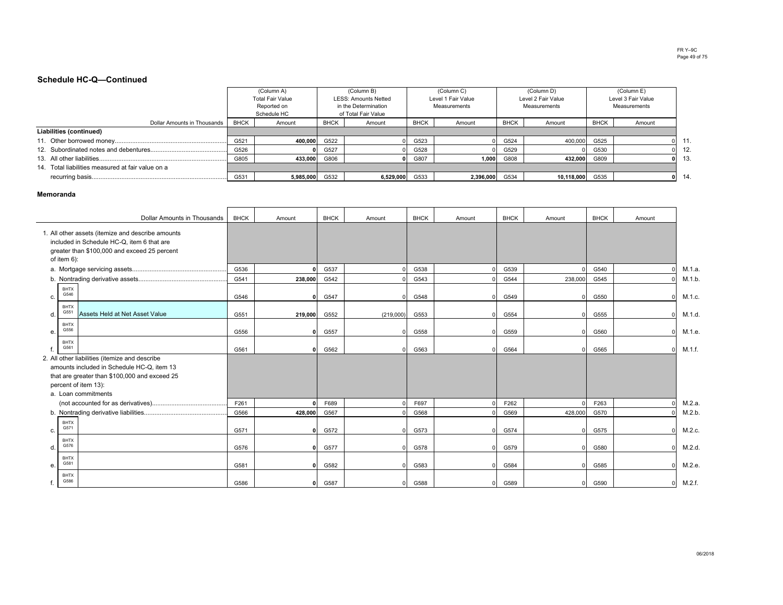#### FR Y–9C Page 49 of 75

### **Schedule HC-Q—Continued**

|                                                   |             | (Column A)       |             | (Column B)           |             | (Column C)         |             | (Column D)         |             | (Column E)         |       |
|---------------------------------------------------|-------------|------------------|-------------|----------------------|-------------|--------------------|-------------|--------------------|-------------|--------------------|-------|
|                                                   |             | Total Fair Value |             | LESS: Amounts Netted |             | Level 1 Fair Value |             | Level 2 Fair Value |             | Level 3 Fair Value |       |
|                                                   |             | Reported on      |             | in the Determination |             | Measurements       |             | Measurements       |             | Measurements       |       |
|                                                   |             | Schedule HC      |             | of Total Fair Value  |             |                    |             |                    |             |                    |       |
| Dollar Amounts in Thousands                       | <b>BHCK</b> | Amount           | <b>BHCK</b> | Amount               | <b>BHCK</b> | Amount             | <b>BHCK</b> | Amount             | <b>BHCK</b> | Amount             |       |
| Liabilities (continued)                           |             |                  |             |                      |             |                    |             |                    |             |                    |       |
|                                                   | G521        | 400.000          | G522        |                      | G523        |                    | G524        | 400,000 G525       |             |                    | 11    |
|                                                   | G526        |                  | G527        |                      | G528        |                    | G529        |                    | G530        |                    | 12    |
|                                                   | G805        | 433,000          | G806        |                      | G807        | 1,000              | G808        | 432.000 G809       |             |                    | - 13. |
| 14. Total liabilities measured at fair value on a |             |                  |             |                      |             |                    |             |                    |             |                    |       |
|                                                   | G531        | 5,985,000        | G532        | 6,529,000            | G533        | 2,396,000 G534     |             | 10,118,000 G535    |             |                    | 14    |

#### **Memoranda**

|    |                     | Dollar Amounts in Thousands                                                                                                                     | <b>BHCK</b> | Amount  | <b>BHCK</b> | Amount    | <b>BHCK</b> | Amount | <b>BHCK</b> | Amount       | <b>BHCK</b> | Amount   |        |
|----|---------------------|-------------------------------------------------------------------------------------------------------------------------------------------------|-------------|---------|-------------|-----------|-------------|--------|-------------|--------------|-------------|----------|--------|
|    | of item 6):         | 1. All other assets (itemize and describe amounts<br>included in Schedule HC-Q, item 6 that are<br>greater than \$100,000 and exceed 25 percent |             |         |             |           |             |        |             |              |             |          |        |
|    |                     |                                                                                                                                                 | G536        |         | G537        |           | G538        |        | G539        |              | G540        |          | M.1.a. |
|    |                     |                                                                                                                                                 | G541        | 238,000 | G542        |           | G543        |        | G544        | 238,000      | G545        |          | M.1.b  |
| c. | BHTX<br>G546        |                                                                                                                                                 | G546        | 0       | G547        |           | G548        |        | G549        | $\Omega$     | G550        |          | M.1.c. |
| d. | <b>BHTX</b><br>G551 | Assets Held at Net Asset Value                                                                                                                  | G551        | 219,000 | G552        | (219,000) | G553        |        | G554        | $\Omega$     | G555        |          | M.1.d  |
| е. | BHTX<br>G556        |                                                                                                                                                 | G556        | o١      | G557        |           | G558        |        | G559        | <sup>0</sup> | G560        |          | M.1.e. |
|    | <b>BHTX</b><br>G561 |                                                                                                                                                 | G561        | 0       | G562        |           | G563        |        | G564        | $\Omega$     | G565        |          | M.1.f. |
|    |                     | 2. All other liabilities (itemize and describe<br>amounts included in Schedule HC-Q, item 13                                                    |             |         |             |           |             |        |             |              |             |          |        |
|    |                     | that are greater than \$100,000 and exceed 25                                                                                                   |             |         |             |           |             |        |             |              |             |          |        |
|    |                     | percent of item 13):                                                                                                                            |             |         |             |           |             |        |             |              |             |          |        |
|    |                     | a. Loan commitments                                                                                                                             |             |         |             |           |             |        |             |              |             |          |        |
|    |                     |                                                                                                                                                 | F261        |         | F689        |           | F697        |        | F262        |              | F263        |          | M.2.a. |
|    |                     |                                                                                                                                                 | G566        | 428,000 | G567        |           | G568        |        | G569        | 428,000      | G570        |          | M.2.b  |
| c. | <b>BHTX</b><br>G571 |                                                                                                                                                 | G571        | 0       | G572        |           | G573        |        | G574        | $\Omega$     | G575        | n        | M.2.c. |
| d. | <b>BHTX</b><br>G576 |                                                                                                                                                 | G576        | 01      | G577        |           | G578        |        | G579        | $\Omega$     | G580        |          | M.2.d. |
| е. | <b>BHTX</b><br>G581 |                                                                                                                                                 | G581        | ΩI      | G582        |           | G583        |        | G584        | $\Omega$     | G585        |          | M.2.e. |
|    | <b>BHTX</b><br>G586 |                                                                                                                                                 | G586        | 0       | G587        |           | G588        |        | G589        | $\Omega$     | G590        | $\Omega$ | M.2.f. |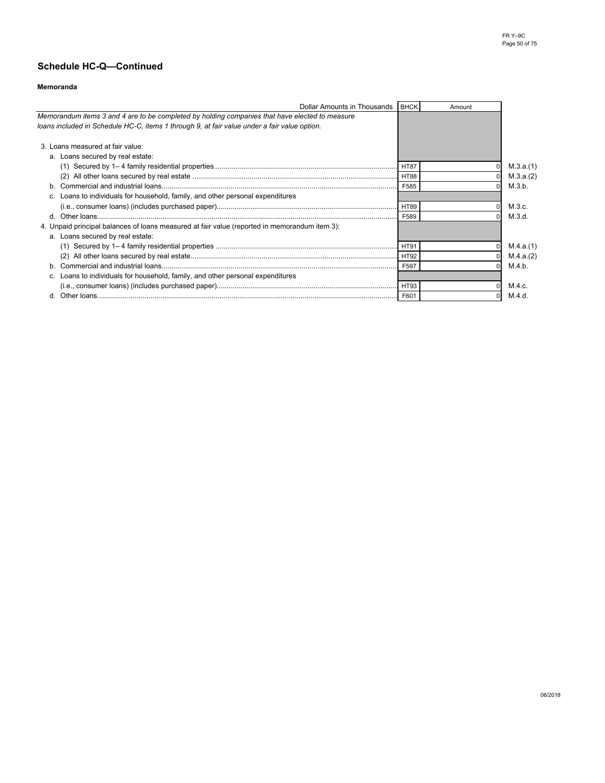## **Memoranda**

| Dollar Amounts in Thousands                                                                    | <b>BHCK</b> | Amount |           |
|------------------------------------------------------------------------------------------------|-------------|--------|-----------|
| Memorandum items 3 and 4 are to be completed by holding companies that have elected to measure |             |        |           |
| loans included in Schedule HC-C, items 1 through 9, at fair value under a fair value option.   |             |        |           |
|                                                                                                |             |        |           |
| 3. Loans measured at fair value:                                                               |             |        |           |
| a. Loans secured by real estate:                                                               |             |        |           |
|                                                                                                | HT87        |        | M.3.a.(1) |
|                                                                                                |             |        | M.3.a.(2) |
|                                                                                                | F585        |        | M.3.b.    |
| c. Loans to individuals for household, family, and other personal expenditures                 |             |        |           |
|                                                                                                |             |        | M.3.c.    |
|                                                                                                | F589        |        | M.3.d.    |
| 4. Unpaid principal balances of loans measured at fair value (reported in memorandum item 3):  |             |        |           |
| a. Loans secured by real estate:                                                               |             |        |           |
|                                                                                                | HT91        |        | M.4.a.(1) |
|                                                                                                |             |        | M.4.a.(2) |
|                                                                                                | F597        |        | M.4.b.    |
| c. Loans to individuals for household, family, and other personal expenditures                 |             |        |           |
|                                                                                                |             |        | M.4.c.    |
|                                                                                                | F601        |        | M.4.d.    |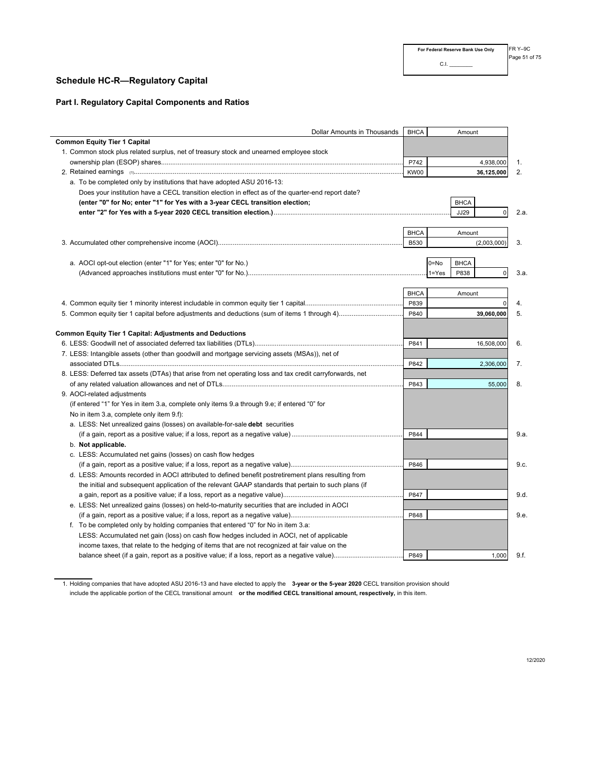## **Schedule HC-R—Regulatory Capital**

 $\overline{\phantom{0}}$ 

## **Part I. Regulatory Capital Components and Ratios**

| Dollar Amounts in Thousands                                                                              | <b>BHCA</b> |           | Amount      |                |      |
|----------------------------------------------------------------------------------------------------------|-------------|-----------|-------------|----------------|------|
| <b>Common Equity Tier 1 Capital</b>                                                                      |             |           |             |                |      |
| 1. Common stock plus related surplus, net of treasury stock and unearned employee stock                  |             |           |             |                |      |
|                                                                                                          | P742        |           |             | 4,938,000      | 1.   |
|                                                                                                          | KW00        |           |             | 36,125,000     | 2.   |
| a. To be completed only by institutions that have adopted ASU 2016-13:                                   |             |           |             |                |      |
| Does your institution have a CECL transition election in effect as of the quarter-end report date?       |             |           |             |                |      |
| (enter "0" for No; enter "1" for Yes with a 3-year CECL transition election;                             |             |           | <b>BHCA</b> |                |      |
|                                                                                                          |             |           | <b>JJ29</b> | $\overline{0}$ | 2.a. |
|                                                                                                          |             |           |             |                |      |
|                                                                                                          | <b>BHCA</b> |           | Amount      |                |      |
|                                                                                                          | <b>B530</b> |           |             | (2,003,000)    | 3.   |
|                                                                                                          |             |           |             |                |      |
| a. AOCI opt-out election (enter "1" for Yes; enter "0" for No.)                                          |             | $0 = No$  | <b>BHCA</b> |                |      |
|                                                                                                          |             | $1 = Yes$ | P838        | $\overline{0}$ | 3.a. |
|                                                                                                          |             |           |             |                |      |
|                                                                                                          | <b>BHCA</b> |           | Amount      |                |      |
|                                                                                                          | P839        |           |             | $\Omega$       | 4.   |
|                                                                                                          | P840        |           |             | 39,060,000     | 5.   |
|                                                                                                          |             |           |             |                |      |
| Common Equity Tier 1 Capital: Adjustments and Deductions                                                 |             |           |             |                |      |
|                                                                                                          | P841        |           |             | 16,508,000     | 6.   |
| 7. LESS: Intangible assets (other than goodwill and mortgage servicing assets (MSAs)), net of            |             |           |             |                |      |
|                                                                                                          | P842        |           |             | 2,306,000      | 7.   |
| 8. LESS: Deferred tax assets (DTAs) that arise from net operating loss and tax credit carryforwards, net |             |           |             |                |      |
|                                                                                                          | P843        |           |             | 55,000         | 8.   |
| 9. AOCI-related adjustments                                                                              |             |           |             |                |      |
| (if entered "1" for Yes in item 3.a, complete only items 9.a through 9.e; if entered "0" for             |             |           |             |                |      |
| No in item 3.a, complete only item 9.f):                                                                 |             |           |             |                |      |
| a. LESS: Net unrealized gains (losses) on available-for-sale <b>debt</b> securities                      |             |           |             |                |      |
|                                                                                                          | P844        |           |             |                | 9.a. |
| b. Not applicable.                                                                                       |             |           |             |                |      |
| c. LESS: Accumulated net gains (losses) on cash flow hedges                                              |             |           |             |                |      |
|                                                                                                          | P846        |           |             |                | 9.c. |
| d. LESS: Amounts recorded in AOCI attributed to defined benefit postretirement plans resulting from      |             |           |             |                |      |
| the initial and subsequent application of the relevant GAAP standards that pertain to such plans (if     |             |           |             |                |      |
|                                                                                                          | P847        |           |             |                | 9.d. |
| e. LESS: Net unrealized gains (losses) on held-to-maturity securities that are included in AOCI          |             |           |             |                |      |
|                                                                                                          | P848        |           |             |                | 9.e. |
| f. To be completed only by holding companies that entered "0" for No in item 3.a:                        |             |           |             |                |      |
| LESS: Accumulated net gain (loss) on cash flow hedges included in AOCI, net of applicable                |             |           |             |                |      |
| income taxes, that relate to the hedging of items that are not recognized at fair value on the           |             |           |             |                |      |
|                                                                                                          | P849        |           |             | 1,000          | 9.f. |
|                                                                                                          |             |           |             |                |      |

1. Holding companies that have adopted ASU 2016-13 and have elected to apply the **3-year or the 5-year 2020** CECL transition provision should include the applicable portion of the CECL transitional amount **or the modified CECL transitional amount, respectively,** in this item.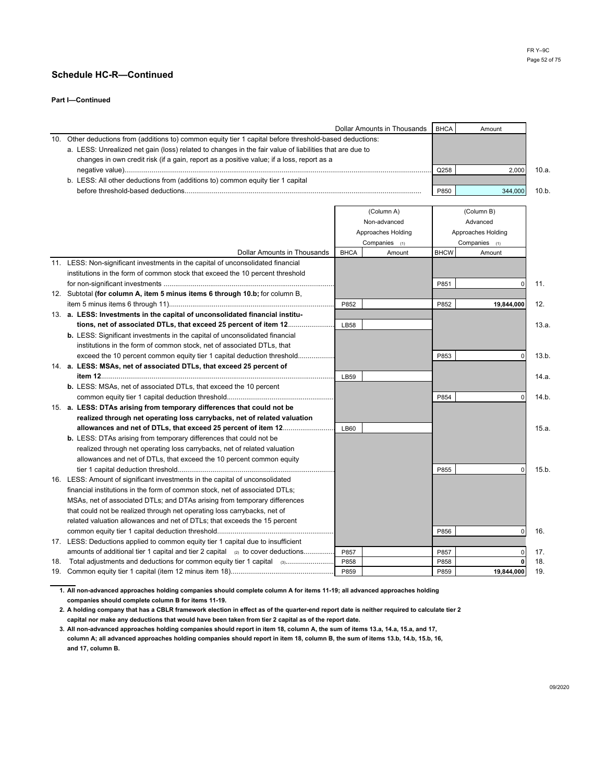### **Part I—Continued**

|     |                                                                                                         |             | Dollar Amounts in Thousands | <b>BHCA</b> | Amount             |       |
|-----|---------------------------------------------------------------------------------------------------------|-------------|-----------------------------|-------------|--------------------|-------|
| 10. | Other deductions from (additions to) common equity tier 1 capital before threshold-based deductions:    |             |                             |             |                    |       |
|     | a. LESS: Unrealized net gain (loss) related to changes in the fair value of liabilities that are due to |             |                             |             |                    |       |
|     | changes in own credit risk (if a gain, report as a positive value; if a loss, report as a               |             |                             |             |                    |       |
|     |                                                                                                         |             |                             | Q258        | 2,000              | 10.a. |
|     | b. LESS: All other deductions from (additions to) common equity tier 1 capital                          |             |                             |             |                    |       |
|     |                                                                                                         |             |                             | P850        | 344,000            | 10.b. |
|     |                                                                                                         |             |                             |             |                    |       |
|     |                                                                                                         |             | (Column A)                  |             | (Column B)         |       |
|     |                                                                                                         |             | Non-advanced                |             | Advanced           |       |
|     |                                                                                                         |             | Approaches Holding          |             | Approaches Holding |       |
|     |                                                                                                         |             | Companies (1)               |             | Companies (1)      |       |
|     | Dollar Amounts in Thousands                                                                             | <b>BHCA</b> | Amount                      | <b>BHCW</b> | Amount             |       |
|     | 11. LESS: Non-significant investments in the capital of unconsolidated financial                        |             |                             |             |                    |       |
|     | institutions in the form of common stock that exceed the 10 percent threshold                           |             |                             |             |                    |       |
|     |                                                                                                         |             |                             | P851        | 0                  | 11.   |
|     | 12. Subtotal (for column A, item 5 minus items 6 through 10.b; for column B,                            |             |                             |             |                    |       |
|     |                                                                                                         | P852        |                             | P852        | 19,844,000         | 12.   |
|     | 13. a. LESS: Investments in the capital of unconsolidated financial institu-                            |             |                             |             |                    |       |
|     | tions, net of associated DTLs, that exceed 25 percent of item 12                                        | <b>LB58</b> |                             |             |                    | 13.a. |
|     | <b>b.</b> LESS: Significant investments in the capital of unconsolidated financial                      |             |                             |             |                    |       |
|     | institutions in the form of common stock, net of associated DTLs, that                                  |             |                             |             |                    |       |
|     | exceed the 10 percent common equity tier 1 capital deduction threshold                                  |             |                             | P853        | $\mathbf 0$        | 13.b. |
|     | 14. a. LESS: MSAs, net of associated DTLs, that exceed 25 percent of                                    |             |                             |             |                    |       |
|     |                                                                                                         | LB59        |                             |             |                    | 14.a. |
|     | <b>b.</b> LESS: MSAs, net of associated DTLs, that exceed the 10 percent                                |             |                             |             |                    |       |
|     |                                                                                                         |             |                             | P854        | $\Omega$           | 14.b. |
|     | 15. a. LESS: DTAs arising from temporary differences that could not be                                  |             |                             |             |                    |       |
|     | realized through net operating loss carrybacks, net of related valuation                                |             |                             |             |                    |       |
|     | allowances and net of DTLs, that exceed 25 percent of item 12                                           | <b>LB60</b> |                             |             |                    | 15.a. |
|     | <b>b.</b> LESS: DTAs arising from temporary differences that could not be                               |             |                             |             |                    |       |
|     | realized through net operating loss carrybacks, net of related valuation                                |             |                             |             |                    |       |
|     | allowances and net of DTLs, that exceed the 10 percent common equity                                    |             |                             |             |                    |       |
|     |                                                                                                         |             |                             | P855        | $\Omega$           | 15.b. |
|     | 16. LESS: Amount of significant investments in the capital of unconsolidated                            |             |                             |             |                    |       |
|     | financial institutions in the form of common stock, net of associated DTLs;                             |             |                             |             |                    |       |
|     | MSAs, net of associated DTLs; and DTAs arising from temporary differences                               |             |                             |             |                    |       |
|     | that could not be realized through net operating loss carrybacks, net of                                |             |                             |             |                    |       |
|     | related valuation allowances and net of DTLs; that exceeds the 15 percent                               |             |                             |             |                    |       |
|     |                                                                                                         |             |                             | P856        | 0                  | 16.   |
|     | 17. LESS: Deductions applied to common equity tier 1 capital due to insufficient                        |             |                             |             |                    |       |
|     | amounts of additional tier 1 capital and tier 2 capital $_{(2)}$ to cover deductions                    | P857        |                             | P857        | 0                  | 17.   |
| 18. | Total adjustments and deductions for common equity tier 1 capital (3)                                   | P858        |                             | P858        | 0                  | 18.   |
|     |                                                                                                         | P859        |                             | P859        | 19,844,000         | 19.   |

**1. All non-advanced approaches holding companies should complete column A for items 11-19; all advanced approaches holding companies should complete column B for items 11-19.**

**2. A holding company that has a CBLR framework election in effect as of the quarter-end report date is neither required to calculate tier 2 capital nor make any deductions that would have been taken from tier 2 capital as of the report date.** 

**3. All non-advanced approaches holding companies should report in item 18, column A, the sum of items 13.a, 14.a, 15.a, and 17, column A; all advanced approaches holding companies should report in item 18, column B, the sum of items 13.b, 14.b, 15.b, 16, and 17, column B.**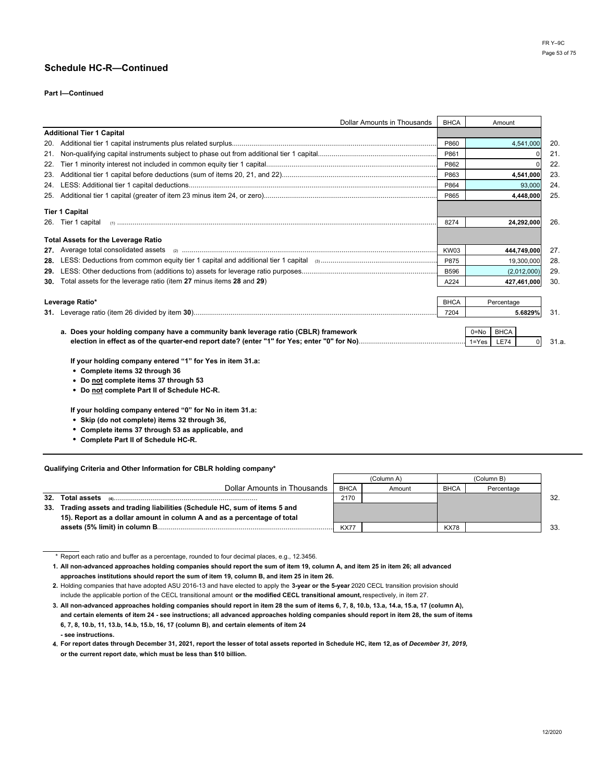### **Part I—Continued**

| Dollar Amounts in Thousands                                                        | <b>BHCA</b> | Amount               |       |
|------------------------------------------------------------------------------------|-------------|----------------------|-------|
| <b>Additional Tier 1 Capital</b>                                                   |             |                      |       |
|                                                                                    | P860        | 4,541,000            | 20.   |
|                                                                                    | P861        |                      | 21.   |
| 22.                                                                                | P862        |                      | 22.   |
|                                                                                    | P863        | 4,541,000            | 23.   |
|                                                                                    | P864        | 93,000               | 24.   |
|                                                                                    | P865        | 4,448,000            | 25.   |
| <b>Tier 1 Capital</b>                                                              |             |                      |       |
|                                                                                    | 8274        | 24,292,000           | 26.   |
| <b>Total Assets for the Leverage Ratio</b>                                         |             |                      |       |
|                                                                                    | KW03        | 444,749,000          | 27.   |
|                                                                                    | P875        | 19,300,000           | 28.   |
| 29.                                                                                | <b>B596</b> | (2,012,000)          | 29.   |
| 30. Total assets for the leverage ratio (item 27 minus items 28 and 29)            | A224        | 427,461,000          | 30.   |
|                                                                                    |             |                      |       |
| Leverage Ratio*                                                                    | <b>BHCA</b> | Percentage           |       |
|                                                                                    | 7204        | 5.6829%              | 31.   |
|                                                                                    |             |                      |       |
| a. Does your holding company have a community bank leverage ratio (CBLR) framework |             | <b>BHCA</b><br>0=No  |       |
|                                                                                    |             | <b>LE74</b><br>1=Yes | 31.a. |

**If your holding company entered "1" for Yes in item 31.a:**

- **• Complete items 32 through 36**
- **• Do not complete items 37 through 53**
- **• Do not complete Part II of Schedule HC-R.**

**If your holding company entered "0" for No in item 31.a:**

- **• Skip (do not complete) items 32 through 36,**
- **• Complete items 37 through 53 as applicable, and**
- **• Complete Part II of Schedule HC-R.**

#### **Qualifying Criteria and Other Information for CBLR holding company\***

|     |                                                                         |             | (Column A) | (Column B)  |            |     |
|-----|-------------------------------------------------------------------------|-------------|------------|-------------|------------|-----|
|     | Dollar Amounts in Thousands                                             | <b>BHCA</b> | Amount     | <b>BHCA</b> | Percentage |     |
| 32. |                                                                         | 2170        |            |             |            | 32. |
| 33. | Trading assets and trading liabilities (Schedule HC, sum of items 5 and |             |            |             |            |     |
|     | 15). Report as a dollar amount in column A and as a percentage of total |             |            |             |            |     |
|     |                                                                         | <b>KX77</b> |            | <b>KX78</b> |            | 33  |

\* Report each ratio and buffer as a percentage, rounded to four decimal places, e.g., 12.3456.

**1. All non-advanced approaches holding companies should report the sum of item 19, column A, and item 25 in item 26; all advanced approaches institutions should report the sum of item 19, column B, and item 25 in item 26.**

**<sup>2.</sup>** Holding companies that have adopted ASU 2016-13 and have elected to apply the **3-year or the 5-year** 2020 CECL transition provision should include the applicable portion of the CECL transitional amount **or the modified CECL transitional amount,** respectively, in item 27.

**<sup>3.</sup> All non-advanced approaches holding companies should report in item 28 the sum of items 6, 7, 8, 10.b, 13.a, 14.a, 15.a, 17 (column A), and certain elements of item 24 - see instructions; all advanced approaches holding companies should report in item 28, the sum of items 6, 7, 8, 10.b, 11, 13.b, 14.b, 15.b, 16, 17 (column B), and certain elements of item 24 - see instructions.**

**<sup>4.</sup> For report dates through December 31, 2021, report the lesser of total assets reported in Schedule HC, item 12,as of** *December 31, 2019,* **or the current report date, which must be less than \$10 billion.**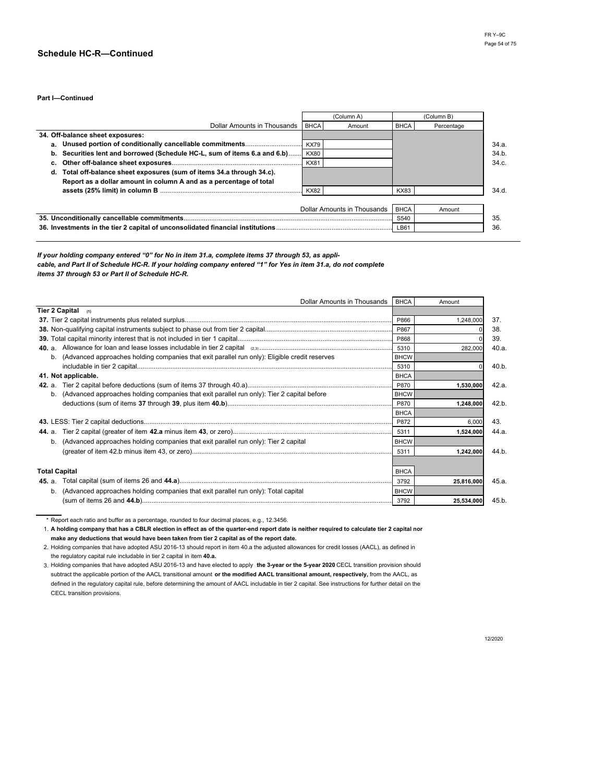**Part I—Continued**

|                                                                           |             | (Column A)                  |             | (Column B) |
|---------------------------------------------------------------------------|-------------|-----------------------------|-------------|------------|
| Dollar Amounts in Thousands                                               | <b>BHCA</b> | Amount                      | <b>BHCA</b> | Percentage |
| 34. Off-balance sheet exposures:                                          |             |                             |             |            |
|                                                                           | <b>KX79</b> |                             |             |            |
| b. Securities lent and borrowed (Schedule HC-L, sum of items 6.a and 6.b) | <b>KX80</b> |                             |             |            |
|                                                                           | <b>KX81</b> |                             |             |            |
| d. Total off-balance sheet exposures (sum of items 34.a through 34.c).    |             |                             |             |            |
| Report as a dollar amount in column A and as a percentage of total        |             |                             |             |            |
|                                                                           | <b>KX82</b> |                             | <b>KX83</b> |            |
|                                                                           |             |                             |             |            |
|                                                                           |             | Dollar Amounts in Thousands | <b>BHCA</b> | Amount     |
|                                                                           |             |                             | S540        |            |
|                                                                           | LB61        |                             |             |            |

*If your holding company entered "0" for No in item 31.a, complete items 37 through 53, as applicable, and Part II of Schedule HC-R. If your holding company entered "1" for Yes in item 31.a, do not complete items 37 through 53 or Part II of Schedule HC-R.*

| Dollar Amounts in Thousands   BHCA                                                               |             | Amount     |       |
|--------------------------------------------------------------------------------------------------|-------------|------------|-------|
| <b>Tier 2 Capital</b><br>(1)                                                                     |             |            |       |
|                                                                                                  | P866        | 1.248.000  | 37.   |
|                                                                                                  | P867        |            | 38.   |
|                                                                                                  | P868        |            |       |
|                                                                                                  | 5310        | 282,000    |       |
| b. (Advanced approaches holding companies that exit parallel run only): Eligible credit reserves | <b>BHCW</b> |            |       |
|                                                                                                  | 5310        |            |       |
| 41. Not applicable.                                                                              | <b>BHCA</b> |            |       |
|                                                                                                  | P870        | 1,530,000  |       |
| b. (Advanced approaches holding companies that exit parallel run only): Tier 2 capital before    | <b>BHCW</b> |            |       |
|                                                                                                  |             | 1,248,000  |       |
|                                                                                                  | <b>BHCA</b> |            |       |
|                                                                                                  | P872        | 6,000      |       |
| <b>44.</b> a.                                                                                    | 5311        | 1,524,000  |       |
| b. (Advanced approaches holding companies that exit parallel run only): Tier 2 capital           | <b>BHCW</b> |            |       |
|                                                                                                  | 5311        | 1,242,000  |       |
|                                                                                                  |             |            |       |
| <b>Total Capital</b>                                                                             | <b>BHCA</b> |            |       |
| <b>45.</b> a.                                                                                    | 3792        | 25,816,000 | 45.a. |
| b. (Advanced approaches holding companies that exit parallel run only): Total capital            | <b>BHCW</b> |            |       |
|                                                                                                  | 3792        | 25,534,000 | 45.b. |

\* Report each ratio and buffer as a percentage, rounded to four decimal places, e.g., 12.3456.

1. **A holding company that has a CBLR election in effect as of the quarter-end report date is neither required to calculate tier 2 capital nor make any deductions that would have been taken from tier 2 capital as of the report date.**

2. Holding companies that have adopted ASU 2016-13 should report in item 40.a the adjusted allowances for credit losses (AACL), as defined in the regulatory capital rule includable in tier 2 capital in item **40.a.**

3. Holding companies that have adopted ASU 2016-13 and have elected to apply **the 3-year or the 5-year 2020** CECL transition provision should subtract the applicable portion of the AACL transitional amount **or the modified AACL transitional amount, respectively,** from the AACL, as defined in the regulatory capital rule, before determining the amount of AACL includable in tier 2 capital. See instructions for further detail on the CECL transition provisions.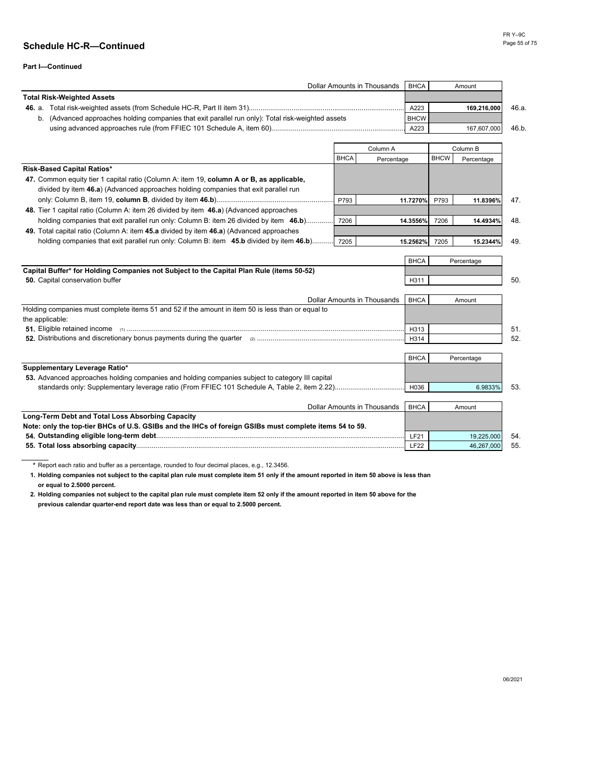|                                                                                                    |             | Dollar Amounts in Thousands        | <b>BHCA</b> |             | Amount      |
|----------------------------------------------------------------------------------------------------|-------------|------------------------------------|-------------|-------------|-------------|
| <b>Total Risk-Weighted Assets</b>                                                                  |             |                                    |             |             |             |
|                                                                                                    |             |                                    | A223        |             | 169,216,000 |
| b. (Advanced approaches holding companies that exit parallel run only): Total risk-weighted assets |             |                                    | <b>BHCW</b> |             |             |
|                                                                                                    |             |                                    | A223        |             | 167,607,000 |
|                                                                                                    |             |                                    |             |             |             |
|                                                                                                    |             | Column A                           |             |             | Column B    |
|                                                                                                    | <b>BHCA</b> | Percentage                         |             | <b>BHCW</b> | Percentage  |
| <b>Risk-Based Capital Ratios*</b>                                                                  |             |                                    |             |             |             |
| 47. Common equity tier 1 capital ratio (Column A: item 19, column A or B, as applicable,           |             |                                    |             |             |             |
| divided by item 46.a) (Advanced approaches holding companies that exit parallel run                |             |                                    |             |             |             |
|                                                                                                    | P793        | 11.7270%                           |             | P793        | 11.8396%    |
| 48. Tier 1 capital ratio (Column A: item 26 divided by item 46.a) (Advanced approaches             |             |                                    |             |             |             |
| holding companies that exit parallel run only: Column B: item 26 divided by item 46.b)             | 7206        |                                    | 14.3556%    | 7206        | 14.4934%    |
| 49. Total capital ratio (Column A: item 45.a divided by item 46.a) (Advanced approaches            |             |                                    |             |             |             |
| holding companies that exit parallel run only: Column B: item 45.b divided by item 46.b) 7205      |             | 15.2562%                           |             | 7205        | 15.2344%    |
|                                                                                                    |             |                                    |             |             |             |
|                                                                                                    |             |                                    | <b>BHCA</b> |             | Percentage  |
| Capital Buffer* for Holding Companies not Subject to the Capital Plan Rule (items 50-52)           |             |                                    |             |             |             |
| 50. Capital conservation buffer                                                                    |             |                                    | H311        |             |             |
|                                                                                                    |             | <b>Dollar Amounts in Thousands</b> | <b>BHCA</b> |             | Amount      |
| Holding companies must complete items 51 and 52 if the amount in item 50 is less than or equal to  |             |                                    |             |             |             |
| the applicable:                                                                                    |             |                                    |             |             |             |
|                                                                                                    |             |                                    | H313        |             |             |
|                                                                                                    |             |                                    | H314        |             |             |
|                                                                                                    |             |                                    |             |             |             |
|                                                                                                    |             |                                    | <b>BHCA</b> |             | Percentage  |
| Supplementary Leverage Ratio*                                                                      |             |                                    |             |             |             |
| 53. Advanced approaches holding companies and holding companies subject to category III capital    |             |                                    |             |             |             |
|                                                                                                    |             |                                    | H036        |             | 6.9833%     |
|                                                                                                    |             |                                    |             |             |             |
|                                                                                                    |             | <b>Dollar Amounts in Thousands</b> | <b>BHCA</b> |             | Amount      |

| <u>DUIGI AINUUINS III HIUUSANUS TEHUA T</u>                                                            |                  | AIIUUII    |
|--------------------------------------------------------------------------------------------------------|------------------|------------|
| Long-Term Debt and Total Loss Absorbing Capacity                                                       |                  |            |
| Note: only the top-tier BHCs of U.S. GSIBs and the IHCs of foreign GSIBs must complete items 54 to 59. |                  |            |
|                                                                                                        | LF2'             | 19.225.000 |
| 55. Total loss absorbing capacity                                                                      | LF <sub>22</sub> | 46.267.000 |

**\*** Report each ratio and buffer as a percentage, rounded to four decimal places, e.g., 12.3456.

**1. Holding companies not subject to the capital plan rule must complete item 51 only if the amount reported in item 50 above is less than or equal to 2.5000 percent.**

**2. Holding companies not subject to the capital plan rule must complete item 52 only if the amount reported in item 50 above for the previous calendar quarter-end report date was less than or equal to 2.5000 percent.**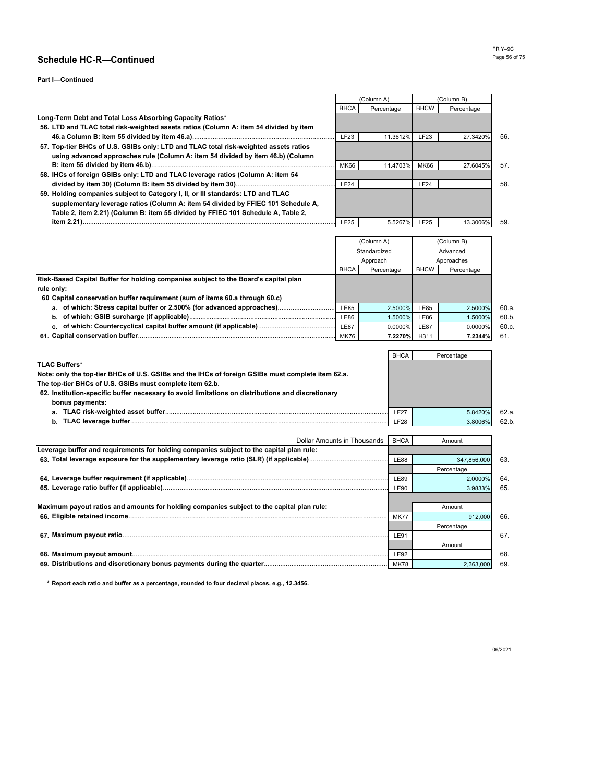### **Part I—Continued**

|                                                                                       |             | (Column A) | (Column B)  |            |     |
|---------------------------------------------------------------------------------------|-------------|------------|-------------|------------|-----|
|                                                                                       | <b>BHCA</b> | Percentage | <b>BHCW</b> | Percentage |     |
| Long-Term Debt and Total Loss Absorbing Capacity Ratios*                              |             |            |             |            |     |
| 56. LTD and TLAC total risk-weighted assets ratios (Column A: item 54 divided by item |             |            |             |            |     |
|                                                                                       | LF23        | 11.3612%   | <b>LF23</b> | 27.3420%   | 56. |
| 57. Top-tier BHCs of U.S. GSIBs only: LTD and TLAC total risk-weighted assets ratios  |             |            |             |            |     |
| using advanced approaches rule (Column A: item 54 divided by item 46.b) (Column       |             |            |             |            |     |
|                                                                                       | <b>MK66</b> | 11.4703%   | <b>MK66</b> | 27.6045%   | 57. |
| 58. IHCs of foreign GSIBs only: LTD and TLAC leverage ratios (Column A: item 54       |             |            |             |            |     |
|                                                                                       | LF24        |            | LF24        |            | 58. |
| 59. Holding companies subject to Category I, II, or III standards: LTD and TLAC       |             |            |             |            |     |
| supplementary leverage ratios (Column A: item 54 divided by FFIEC 101 Schedule A,     |             |            |             |            |     |
| Table 2, item 2.21) (Column B: item 55 divided by FFIEC 101 Schedule A, Table 2,      |             |            |             |            |     |
|                                                                                       | LF25        | 5.5267%    | <b>LF25</b> | 13.3006%   | 59. |

|                                                                                     |             | (Column A)   | (Column B)  |            |       |
|-------------------------------------------------------------------------------------|-------------|--------------|-------------|------------|-------|
|                                                                                     |             | Standardized | Advanced    |            |       |
|                                                                                     |             | Approach     | Approaches  |            |       |
|                                                                                     | <b>BHCA</b> | Percentage   | <b>BHCW</b> | Percentage |       |
| Risk-Based Capital Buffer for holding companies subject to the Board's capital plan |             |              |             |            |       |
| rule only:                                                                          |             |              |             |            |       |
| 60 Capital conservation buffer requirement (sum of items 60.a through 60.c)         |             |              |             |            |       |
| a. of which: Stress capital buffer or 2.500% (for advanced approaches)              | <b>LE85</b> | 2.5000%      | <b>LE85</b> | 2.5000%    | 60.a. |
|                                                                                     | <b>LE86</b> | 1.5000%      | LE86        | 1.5000%    | 60.b. |
|                                                                                     | <b>LE87</b> | 0.0000%      | <b>LE87</b> | 0.0000%    | 60.c. |
| 61. Capital conservation buffer                                                     | <b>MK76</b> | 7.2270%      | H311        | 7.2344%    | 61.   |

|                                                                                                   | <b>BHCA</b> | Percentage |       |
|---------------------------------------------------------------------------------------------------|-------------|------------|-------|
| <b>TLAC Buffers*</b>                                                                              |             |            |       |
| Note: only the top-tier BHCs of U.S. GSIBs and the IHCs of foreign GSIBs must complete item 62.a. |             |            |       |
| The top-tier BHCs of U.S. GSIBs must complete item 62.b.                                          |             |            |       |
| 62. Institution-specific buffer necessary to avoid limitations on distributions and discretionary |             |            |       |
| bonus payments:                                                                                   |             |            |       |
|                                                                                                   | <b>LF27</b> | 5.8420%    | 62.a. |
|                                                                                                   | <b>F28</b>  | 3.8006%    | 62.b  |
|                                                                                                   |             |            |       |

| Dollar Amounts in Thousands                                                               | <b>BHCA</b> | Amount      |
|-------------------------------------------------------------------------------------------|-------------|-------------|
| Leverage buffer and requirements for holding companies subject to the capital plan rule:  |             |             |
|                                                                                           | <b>LE88</b> | 347.856.000 |
|                                                                                           |             | Percentage  |
|                                                                                           | <b>LE89</b> | 2.0000%     |
|                                                                                           | <b>LE90</b> | 3.9833%     |
|                                                                                           |             |             |
| Maximum payout ratios and amounts for holding companies subject to the capital plan rule: |             | Amount      |
|                                                                                           | <b>MK77</b> | 912.000     |
|                                                                                           |             | Percentage  |
|                                                                                           | <b>LE91</b> |             |
|                                                                                           |             | Amount      |
|                                                                                           | <b>LE92</b> |             |
|                                                                                           | <b>MK78</b> | 2.363.000   |

**\* Report each ratio and buffer as a percentage, rounded to four decimal places, e.g., 12.3456.**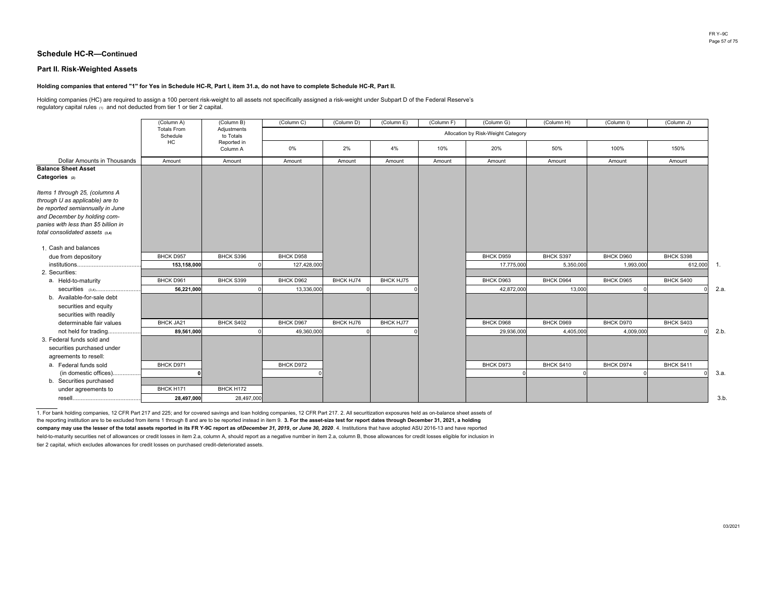#### **Part II. Risk-Weighted Assets**

#### **Holding companies that entered "1" for Yes in Schedule HC-R, Part I, item 31.a, do not have to complete Schedule HC-R, Part II.**

Holding companies (HC) are required to assign a 100 percent risk-weight to all assets not specifically assigned a risk-weight under Subpart D of the Federal Reserve's regulatory capital rules (1) and not deducted from tier 1 or tier 2 capital.

|                                                                                                         | (Column A)                     | (Column B)               | (Column C)  | (Column D) | (Column E)       | (Column F) | (Column G)                         | (Column H) | (Column I) | (Column J) |                  |
|---------------------------------------------------------------------------------------------------------|--------------------------------|--------------------------|-------------|------------|------------------|------------|------------------------------------|------------|------------|------------|------------------|
|                                                                                                         | <b>Totals From</b><br>Schedule | Adjustments<br>to Totals |             |            |                  |            | Allocation by Risk-Weight Category |            |            |            |                  |
|                                                                                                         | HC                             | Reported in<br>Column A  | 0%          | 2%         | 4%               | 10%        | 20%                                | 50%        | 100%       | 150%       |                  |
| <b>Dollar Amounts in Thousands</b>                                                                      | Amount                         | Amount                   | Amount      | Amount     | Amount           | Amount     | Amount                             | Amount     | Amount     | Amount     |                  |
| <b>Balance Sheet Asset</b><br>Categories (2)                                                            |                                |                          |             |            |                  |            |                                    |            |            |            |                  |
| Items 1 through 25, (columns A<br>through U as applicable) are to<br>be reported semiannually in June   |                                |                          |             |            |                  |            |                                    |            |            |            |                  |
| and December by holding com-<br>panies with less than \$5 billion in<br>total consolidated assets (3,4) |                                |                          |             |            |                  |            |                                    |            |            |            |                  |
| 1. Cash and balances                                                                                    |                                |                          |             |            |                  |            |                                    |            |            |            |                  |
| due from depository                                                                                     | BHCK D957                      | BHCK S396                | BHCK D958   |            |                  |            | BHCK D959                          | BHCK S397  | BHCK D960  | BHCK S398  |                  |
|                                                                                                         | 153,158,000                    |                          | 127,428,000 |            |                  |            | 17,775,000                         | 5,350,000  | 1,993,000  | 612,000    | $\overline{1}$ . |
| 2. Securities:                                                                                          |                                |                          |             |            |                  |            |                                    |            |            |            |                  |
| a. Held-to-maturity                                                                                     | BHCK D961                      | BHCK S399                | BHCK D962   | BHCK HJ74  | BHCK HJ75        |            | BHCK D963                          | BHCK D964  | BHCK D965  | BHCK S400  |                  |
|                                                                                                         | 56,221,000                     |                          | 13,336,000  |            |                  |            | 42,872,000                         | 13,000     |            |            | 2.a.             |
| b. Available-for-sale debt<br>securities and equity<br>securities with readily                          |                                |                          |             |            |                  |            |                                    |            |            |            |                  |
| determinable fair values                                                                                | BHCK JA21                      | BHCK S402                | BHCK D967   | BHCK HJ76  | <b>BHCK HJ77</b> |            | BHCK D968                          | BHCK D969  | BHCK D970  | BHCK S403  |                  |
| not held for trading                                                                                    | 89.561.000                     |                          | 49.360.000  |            |                  |            | 29,936,000                         | 4,405,000  | 4,009,000  |            | 2.b.             |
| 3. Federal funds sold and<br>securities purchased under<br>agreements to resell:                        |                                |                          |             |            |                  |            |                                    |            |            |            |                  |
| a. Federal funds sold                                                                                   | BHCK D971                      |                          | BHCK D972   |            |                  |            | BHCK D973                          | BHCK S410  | BHCK D974  | BHCK S411  |                  |
| (in domestic offices)                                                                                   |                                |                          |             |            |                  |            |                                    |            |            |            | 3.a.             |
| b. Securities purchased                                                                                 |                                |                          |             |            |                  |            |                                    |            |            |            |                  |
| under agreements to                                                                                     | BHCK H171                      | BHCK H172                |             |            |                  |            |                                    |            |            |            |                  |
|                                                                                                         | 28,497,000                     | 28,497,000               |             |            |                  |            |                                    |            |            |            | 3.b              |

the reporting institution are to be excluded from items 1 through 8 and are to be reported instead in item 9. **3. For the asset-size test for report dates through December 31, 2021, a holding**company may use the lesser of the total assets reported in its FR Y-9C report as of December 31, 2019, or June 30, 2020. 4. Institutions that have adopted ASU 2016-13 and have reported held-to-maturity securities net of allowances or credit losses in item 2.a, column A, should report as a negative number in item 2.a, column B, those allowances for credit losses eligible for inclusion in tier 2 capital, which excludes allowances for credit losses on purchased credit-deteriorated assets. 1. For bank holding companies, 12 CFR Part 217 and 225; and for covered savings and loan holding companies, 12 CFR Part 217. 2. All securitization exposures held as on-balance sheet assets of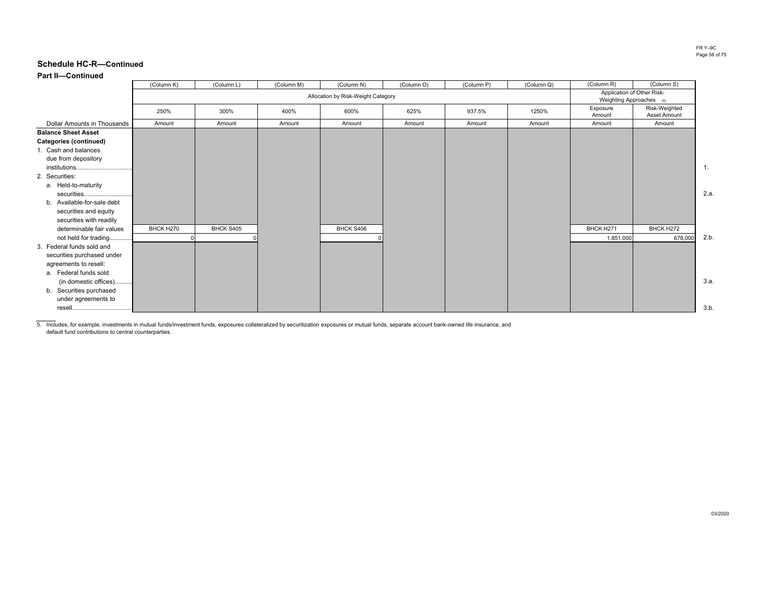### **Part II—Continued**

|                               | (Column K) | (Column L)                                             | (Column M) | (Column N) | (Column O) | (Column P) | (Column Q) | (Column R)         | (Column S)                    |                  |
|-------------------------------|------------|--------------------------------------------------------|------------|------------|------------|------------|------------|--------------------|-------------------------------|------------------|
|                               |            | Application of Other Risk-<br>Weighting Approaches (5) |            |            |            |            |            |                    |                               |                  |
|                               | 250%       | 300%                                                   | 400%       | 600%       | 625%       | 937.5%     | 1250%      | Exposure<br>Amount | Risk-Weighted<br>Asset Amount |                  |
| Dollar Amounts in Thousands   | Amount     | Amount                                                 | Amount     | Amount     | Amount     | Amount     | Amount     | Amount             | Amount                        |                  |
| <b>Balance Sheet Asset</b>    |            |                                                        |            |            |            |            |            |                    |                               |                  |
| <b>Categories (continued)</b> |            |                                                        |            |            |            |            |            |                    |                               |                  |
| 1. Cash and balances          |            |                                                        |            |            |            |            |            |                    |                               |                  |
| due from depository           |            |                                                        |            |            |            |            |            |                    |                               |                  |
| institutions                  |            |                                                        |            |            |            |            |            |                    |                               | $\overline{1}$ . |
| 2. Securities:                |            |                                                        |            |            |            |            |            |                    |                               |                  |
| a. Held-to-maturity           |            |                                                        |            |            |            |            |            |                    |                               |                  |
| securities                    |            |                                                        |            |            |            |            |            |                    |                               | 2.a              |
| b. Available-for-sale debt    |            |                                                        |            |            |            |            |            |                    |                               |                  |
| securities and equity         |            |                                                        |            |            |            |            |            |                    |                               |                  |
| securities with readily       |            |                                                        |            |            |            |            |            |                    |                               |                  |
| determinable fair values      | BHCK H270  | BHCK S405                                              |            | BHCK S406  |            |            |            | BHCK H271          | BHCK H272                     |                  |
| not held for trading          |            |                                                        |            |            |            |            |            | 1,851,000          | 678,000                       | 2.b              |
| 3. Federal funds sold and     |            |                                                        |            |            |            |            |            |                    |                               |                  |
| securities purchased under    |            |                                                        |            |            |            |            |            |                    |                               |                  |
| agreements to resell:         |            |                                                        |            |            |            |            |            |                    |                               |                  |
| a. Federal funds sold         |            |                                                        |            |            |            |            |            |                    |                               |                  |
| (in domestic offices)         |            |                                                        |            |            |            |            |            |                    |                               | 3.a              |
| b. Securities purchased       |            |                                                        |            |            |            |            |            |                    |                               |                  |
| under agreements to           |            |                                                        |            |            |            |            |            |                    |                               |                  |
|                               |            |                                                        |            |            |            |            |            |                    |                               | 3.b              |

5. Includes, for example, investments in mutual funds/investment funds, exposures collateralized by securitization exposures or mutual funds, separate account bank-owned life insurance, and default fund contributions to central counterparties.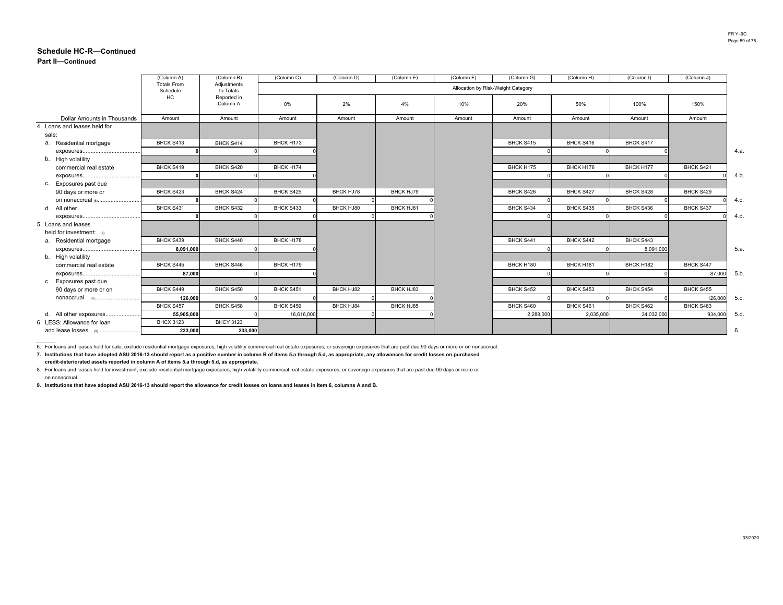### **Part II—Continued**

|                               | (Column A)                     | (Column B)               | (Column C) | (Column D)       | (Column E) | (Column F)                         | (Column G) | (Column H) | (Column I) | (Column J) |      |
|-------------------------------|--------------------------------|--------------------------|------------|------------------|------------|------------------------------------|------------|------------|------------|------------|------|
|                               | <b>Totals From</b><br>Schedule | Adjustments<br>to Totals |            |                  |            | Allocation by Risk-Weight Category |            |            |            |            |      |
|                               | HC                             | Reported in<br>Column A  | 0%         | 2%               | 4%         | 10%                                | 20%        | 50%        | 100%       | 150%       |      |
| Dollar Amounts in Thousands   | Amount                         | Amount                   | Amount     | Amount           | Amount     | Amount                             | Amount     | Amount     | Amount     | Amount     |      |
| 4. Loans and leases held for  |                                |                          |            |                  |            |                                    |            |            |            |            |      |
| sale:                         |                                |                          |            |                  |            |                                    |            |            |            |            |      |
| a. Residential mortgage       | BHCK S413                      | BHCK S414                | BHCK H173  |                  |            |                                    | BHCK S415  | BHCK S416  | BHCK S417  |            |      |
|                               |                                |                          |            |                  |            |                                    |            |            |            |            | 4.a. |
| b. High volatility            |                                |                          |            |                  |            |                                    |            |            |            |            |      |
| commercial real estate        | BHCK S419                      | BHCK S420                | BHCK H174  |                  |            |                                    | BHCK H175  | BHCK H176  | BHCK H177  | BHCK S421  |      |
|                               |                                |                          |            |                  |            |                                    |            |            |            |            | 4.b. |
| c. Exposures past due         |                                |                          |            |                  |            |                                    |            |            |            |            |      |
| 90 days or more or            | BHCK S423                      | BHCK S424                | BHCK S425  | <b>BHCK HJ78</b> | BHCK HJ79  |                                    | BHCK S426  | BHCK S427  | BHCK S428  | BHCK S429  |      |
|                               |                                |                          |            |                  |            |                                    |            |            |            |            | 4.c. |
| d. All other                  | BHCK S431                      | BHCK S432                | BHCK S433  | BHCK HJ80        | BHCK HJ81  |                                    | BHCK S434  | BHCK S435  | BHCK S436  | BHCK S437  |      |
|                               |                                |                          |            |                  |            |                                    |            |            |            |            | 4.d. |
| 5. Loans and leases           |                                |                          |            |                  |            |                                    |            |            |            |            |      |
| held for investment: $\sigma$ | BHCK S439                      | BHCK S440                | BHCK H178  |                  |            |                                    | BHCK S441  | BHCK S442  | BHCK S443  |            |      |
| a. Residential mortgage       |                                |                          |            |                  |            |                                    |            |            |            |            |      |
| b. High volatility            | 8,091,000                      |                          |            |                  |            |                                    |            |            | 8,091,000  |            | 5.a. |
| commercial real estate        | BHCK S445                      | BHCK S446                | BHCK H179  |                  |            |                                    | BHCK H180  | BHCK H181  | BHCK H182  | BHCK S447  |      |
|                               | 87,000                         |                          |            |                  |            |                                    |            |            |            | 87,000     | 5.b. |
| c. Exposures past due         |                                |                          |            |                  |            |                                    |            |            |            |            |      |
| 90 days or more or on         | BHCK S449                      | BHCK S450                | BHCK S451  | BHCK HJ82        | BHCK HJ83  |                                    | BHCK S452  | BHCK S453  | BHCK S454  | BHCK S455  |      |
|                               | 126.000                        |                          |            |                  |            |                                    |            |            |            | 126,000    | 5.c. |
|                               | BHCK S457                      | BHCK S458                | BHCK S459  | <b>BHCK HJ84</b> | BHCK HJ85  |                                    | BHCK S460  | BHCK S461  | BHCK S462  | BHCK S463  |      |
| d. All other exposures        | 55,905,000                     |                          | 16,616,000 |                  |            |                                    | 2,288,000  | 2,035,000  | 34.032.000 | 934.000    | 5.d. |
| 6. LESS: Allowance for loan   | <b>BHCX 3123</b>               | <b>BHCY 3123</b>         |            |                  |            |                                    |            |            |            |            |      |
| and lease losses (9)          | 233,000                        | 233,000                  |            |                  |            |                                    |            |            |            |            | 6.   |
|                               |                                |                          |            |                  |            |                                    |            |            |            |            |      |

6. For loans and leases held for sale, exclude residential mortgage exposures, high volatility commercial real estate exposures, or sovereign exposures that are past due 90 days or more or on nonaccrual.

**7. Institutions that have adopted ASU 2016-13 should report as a positive number in column B of items 5.a through 5.d, as appropriate, any allowances for credit losses on purchased credit-deteriorated assets reported in column A of items 5.a through 5.d, as appropriate.** 

8. For loans and leases held for investment, exclude residential mortgage exposures, high volatility commercial real estate exposures, or sovereign exposures that are past due 90 days or more or on nonaccrual.

**9. Institutions that have adopted ASU 2016-13 should report the allowance for credit losses on loans and leases in item 6, columns A and B.**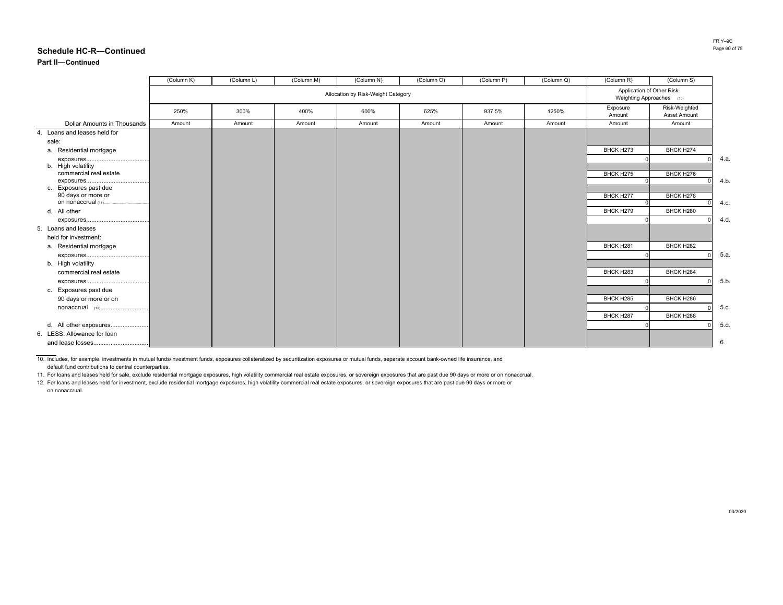### **Part II—Continued**

|                                    | (Column K) | (Column L) | (Column M) | (Column N)                         | (Column O) | (Column P) | (Column Q) | (Column R)                                              | (Column S)                           |      |
|------------------------------------|------------|------------|------------|------------------------------------|------------|------------|------------|---------------------------------------------------------|--------------------------------------|------|
|                                    |            |            |            | Allocation by Risk-Weight Category |            |            |            | Application of Other Risk-<br>Weighting Approaches (10) |                                      |      |
|                                    | 250%       | 300%       | 400%       | 600%                               | 625%       | 937.5%     | 1250%      | Exposure<br>Amount                                      | Risk-Weighted<br><b>Asset Amount</b> |      |
| <b>Dollar Amounts in Thousands</b> | Amount     | Amount     | Amount     | Amount                             | Amount     | Amount     | Amount     | Amount                                                  | Amount                               |      |
| 4. Loans and leases held for       |            |            |            |                                    |            |            |            |                                                         |                                      |      |
| sale:                              |            |            |            |                                    |            |            |            |                                                         |                                      |      |
| a. Residential mortgage            |            |            |            |                                    |            |            |            | BHCK H273                                               | BHCK H274                            |      |
|                                    |            |            |            |                                    |            |            |            |                                                         |                                      | 4.a  |
| b. High volatility                 |            |            |            |                                    |            |            |            |                                                         |                                      |      |
| commercial real estate             |            |            |            |                                    |            |            |            | BHCK H275                                               | BHCK H276                            | 4.b  |
| c. Exposures past due              |            |            |            |                                    |            |            |            |                                                         |                                      |      |
| 90 days or more or                 |            |            |            |                                    |            |            |            | BHCK H277                                               | BHCK H278                            |      |
| on nonaccrual (11)                 |            |            |            |                                    |            |            |            |                                                         |                                      | 4.c. |
| d. All other                       |            |            |            |                                    |            |            |            | BHCK H279                                               | BHCK H280                            |      |
|                                    |            |            |            |                                    |            |            |            |                                                         |                                      | 4.d  |
| 5. Loans and leases                |            |            |            |                                    |            |            |            |                                                         |                                      |      |
| held for investment:               |            |            |            |                                    |            |            |            |                                                         |                                      |      |
| a. Residential mortgage            |            |            |            |                                    |            |            |            | BHCK H281                                               | BHCK H282                            |      |
|                                    |            |            |            |                                    |            |            |            |                                                         |                                      | 5.a  |
| b. High volatility                 |            |            |            |                                    |            |            |            |                                                         |                                      |      |
| commercial real estate             |            |            |            |                                    |            |            |            | BHCK H283                                               | BHCK H284                            |      |
|                                    |            |            |            |                                    |            |            |            |                                                         |                                      | 5.b  |
| c. Exposures past due              |            |            |            |                                    |            |            |            |                                                         |                                      |      |
| 90 days or more or on              |            |            |            |                                    |            |            |            | BHCK H285                                               | BHCK H286                            |      |
| nonaccrual (12)                    |            |            |            |                                    |            |            |            |                                                         |                                      | 5.c. |
|                                    |            |            |            |                                    |            |            |            | BHCK H287                                               | BHCK H288                            |      |
| d. All other exposures             |            |            |            |                                    |            |            |            |                                                         |                                      | 5.d  |
| 6. LESS: Allowance for loan        |            |            |            |                                    |            |            |            |                                                         |                                      |      |
|                                    |            |            |            |                                    |            |            |            |                                                         |                                      | 6.   |

10. Includes, for example, investments in mutual funds/investment funds, exposures collateralized by securitization exposures or mutual funds, separate account bank-owned life insurance, and default fund contributions to central counterparties.

11. For loans and leases held for sale, exclude residential mortgage exposures, high volatility commercial real estate exposures, or sovereign exposures that are past due 90 days or more or on nonaccrual.

12. For loans and leases held for investment, exclude residential mortgage exposures, high volatility commercial real estate exposures, or sovereign exposures that are past due 90 days or more or

on nonaccrual.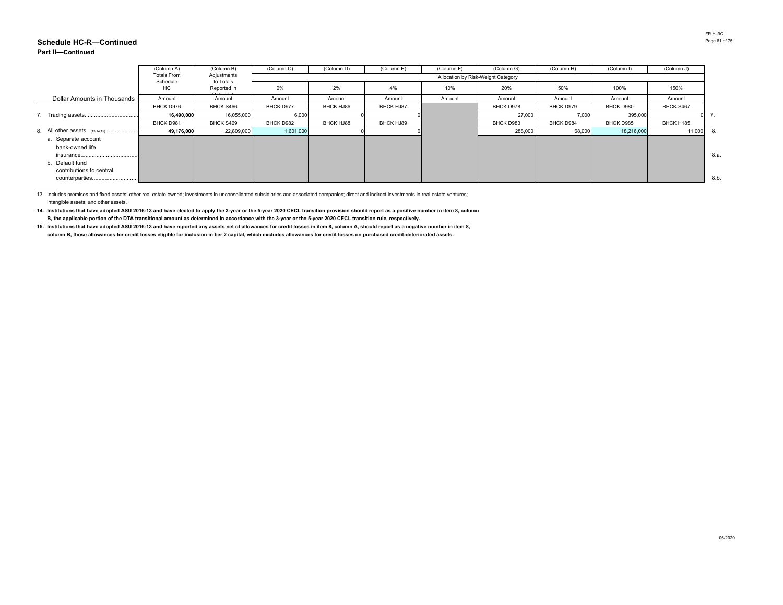#### **Schedule HC-R—ContinuedPart II—Continued**

|                                | (Column A)         | (Column B)                            | (Column C) | (Column D)       | (Column E) | (Column F) | (Column G)                         | (Column H)       | (Column I)       | (Column J) |     |
|--------------------------------|--------------------|---------------------------------------|------------|------------------|------------|------------|------------------------------------|------------------|------------------|------------|-----|
|                                | <b>Totals From</b> | Adjustments                           |            |                  |            |            | Allocation by Risk-Weight Category |                  |                  |            |     |
|                                | Schedule<br>HC     | to Totals<br>Reported in<br>Calumna A | 0%         | 2%               | 4%         | 10%        | 20%                                | 50%              | 100%             | 150%       |     |
| Dollar Amounts in Thousands    | Amount             | Amount                                | Amount     | Amount           | Amount     | Amount     | Amount                             | Amount           | Amount           | Amount     |     |
|                                | BHCK D976          | BHCK S466                             | BHCK D977  | BHCK HJ86        | BHCK HJ87  |            | BHCK D978                          | BHCK D979        | BHCK D980        | BHCK S467  |     |
|                                | 16,490,000         | 16,055,000                            | 6,000      |                  |            |            | 27,000                             | 7,000            | 395,000          |            | 7.  |
|                                | BHCK D981          | BHCK S469                             | BHCK D982  | <b>BHCK HJ88</b> | BHCK HJ89  |            | BHCK D983                          | <b>BHCK D984</b> | <b>BHCK D985</b> | BHCK H185  |     |
| 8. All other assets (13,14,15) | 49,176,000         | 22,809,000                            | 1,601,000  |                  |            |            | 288,000                            | 68,000           | 18,216,000       | 11,000     | 8.  |
| a. Separate account            |                    |                                       |            |                  |            |            |                                    |                  |                  |            |     |
| bank-owned life                |                    |                                       |            |                  |            |            |                                    |                  |                  |            |     |
|                                |                    |                                       |            |                  |            |            |                                    |                  |                  |            | 8.a |
| b. Default fund                |                    |                                       |            |                  |            |            |                                    |                  |                  |            |     |
| contributions to central       |                    |                                       |            |                  |            |            |                                    |                  |                  |            |     |
|                                |                    |                                       |            |                  |            |            |                                    |                  |                  |            | 8.b |

13. Includes premises and fixed assets; other real estate owned; investments in unconsolidated subsidiaries and associated companies; direct and indirect investments in real estate ventures; intangible assets; and other assets.

 **14. Institutions that have adopted ASU 2016-13 and have elected to apply the 3-year or the 5-year 2020 CECL transition provision should report as a positive number in item 8, column**  B, the applicable portion of the DTA transitional amount as determined in accordance with the 3-year or the 5-year 2020 CECL transition rule, respectively.

 **15. Institutions that have adopted ASU 2016-13 and have reported any assets net of allowances for credit losses in item 8, column A, should report as a negative number in item 8, column B, those allowances for credit losses eligible for inclusion in tier 2 capital, which excludes allowances for credit losses on purchased credit-deteriorated assets.**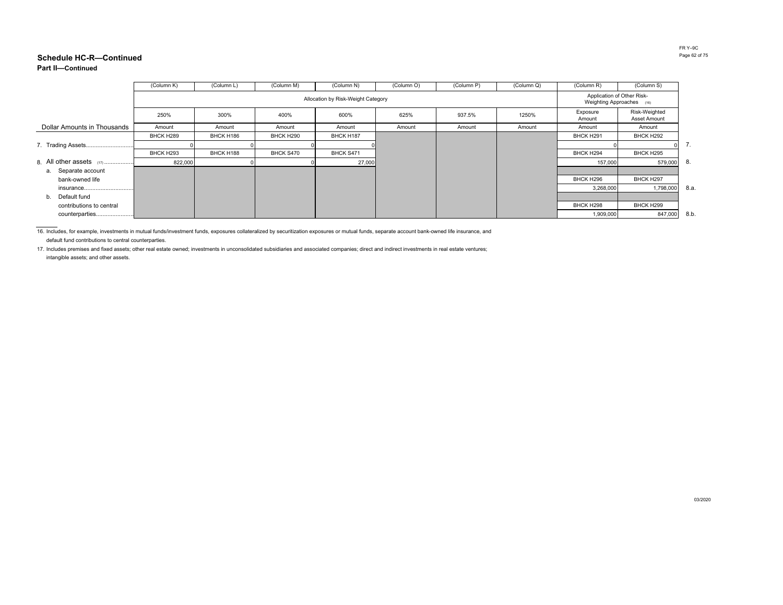### **Part II—Continued**

|                             | (Column K) | (Column L) | (Column M) | (Column N)                                              | (Column O) | (Column P) | (Column Q) | (Column R)         | (Column S)                    |     |
|-----------------------------|------------|------------|------------|---------------------------------------------------------|------------|------------|------------|--------------------|-------------------------------|-----|
|                             |            |            |            | Application of Other Risk-<br>Weighting Approaches (16) |            |            |            |                    |                               |     |
|                             | 250%       | 300%       | 400%       | 600%                                                    | 625%       | 937.5%     | 1250%      | Exposure<br>Amount | Risk-Weighted<br>Asset Amount |     |
| Dollar Amounts in Thousands | Amount     | Amount     | Amount     | Amount                                                  | Amount     | Amount     | Amount     | Amount             | Amount                        |     |
|                             | BHCK H289  | BHCK H186  | BHCK H290  | BHCK H187                                               |            |            |            | BHCK H291          | BHCK H292                     |     |
|                             |            |            |            |                                                         |            |            |            |                    | $\Omega$                      | 7.  |
|                             | BHCK H293  | BHCK H188  | BHCK S470  | BHCK S471                                               |            |            |            | BHCK H294          | BHCK H295                     |     |
| 8. All other assets $(17)$  | 822,000    |            |            | 27,000                                                  |            |            |            | 157,000            | 579,000                       | -8. |
| a. Separate account         |            |            |            |                                                         |            |            |            |                    |                               |     |
| bank-owned life             |            |            |            |                                                         |            |            |            | BHCK H296          | BHCK H297                     |     |
| insurance                   |            |            |            |                                                         |            |            |            | 3,268,000          | 1,798,000                     | 8.a |
| Default fund<br>b.          |            |            |            |                                                         |            |            |            |                    |                               |     |
| contributions to central    |            |            |            |                                                         |            |            |            | BHCK H298          | BHCK H299                     |     |
| counterparties              |            |            |            |                                                         |            |            |            | 1,909,000          | 847,000                       | 8.b |

16. Includes, for example, investments in mutual funds/investment funds, exposures collateralized by securitization exposures or mutual funds, separate account bank-owned life insurance, and default fund contributions to central counterparties.

17. Includes premises and fixed assets; other real estate owned; investments in unconsolidated subsidiaries and associated companies; direct and indirect investments in real estate ventures; intangible assets; and other assets.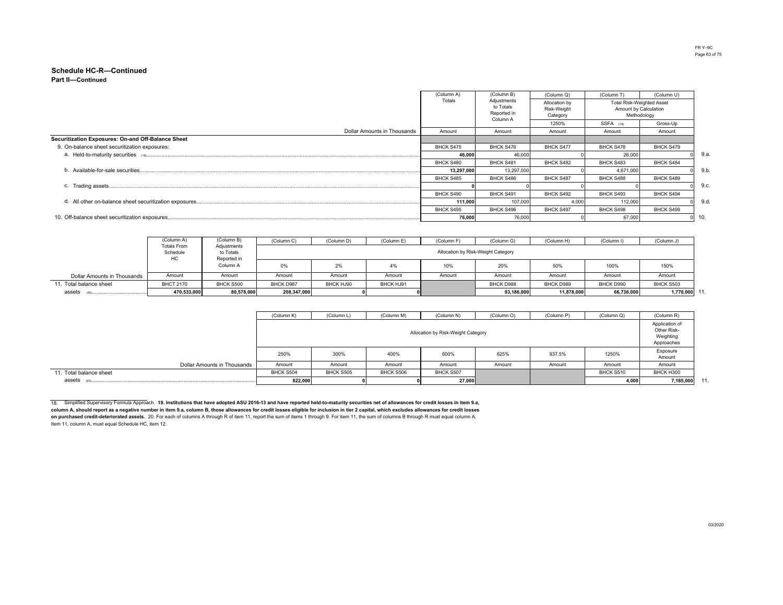#### **Part II—ContinuedSchedule HC-R—Continued**

|                                                    | (Column A) | (Column B)                                          | (Column Q)                               | (Column T)                                                               | (Column U)       |     |
|----------------------------------------------------|------------|-----------------------------------------------------|------------------------------------------|--------------------------------------------------------------------------|------------------|-----|
|                                                    | Totals     | Adjustments<br>to Totals<br>Reported in<br>Column A | Allocation by<br>Risk-Weight<br>Category | <b>Total Risk-Weighted Asset</b><br>Amount by Calculation<br>Methodology |                  |     |
|                                                    |            |                                                     | 1250%                                    | SSFA (18)                                                                | Gross-Up         |     |
| Dollar Amounts in Thousands                        | Amount     | Amount                                              | Amount                                   | Amount                                                                   | Amount           |     |
| Securitization Exposures: On-and Off-Balance Sheet |            |                                                     |                                          |                                                                          |                  |     |
| 9. On-balance sheet securitization exposures:      | BHCK S475  | BHCK S476                                           | <b>BHCK S477</b>                         | BHCK S478                                                                | BHCK S479        |     |
|                                                    | 46.000     | 46,000                                              |                                          | 26,000                                                                   |                  | 9.a |
|                                                    | BHCK S480  | BHCK S481                                           | BHCK S482                                | BHCK S483                                                                | BHCK S484        |     |
|                                                    | 13,297,000 | 13,297,000                                          |                                          | 4,671,000                                                                |                  | 9.b |
|                                                    | BHCK S485  | BHCK S486                                           | BHCK S487                                | BHCK S488                                                                | BHCK S489        |     |
|                                                    |            |                                                     |                                          |                                                                          |                  | 9.c |
|                                                    | BHCK S490  | BHCK S491                                           | BHCK S492                                | BHCK S493                                                                | BHCK S494        |     |
|                                                    | 111.000    | 107.000                                             | 4.00                                     | 112,000                                                                  |                  | 9.d |
|                                                    | BHCK S495  | BHCK S496                                           | <b>BHCK S497</b>                         | BHCK S498                                                                | <b>BHCK S499</b> |     |
|                                                    | 76.000     | 76,000                                              |                                          | 67,000                                                                   |                  | 10. |

|                             | (Column A)                           | (Column B)                              | (Column C)  | (Column D) | (Column E) | (Column F) | (Column G)                         | (Column H) | (Column I) | (Column J)   |
|-----------------------------|--------------------------------------|-----------------------------------------|-------------|------------|------------|------------|------------------------------------|------------|------------|--------------|
|                             | <b>Totals From</b><br>Schedule<br>HC | Adjustments<br>to Totals<br>Reported in |             |            |            |            | Allocation by Risk-Weight Category |            |            |              |
|                             |                                      | Column A                                | 0%          | 2%         | 4%         | 10%        | 20%                                | 50%        | 100%       | 150%         |
| Dollar Amounts in Thousands | Amount                               | Amount                                  | Amount      | Amount     | Amount     | Amount     | Amount                             | Amount     | Amount     | Amount       |
| 11. Total balance sheet     | <b>BHCT 2170</b>                     | BHCK S500                               | BHCK D987   | BHCK HJ90  | BHCK HJ91  |            | BHCK D988                          | BHCK D989  | BHCK D990  | BHCK S503    |
| assets                      | 470,533,000                          | 80,578,000                              | 208,347,000 |            |            |            | 93,186,000                         | 11,878,000 | 66,736,000 | 1,770,000 11 |

|                             | (Column K) | (Column L)                         | (Column M) | (Column N) | (Column O) | (Column P) | (Column Q) | (Column R)         |  |  |  |  |
|-----------------------------|------------|------------------------------------|------------|------------|------------|------------|------------|--------------------|--|--|--|--|
|                             |            | Allocation by Risk-Weight Category |            |            |            |            |            |                    |  |  |  |  |
|                             | 250%       | 300%                               | 400%       | 600%       | 625%       | 937.5%     | 1250%      | Exposure<br>Amount |  |  |  |  |
| Dollar Amounts in Thousands | Amount     | Amount                             | Amount     | Amount     | Amount     | Amount     | Amount     | Amount             |  |  |  |  |
| 11. Total balance sheet     | BHCK S504  | BHCK S505                          | BHCK S506  | BHCK S507  |            |            | BHCK S510  | BHCK H300          |  |  |  |  |
| assets                      | 822,000    |                                    |            | 27,000     |            |            | 4,000      | 7,185,000 11       |  |  |  |  |

18. Simplified Supervisory Formula Approach. **19. Institutions that have adopted ASU 2016-13 and have reported held-to-maturity securities net of allowances for credit losses in item 9.a,**  column A, should report as a negative number in item 9.a, column B, those allowances for credit losses eligible for inclusion in tier 2 capital, which excludes allowances for credit losses<br><mark>on purchased credit-deteriorated</mark>

Item 11, column A, must equal Schedule HC, item 12.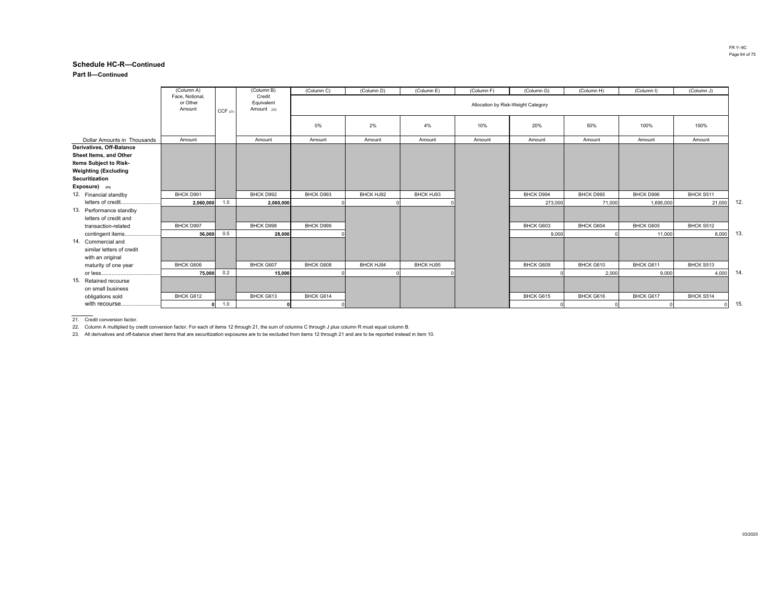**Part II—Continued**

|                             | (Column A)                            |         | (Column B)                          | (Column C) | (Column D) | (Column E) | (Column F)                         | (Column G) | (Column H) | (Column I) | (Column J) |     |
|-----------------------------|---------------------------------------|---------|-------------------------------------|------------|------------|------------|------------------------------------|------------|------------|------------|------------|-----|
|                             | Face, Notional,<br>or Other<br>Amount | CCF(21) | Credit<br>Equivalent<br>Amount (22) |            |            |            | Allocation by Risk-Weight Category |            |            |            |            |     |
|                             |                                       |         |                                     | 0%         | 2%         | 4%         | 10%                                | 20%        | 50%        | 100%       | 150%       |     |
| Dollar Amounts in Thousands | Amount                                |         | Amount                              | Amount     | Amount     | Amount     | Amount                             | Amount     | Amount     | Amount     | Amount     |     |
| Derivatives, Off-Balance    |                                       |         |                                     |            |            |            |                                    |            |            |            |            |     |
| Sheet Items, and Other      |                                       |         |                                     |            |            |            |                                    |            |            |            |            |     |
| Items Subject to Risk-      |                                       |         |                                     |            |            |            |                                    |            |            |            |            |     |
| <b>Weighting (Excluding</b> |                                       |         |                                     |            |            |            |                                    |            |            |            |            |     |
| Securitization              |                                       |         |                                     |            |            |            |                                    |            |            |            |            |     |
| Exposure) (23)              |                                       |         |                                     |            |            |            |                                    |            |            |            |            |     |
| 12. Financial standby       | BHCK D991                             |         | BHCK D992                           | BHCK D993  | BHCK HJ92  | BHCK HJ93  |                                    | BHCK D994  | BHCK D995  | BHCK D996  | BHCK S511  |     |
| letters of credit           | 2,060,000                             | 1.0     | 2,060,000                           |            |            |            |                                    | 273,000    | 71,000     | 1,695,000  | 21,000     | 12. |
| 13. Performance standby     |                                       |         |                                     |            |            |            |                                    |            |            |            |            |     |
| letters of credit and       |                                       |         |                                     |            |            |            |                                    |            |            |            |            |     |
| transaction-related         | BHCK D997                             |         | BHCK D998                           | BHCK D999  |            |            |                                    | BHCK G603  | BHCK G604  | BHCK G605  | BHCK S512  |     |
| contingent items            | 56,000                                | 0.5     | 28,000                              |            |            |            |                                    | 9,000      |            | 11,000     | 8,000      | 13. |
| 14. Commercial and          |                                       |         |                                     |            |            |            |                                    |            |            |            |            |     |
| similar letters of credit   |                                       |         |                                     |            |            |            |                                    |            |            |            |            |     |
| with an original            |                                       |         |                                     |            |            |            |                                    |            |            |            |            |     |
| maturity of one year        | BHCK G606                             |         | BHCK G607                           | BHCK G608  | BHCK HJ94  | BHCK HJ95  |                                    | BHCK G609  | BHCK G610  | BHCK G611  | BHCK S513  |     |
|                             | 75,000                                | 0.2     | 15,000                              |            |            |            |                                    |            | 2,000      | 9,000      | 4,000      | 14. |
| 15. Retained recourse       |                                       |         |                                     |            |            |            |                                    |            |            |            |            |     |
| on small business           |                                       |         |                                     |            |            |            |                                    |            |            |            |            |     |
| obligations sold            | BHCK G612                             |         | BHCK G613                           | BHCK G614  |            |            |                                    | BHCK G615  | BHCK G616  | BHCK G617  | BHCK S514  |     |
| with recourse               |                                       | 1.0     |                                     |            |            |            |                                    |            |            |            |            | 15. |

21. Credit conversion factor.

22. Column A multiplied by credit conversion factor. For each of items 12 through 21, the sum of columns C through J plus column R must equal column B.

23. All derivatives and off-balance sheet items that are securitization exposures are to be excluded from items 12 through 21 and are to be reported instead in item 10.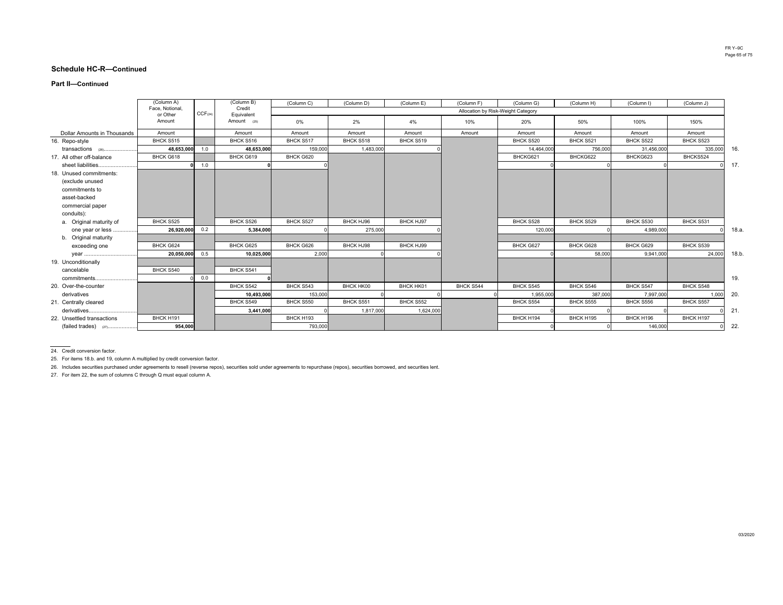#### **Part II—Continued**

|                             | (Column A)                  |                     | (Column B)           | (Column C) | (Column D) | (Column E) | (Column F)                         | (Column G) | (Column H) | (Column I) | (Column J) |      |
|-----------------------------|-----------------------------|---------------------|----------------------|------------|------------|------------|------------------------------------|------------|------------|------------|------------|------|
|                             | Face, Notional.<br>or Other | CCF <sub>(24)</sub> | Credit<br>Equivalent |            |            |            | Allocation by Risk-Weight Category |            |            |            |            |      |
|                             | Amount                      |                     | Amount (25)          | 0%         | 2%         | 4%         | 10%                                | 20%        | 50%        | 100%       | 150%       |      |
| Dollar Amounts in Thousands | Amount                      |                     | Amount               | Amount     | Amount     | Amount     | Amount                             | Amount     | Amount     | Amount     | Amount     |      |
| 16. Repo-style              | BHCK S515                   |                     | BHCK S516            | BHCK S517  | BHCK S518  | BHCK S519  |                                    | BHCK S520  | BHCK S521  | BHCK S522  | BHCK S523  |      |
| transactions (26)           | 48,653,000                  | 1.0                 | 48,653,000           | 159,000    | 1,483,000  |            |                                    | 14,464,000 | 756,000    | 31,456,000 | 335,000    | 16.  |
| 17. All other off-balance   | BHCK G618                   |                     | BHCK G619            | BHCK G620  |            |            |                                    | BHCKG621   | BHCKG622   | BHCKG623   | BHCKS524   |      |
| sheet liabilities           |                             | 1.0                 |                      |            |            |            |                                    |            |            |            |            | 17.  |
| 18. Unused commitments:     |                             |                     |                      |            |            |            |                                    |            |            |            |            |      |
| (exclude unused             |                             |                     |                      |            |            |            |                                    |            |            |            |            |      |
| commitments to              |                             |                     |                      |            |            |            |                                    |            |            |            |            |      |
| asset-backed                |                             |                     |                      |            |            |            |                                    |            |            |            |            |      |
| commercial paper            |                             |                     |                      |            |            |            |                                    |            |            |            |            |      |
| conduits):                  |                             |                     |                      |            |            |            |                                    |            |            |            |            |      |
| a. Original maturity of     | BHCK S525                   |                     | BHCK S526            | BHCK S527  | BHCK HJ96  | BHCK HJ97  |                                    | BHCK S528  | BHCK S529  | BHCK S530  | BHCK S531  |      |
| one year or less            | 26,920,000                  | 0.2                 | 5,384,000            |            | 275,000    |            |                                    | 120,000    |            | 4,989,000  |            | 18.a |
| b. Original maturity        |                             |                     |                      |            |            |            |                                    |            |            |            |            |      |
| exceeding one               | BHCK G624                   |                     | BHCK G625            | BHCK G626  | BHCK HJ98  | BHCK HJ99  |                                    | BHCK G627  | BHCK G628  | BHCK G629  | BHCK S539  |      |
| year                        | 20,050,000                  | 0.5                 | 10,025,000           | 2,000      |            |            |                                    |            | 58,000     | 9,941,000  | 24,000     | 18.b |
| 19. Unconditionally         |                             |                     |                      |            |            |            |                                    |            |            |            |            |      |
| cancelable                  | BHCK S540                   |                     | BHCK S541            |            |            |            |                                    |            |            |            |            |      |
| commitments                 |                             | 0.0                 |                      |            |            |            |                                    |            |            |            |            | 19.  |
| 20. Over-the-counter        |                             |                     | BHCK S542            | BHCK S543  | BHCK HK00  | BHCK HK01  | BHCK S544                          | BHCK S545  | BHCK S546  | BHCK S547  | BHCK S548  |      |
| derivatives                 |                             |                     | 10,493,000           | 153,000    |            |            |                                    | 1,955,000  | 387,000    | 7,997,000  | 1,000      | 20.  |
| 21. Centrally cleared       |                             |                     | BHCK S549            | BHCK S550  | BHCK S551  | BHCK S552  |                                    | BHCK S554  | BHCK S555  | BHCK S556  | BHCK S557  |      |
| derivatives                 |                             |                     | 3.441.000            |            | 1,817,000  | 1,624,000  |                                    |            |            |            |            | 21.  |
| 22. Unsettled transactions  | BHCK H191                   |                     |                      | BHCK H193  |            |            |                                    | BHCK H194  | BHCK H195  | BHCK H196  | BHCK H197  |      |
| (failed trades) (27)        | 954.000                     |                     |                      | 793,000    |            |            |                                    |            |            | 146,000    |            | 22.  |

24. Credit conversion factor.

25. For items 18.b. and 19, column A multiplied by credit conversion factor.

26. Includes securities purchased under agreements to resell (reverse repos), securities sold under agreements to repurchase (repos), securities borrowed, and securities lent.

27. For item 22, the sum of columns C through Q must equal column A.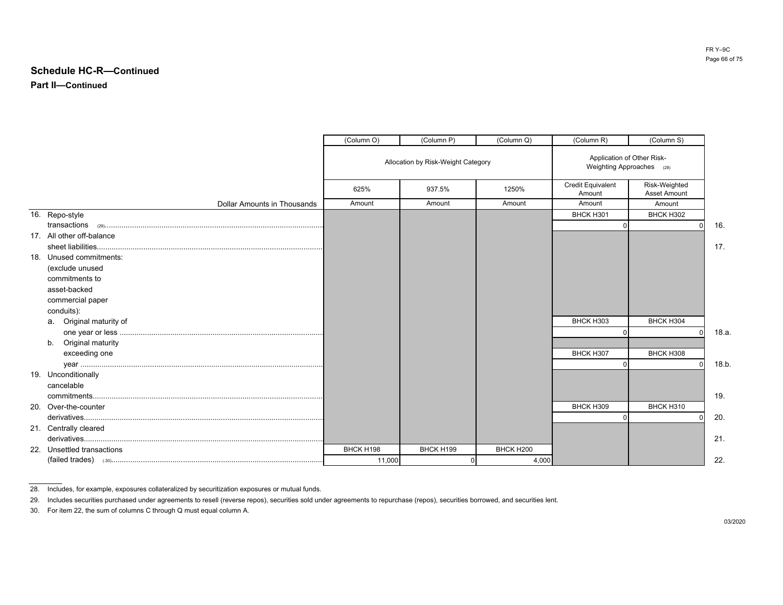**Part II—Continued**

|                                    | (Column O) | (Column P)                         | (Column Q) | (Column R)                                              | (Column S)                    |      |
|------------------------------------|------------|------------------------------------|------------|---------------------------------------------------------|-------------------------------|------|
|                                    |            | Allocation by Risk-Weight Category |            | Application of Other Risk-<br>Weighting Approaches (28) |                               |      |
|                                    | 625%       | 937.5%                             | 1250%      | <b>Credit Equivalent</b><br>Amount                      | Risk-Weighted<br>Asset Amount |      |
| <b>Dollar Amounts in Thousands</b> | Amount     | Amount                             | Amount     | Amount                                                  | Amount                        |      |
| 16. Repo-style                     |            |                                    |            | BHCK H301                                               | BHCK H302                     |      |
|                                    |            |                                    |            | $\Omega$                                                |                               | 16.  |
| 17. All other off-balance          |            |                                    |            |                                                         |                               |      |
|                                    |            |                                    |            |                                                         |                               | 17.  |
| 18. Unused commitments:            |            |                                    |            |                                                         |                               |      |
| (exclude unused                    |            |                                    |            |                                                         |                               |      |
| commitments to                     |            |                                    |            |                                                         |                               |      |
| asset-backed                       |            |                                    |            |                                                         |                               |      |
| commercial paper                   |            |                                    |            |                                                         |                               |      |
| conduits):                         |            |                                    |            |                                                         |                               |      |
| a. Original maturity of            |            |                                    |            | BHCK H303                                               | BHCK H304                     |      |
|                                    |            |                                    |            | $\Omega$                                                | $\Omega$                      | 18.a |
| Original maturity<br>b.            |            |                                    |            |                                                         |                               |      |
| exceeding one                      |            |                                    |            | BHCK H307<br>$\Omega$                                   | BHCK H308                     | 18.b |
| 19. Unconditionally                |            |                                    |            |                                                         |                               |      |
| cancelable                         |            |                                    |            |                                                         |                               |      |
|                                    |            |                                    |            |                                                         |                               | 19.  |
| 20. Over-the-counter               |            |                                    |            | BHCK H309                                               | BHCK H310                     |      |
|                                    |            |                                    |            | $\Omega$                                                |                               | 20.  |
| 21. Centrally cleared              |            |                                    |            |                                                         |                               |      |
|                                    |            |                                    |            |                                                         |                               | 21.  |
| 22. Unsettled transactions         | BHCK H198  | BHCK H199                          | BHCK H200  |                                                         |                               |      |
|                                    | 11,000     |                                    | 4,000      |                                                         |                               | 22.  |

<sup>28.</sup> Includes, for example, exposures collateralized by securitization exposures or mutual funds.

30. For item 22, the sum of columns C through Q must equal column A.

<sup>29.</sup> Includes securities purchased under agreements to resell (reverse repos), securities sold under agreements to repurchase (repos), securities borrowed, and securities lent.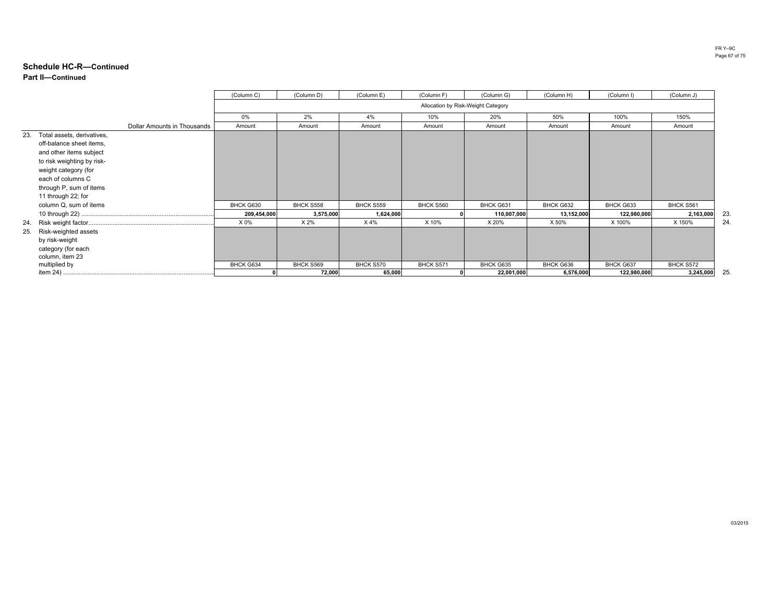### **Part II—ContinuedSchedule HC-R—Continued**

|                                                                                                                                                                                                                      | (Column C)  | (Column D) | (Column E) | (Column F) | (Column G)                         | (Column H) | (Column I)  | (Column J) |    |
|----------------------------------------------------------------------------------------------------------------------------------------------------------------------------------------------------------------------|-------------|------------|------------|------------|------------------------------------|------------|-------------|------------|----|
|                                                                                                                                                                                                                      |             |            |            |            | Allocation by Risk-Weight Category |            |             |            |    |
|                                                                                                                                                                                                                      | 0%          | 2%         | 4%         | 10%        | 20%                                | 50%        | 100%        | 150%       |    |
| Dollar Amounts in Thousands                                                                                                                                                                                          | Amount      | Amount     | Amount     | Amount     | Amount                             | Amount     | Amount      | Amount     |    |
| Total assets, derivatives,<br>23.<br>off-balance sheet items,<br>and other items subject<br>to risk weighting by risk-<br>weight category (for<br>each of columns C<br>through P, sum of items<br>11 through 22; for |             |            |            |            |                                    |            |             |            |    |
| column Q, sum of items                                                                                                                                                                                               | BHCK G630   | BHCK S558  | BHCK S559  | BHCK S560  | BHCK G631                          | BHCK G632  | BHCK G633   | BHCK S561  |    |
|                                                                                                                                                                                                                      | 209,454,000 | 3,575,000  | 1,624,000  |            | 110,007,000                        | 13,152,000 | 122,980,000 | 2,163,000  | 23 |
| 24.                                                                                                                                                                                                                  | X 0%        | X 2%       | X 4%       | X 10%      | X 20%                              | X 50%      | X 100%      | X 150%     | 24 |
| Risk-weighted assets<br>25.<br>by risk-weight<br>category (for each<br>column, item 23                                                                                                                               |             |            |            |            |                                    |            |             |            |    |
| multiplied by                                                                                                                                                                                                        | BHCK G634   | BHCK S569  | BHCK S570  | BHCK S571  | BHCK G635                          | BHCK G636  | BHCK G637   | BHCK S572  |    |
|                                                                                                                                                                                                                      |             | 72,000     | 65,000     |            | 22,001,000                         | 6,576,000  | 122,980,000 | 3,245,000  | 25 |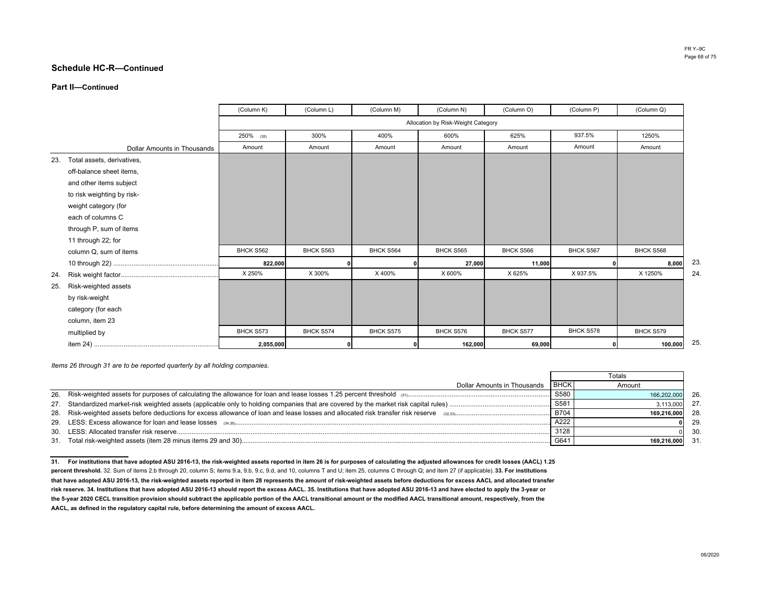#### **Part II—Continued**

|                                | (Column K) | (Column L) | (Column M) | (Column N)                         | (Column O) | (Column P) | (Column Q) |
|--------------------------------|------------|------------|------------|------------------------------------|------------|------------|------------|
|                                |            |            |            | Allocation by Risk-Weight Category |            |            |            |
|                                | 250% (35)  | 300%       | 400%       | 600%                               | 625%       | 937.5%     | 1250%      |
| Dollar Amounts in Thousands    | Amount     | Amount     | Amount     | Amount                             | Amount     | Amount     | Amount     |
| 23. Total assets, derivatives, |            |            |            |                                    |            |            |            |
| off-balance sheet items,       |            |            |            |                                    |            |            |            |
| and other items subject        |            |            |            |                                    |            |            |            |
| to risk weighting by risk-     |            |            |            |                                    |            |            |            |
| weight category (for           |            |            |            |                                    |            |            |            |
| each of columns C              |            |            |            |                                    |            |            |            |
| through P, sum of items        |            |            |            |                                    |            |            |            |
| 11 through 22; for             |            |            |            |                                    |            |            |            |
| column Q, sum of items         | BHCK S562  | BHCK S563  | BHCK S564  | BHCK S565                          | BHCK S566  | BHCK S567  | BHCK S568  |
|                                | 822,000    |            |            | 27,000                             | 11,000     |            | 8,000      |
| 24.                            | X 250%     | X 300%     | X 400%     | X 600%                             | X 625%     | X 937.5%   | X 1250%    |
| Risk-weighted assets<br>25.    |            |            |            |                                    |            |            |            |
| by risk-weight                 |            |            |            |                                    |            |            |            |
| category (for each             |            |            |            |                                    |            |            |            |
| column, item 23                |            |            |            |                                    |            |            |            |
| multiplied by                  | BHCK S573  | BHCK S574  | BHCK S575  | BHCK S576                          | BHCK S577  | BHCK S578  | BHCK S579  |
|                                | 2,055,000  |            |            | 162,000                            | 69,000     |            | 100,000    |

*Items 26 through 31 are to be reported quarterly by all holding companies.* 

|                             | Totals      |                |      |  |
|-----------------------------|-------------|----------------|------|--|
| Dollar Amounts in Thousands | <b>BHCK</b> | Amount         |      |  |
|                             | S580        | 166.202.000    | - 26 |  |
|                             | S581        | 3.113.000 27   |      |  |
|                             | B704        | 169.216.000 28 |      |  |
|                             | A222        |                | 29   |  |
|                             | 3128        |                | - 30 |  |
|                             |             | 169.216.000 31 |      |  |

**31. For institutions that have adopted ASU 2016-13, the risk-weighted assets reported in item 26 is for purposes of calculating the adjusted allowances for credit losses (AACL) 1.25 percent threshold.** 32. Sum of items 2.b through 20, column S; items 9.a, 9.b, 9.c, 9.d, and 10, columns T and U; item 25, columns C through Q; and item 27 (if applicable). **33. For institutions that have adopted ASU 2016-13, the risk-weighted assets reported in item 28 represents the amount of risk-weighted assets before deductions for excess AACL and allocated transfer risk reserve. 34. Institutions that have adopted ASU 2016-13 should report the excess AACL. 35. Institutions that have adopted ASU 2016-13 and have elected to apply the 3-year or the 5-year 2020 CECL transition provision should subtract the applicable portion of the AACL transitional amount or the modified AACL transitional amount, respectively, from the AACL, as defined in the regulatory capital rule, before determining the amount of excess AACL.**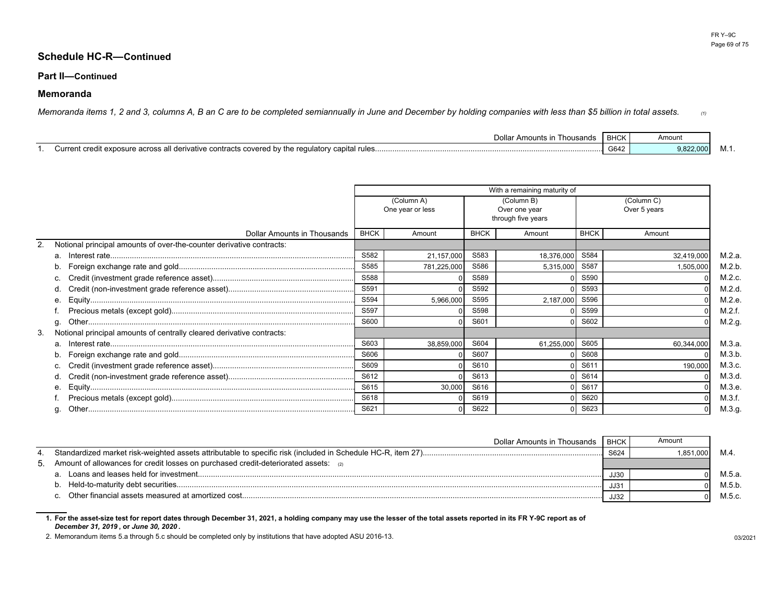### **Part II—Continued**

## **Memoranda**

*Memoranda items 1, 2 and 3, columns A, B an C are to be completed semiannually in June and December by holding companies with less than \$5 billion in total assets. (1)*

| Dollar Amounts in<br>≅usands<br>l hol                                               | <b>BHCK</b>            | Amount    |        |
|-------------------------------------------------------------------------------------|------------------------|-----------|--------|
| t credit exposure across all derivative contracts covered by the regulatory capital | C <sub>0</sub><br>6042 | 9,822,000 | IVI. L |

|    |                                                                       | With a remaining maturity of   |             |                                                   |            |                            |            |        |  |
|----|-----------------------------------------------------------------------|--------------------------------|-------------|---------------------------------------------------|------------|----------------------------|------------|--------|--|
|    |                                                                       | (Column A)<br>One year or less |             | (Column B)<br>Over one year<br>through five years |            | (Column C)<br>Over 5 years |            |        |  |
|    | Dollar Amounts in Thousands                                           | <b>BHCK</b>                    | Amount      | <b>BHCK</b>                                       | Amount     | <b>BHCK</b>                | Amount     |        |  |
|    | Notional principal amounts of over-the-counter derivative contracts:  |                                |             |                                                   |            |                            |            |        |  |
|    | a.                                                                    | S582                           | 21,157,000  | S583                                              | 18,376,000 | S584                       | 32,419,000 | M.2.a. |  |
|    |                                                                       | S585                           | 781,225,000 | S586                                              | 5,315,000  | S587                       | 1,505,000  | M.2.b. |  |
|    |                                                                       | S588                           |             | S589                                              |            | S590                       |            | M.2.c. |  |
|    |                                                                       | S591                           |             | S592                                              |            | S593                       |            | M.2.d. |  |
|    | е.                                                                    | S594                           | 5,966,000   | S595                                              | 2,187,000  | S596                       |            | M.2.e. |  |
|    |                                                                       | S597                           |             | S598                                              |            | S599                       |            | M.2.f. |  |
|    | g.                                                                    | S600                           |             | S601                                              |            | S602                       |            | M.2.g. |  |
| 3. | Notional principal amounts of centrally cleared derivative contracts: |                                |             |                                                   |            |                            |            |        |  |
|    | a.                                                                    | S603                           | 38,859,000  | S604                                              | 61,255,000 | S605                       | 60,344,000 | M.3.a. |  |
|    |                                                                       | S606                           |             | S607                                              |            | S608                       |            | M.3.b. |  |
|    |                                                                       | S609                           |             | S610                                              |            | S611                       | 190,000    | M.3.c. |  |
|    | d.                                                                    | S612                           |             | S613                                              |            | S614                       |            | M.3.d. |  |
|    | е.                                                                    | S615                           | 30,000      | S616                                              |            | S617                       |            | M.3.e. |  |
|    |                                                                       | S618                           |             | S619                                              |            | S620                       |            | M.3.f. |  |
|    | g.                                                                    | S621                           |             | S622                                              |            | S623                       |            | M.3.g. |  |

| Dollar Amounts in Thousands                                                              | <b>BHCK</b> | Amount   |        |
|------------------------------------------------------------------------------------------|-------------|----------|--------|
|                                                                                          | S624        | .851.000 |        |
| Amount of allowances for credit losses on purchased credit-deteriorated assets: $_{(2)}$ |             |          |        |
|                                                                                          | JJ3C        |          | M.5.a. |
|                                                                                          | JJ3'        |          | M.5.b. |
|                                                                                          | <b>JJ32</b> |          | M.5.c. |

**1. For the asset-size test for report dates through December 31, 2021, a holding company may use the lesser of the total assets reported in its FR Y-9C report as of** *December 31, 2019* **, or** *June 30, 2020* **.**

2. Memorandum items 5.a through 5.c should be completed only by institutions that have adopted ASU 2016-13.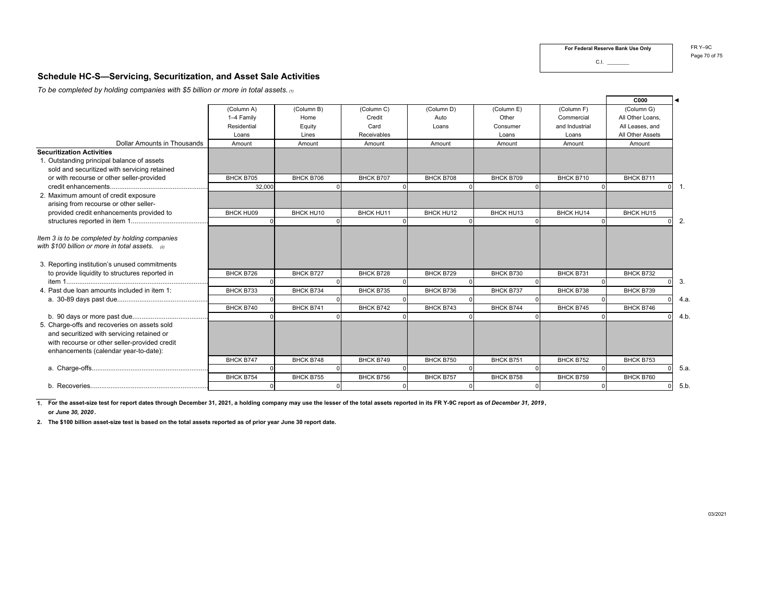**For Federal Reserve Bank Use Only**

r.

C.I. \_\_\_\_\_\_\_\_\_

FR Y–9C Page 70 of 75

## **Schedule HC-S—Servicing, Securitization, and Asset Sale Activities**

*To be completed by holding companies with \$5 billion or more in total assets. (1)*

|                                                                                                                                                                                      |             |                  |             |                  |            |                | <b>C000</b>      | ◀                                |
|--------------------------------------------------------------------------------------------------------------------------------------------------------------------------------------|-------------|------------------|-------------|------------------|------------|----------------|------------------|----------------------------------|
|                                                                                                                                                                                      | (Column A)  | (Column B)       | (Column C)  | (Column D)       | (Column E) | (Column F)     | (Column G)       |                                  |
|                                                                                                                                                                                      | 1-4 Family  | Home             | Credit      | Auto             | Other      | Commercial     | All Other Loans. |                                  |
|                                                                                                                                                                                      | Residential | Equity           | Card        | Loans            | Consumer   | and Industrial | All Leases, and  |                                  |
|                                                                                                                                                                                      | Loans       | Lines            | Receivables |                  | Loans      | Loans          | All Other Assets |                                  |
| Dollar Amounts in Thousands                                                                                                                                                          | Amount      | Amount           | Amount      | Amount           | Amount     | Amount         | Amount           |                                  |
| <b>Securitization Activities</b>                                                                                                                                                     |             |                  |             |                  |            |                |                  |                                  |
| 1. Outstanding principal balance of assets                                                                                                                                           |             |                  |             |                  |            |                |                  |                                  |
| sold and securitized with servicing retained                                                                                                                                         |             |                  |             |                  |            |                |                  |                                  |
| or with recourse or other seller-provided                                                                                                                                            | BHCK B705   | BHCK B706        | BHCK B707   | BHCK B708        | BHCK B709  | BHCK B710      | BHCK B711        |                                  |
|                                                                                                                                                                                      | 32,000      |                  |             |                  |            |                |                  | $\overline{1}$ .<br><sup>0</sup> |
| 2. Maximum amount of credit exposure                                                                                                                                                 |             |                  |             |                  |            |                |                  |                                  |
| arising from recourse or other seller-                                                                                                                                               |             |                  |             |                  |            |                |                  |                                  |
| provided credit enhancements provided to                                                                                                                                             | BHCK HU09   | BHCK HU10        | BHCK HU11   | <b>BHCK HU12</b> | BHCK HU13  | BHCK HU14      | BHCK HU15        |                                  |
|                                                                                                                                                                                      |             |                  |             |                  |            |                |                  | 2.                               |
| Item 3 is to be completed by holding companies<br>with \$100 billion or more in total assets. a                                                                                      |             |                  |             |                  |            |                |                  |                                  |
| 3. Reporting institution's unused commitments                                                                                                                                        |             |                  |             |                  |            |                |                  |                                  |
| to provide liquidity to structures reported in                                                                                                                                       | BHCK B726   | <b>BHCK B727</b> | BHCK B728   | BHCK B729        | BHCK B730  | BHCK B731      | BHCK B732        |                                  |
|                                                                                                                                                                                      |             |                  |             |                  |            |                |                  | 3.                               |
| 4. Past due loan amounts included in item 1:                                                                                                                                         | BHCK B733   | BHCK B734        | BHCK B735   | BHCK B736        | BHCK B737  | BHCK B738      | BHCK B739        |                                  |
|                                                                                                                                                                                      |             |                  |             |                  |            |                |                  | 4.a                              |
|                                                                                                                                                                                      | BHCK B740   | BHCK B741        | BHCK B742   | BHCK B743        | BHCK B744  | BHCK B745      | BHCK B746        |                                  |
|                                                                                                                                                                                      |             |                  |             |                  |            |                |                  | 4.b                              |
| 5. Charge-offs and recoveries on assets sold<br>and securitized with servicing retained or<br>with recourse or other seller-provided credit<br>enhancements (calendar year-to-date): |             |                  |             |                  |            |                |                  |                                  |
|                                                                                                                                                                                      | BHCK B747   | BHCK B748        | BHCK B749   | BHCK B750        | BHCK B751  | BHCK B752      | BHCK B753        |                                  |
|                                                                                                                                                                                      |             |                  |             |                  |            |                |                  | 5.a                              |
|                                                                                                                                                                                      | BHCK B754   | BHCK B755        | BHCK B756   | BHCK B757        | BHCK B758  | BHCK B759      | BHCK B760        |                                  |
|                                                                                                                                                                                      |             |                  |             |                  |            |                |                  | 5.b                              |
|                                                                                                                                                                                      |             |                  |             |                  |            |                |                  |                                  |

**1. For the asset-size test for report dates through December 31, 2021, a holding company may use the lesser of the total assets reported in its FR Y-9C report as of** *December 31, 2019* **,**

**or** *June 30, 2020* **.**

**2. The \$100 billion asset-size test is based on the total assets reported as of prior year June 30 report date.**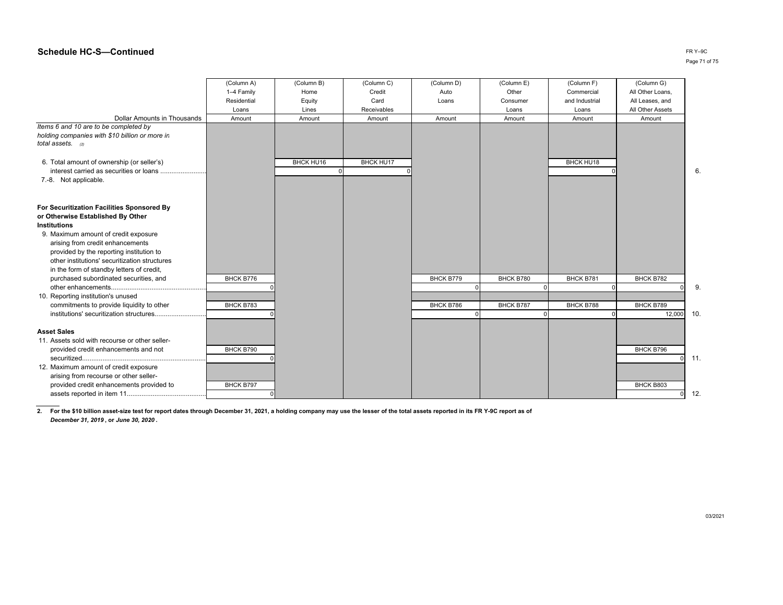|                                                                                                                | (Column A)  | (Column B) | (Column C)       | (Column D) | (Column E) | (Column F)     | (Column G)            |    |
|----------------------------------------------------------------------------------------------------------------|-------------|------------|------------------|------------|------------|----------------|-----------------------|----|
|                                                                                                                | 1-4 Family  | Home       | Credit           | Auto       | Other      | Commercial     | All Other Loans,      |    |
|                                                                                                                | Residential | Equity     | Card             | Loans      | Consumer   | and Industrial | All Leases, and       |    |
|                                                                                                                | Loans       | Lines      | Receivables      |            | Loans      | Loans          | All Other Assets      |    |
| <b>Dollar Amounts in Thousands</b>                                                                             | Amount      | Amount     | Amount           | Amount     | Amount     | Amount         | Amount                |    |
| Items 6 and 10 are to be completed by<br>holding companies with \$10 billion or more in<br>total assets. $(2)$ |             |            |                  |            |            |                |                       |    |
| 6. Total amount of ownership (or seller's)                                                                     |             | BHCK HU16  | <b>BHCK HU17</b> |            |            | BHCK HU18      |                       |    |
| interest carried as securities or loans                                                                        |             |            |                  |            |            |                |                       | 6  |
| 7.-8. Not applicable.                                                                                          |             |            |                  |            |            |                |                       |    |
| For Securitization Facilities Sponsored By                                                                     |             |            |                  |            |            |                |                       |    |
| or Otherwise Established By Other                                                                              |             |            |                  |            |            |                |                       |    |
| <b>Institutions</b>                                                                                            |             |            |                  |            |            |                |                       |    |
| 9. Maximum amount of credit exposure                                                                           |             |            |                  |            |            |                |                       |    |
| arising from credit enhancements                                                                               |             |            |                  |            |            |                |                       |    |
| provided by the reporting institution to                                                                       |             |            |                  |            |            |                |                       |    |
| other institutions' securitization structures                                                                  |             |            |                  |            |            |                |                       |    |
| in the form of standby letters of credit,                                                                      |             |            |                  |            |            |                |                       |    |
| purchased subordinated securities, and                                                                         | BHCK B776   |            |                  | BHCK B779  | BHCK B780  | BHCK B781      | BHCK B782             |    |
|                                                                                                                |             |            |                  |            |            |                |                       | 9  |
| 10. Reporting institution's unused                                                                             |             |            |                  |            |            |                |                       |    |
| commitments to provide liquidity to other                                                                      | BHCK B783   |            |                  | BHCK B786  | BHCK B787  | BHCK B788      | BHCK B789             |    |
| institutions' securitization structures                                                                        |             |            |                  |            |            |                | 12,000                | 10 |
|                                                                                                                |             |            |                  |            |            |                |                       |    |
| <b>Asset Sales</b>                                                                                             |             |            |                  |            |            |                |                       |    |
| 11. Assets sold with recourse or other seller-                                                                 |             |            |                  |            |            |                |                       |    |
| provided credit enhancements and not                                                                           | BHCK B790   |            |                  |            |            |                | BHCK B796<br>$\Omega$ | 11 |
| 12. Maximum amount of credit exposure                                                                          |             |            |                  |            |            |                |                       |    |
| arising from recourse or other seller-                                                                         |             |            |                  |            |            |                |                       |    |
| provided credit enhancements provided to                                                                       | BHCK B797   |            |                  |            |            |                | BHCK B803             |    |
|                                                                                                                |             |            |                  |            |            |                |                       | 12 |

**2. For the \$10 billion asset-size test for report dates through December 31, 2021, a holding company may use the lesser of the total assets reported in its FR Y-9C report as of***December 31, 2019* **, or** *June 30, 2020* **.**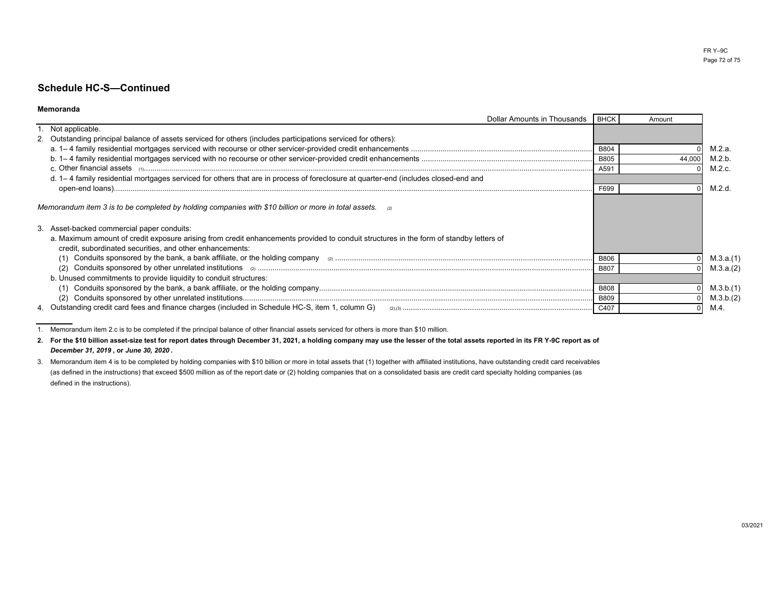#### **Memoranda**

| Dollar Amounts in Thousands                                                                                                                                                                        | BHCK        | Amount |           |
|----------------------------------------------------------------------------------------------------------------------------------------------------------------------------------------------------|-------------|--------|-----------|
| 1. Not applicable.                                                                                                                                                                                 |             |        |           |
| 2. Outstanding principal balance of assets serviced for others (includes participations serviced for others):                                                                                      |             |        |           |
|                                                                                                                                                                                                    | <b>B804</b> |        | M.2.a.    |
|                                                                                                                                                                                                    | <b>B805</b> | 44,00  | M.2.b.    |
| $c.$ Other financial assets $(1)$                                                                                                                                                                  | A591        |        | M.2.c.    |
| d. 1-4 family residential mortgages serviced for others that are in process of foreclosure at quarter-end (includes closed-end and                                                                 |             |        |           |
|                                                                                                                                                                                                    | F699        |        | M.2.d.    |
| Memorandum item 3 is to be completed by holding companies with \$10 billion or more in total assets. $\Box$                                                                                        |             |        |           |
| 3. Asset-backed commercial paper conduits:                                                                                                                                                         |             |        |           |
| a. Maximum amount of credit exposure arising from credit enhancements provided to conduit structures in the form of standby letters of<br>credit, subordinated securities, and other enhancements: |             |        |           |
|                                                                                                                                                                                                    | <b>B806</b> |        | M.3.a.(1) |
|                                                                                                                                                                                                    | <b>B807</b> |        | M.3.a.(2) |
| b. Unused commitments to provide liquidity to conduit structures:                                                                                                                                  |             |        |           |
|                                                                                                                                                                                                    | <b>B808</b> |        | M.3.b.(1) |
|                                                                                                                                                                                                    | <b>B809</b> |        | M.3.b.(2) |
| 4. Outstanding credit card fees and finance charges (included in Schedule HC-S, item 1, column G)                                                                                                  | C407        |        | M.4       |

1. Memorandum item 2.c is to be completed if the principal balance of other financial assets serviced for others is more than \$10 million.

**2.For the \$10 billion asset-size test for report dates through December 31, 2021, a holding company may use the lesser of the total assets reported in its FR Y-9C report as of***December 31, 2019* **, or** *June 30, 2020* **.**

3.Memorandum item 4 is to be completed by holding companies with \$10 billion or more in total assets that (1) together with affiliated institutions, have outstanding credit card receivables(as defined in the instructions) that exceed \$500 million as of the report date or (2) holding companies that on a consolidated basis are credit card specialty holding companies (asdefined in the instructions).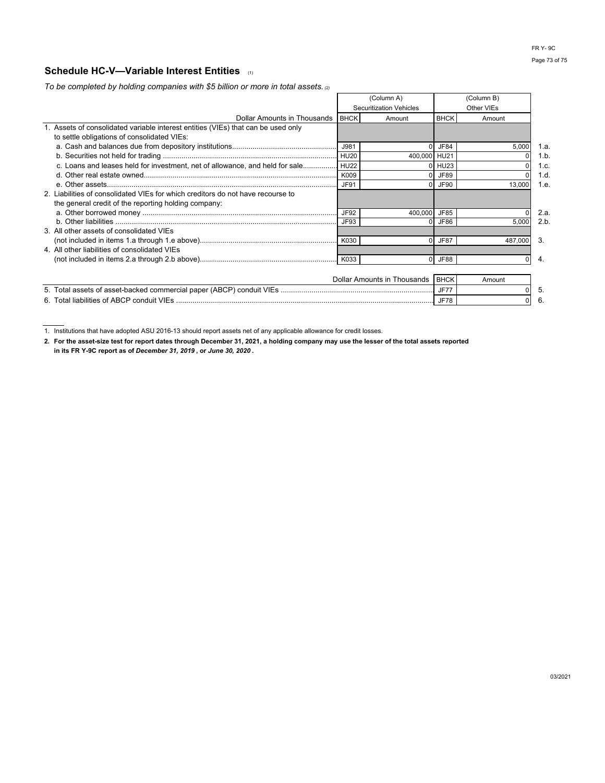# **Schedule HC-V—Variable Interest Entities** (1)

*To be completed by holding companies with \$5 billion or more in total assets. (2)*

|                                                                                   | (Column A)  |                                | (Column B)  |            |         |
|-----------------------------------------------------------------------------------|-------------|--------------------------------|-------------|------------|---------|
|                                                                                   |             | <b>Securitization Vehicles</b> |             | Other VIEs |         |
| Dollar Amounts in Thousands I BHCK                                                |             | Amount                         | <b>BHCK</b> | Amount     |         |
| 1. Assets of consolidated variable interest entities (VIEs) that can be used only |             |                                |             |            |         |
| to settle obligations of consolidated VIEs:                                       |             |                                |             |            |         |
|                                                                                   | J981        |                                | JF84        | 5,000      | 1.a.    |
|                                                                                   |             | 400,000 HU21                   |             |            | $1.b$ . |
| c. Loans and leases held for investment, net of allowance, and held for sale HU22 |             |                                | 0 HU23      |            | 1.c.    |
|                                                                                   | K009        |                                | JF89        |            | 1.d.    |
|                                                                                   | <b>JF91</b> |                                | $0$ JF90    | 13,000     | 1.e.    |
| 2. Liabilities of consolidated VIEs for which creditors do not have recourse to   |             |                                |             |            |         |
| the general credit of the reporting holding company:                              |             |                                |             |            |         |
|                                                                                   | JF92        | 400,000 JF85                   |             |            | 2.a.    |
|                                                                                   | JF93        |                                | JF86        | 5,000      | 2.b.    |
| 3. All other assets of consolidated VIEs                                          |             |                                |             |            |         |
|                                                                                   | K030        |                                | <b>JF87</b> | 487,000    | 3.      |
| 4. All other liabilities of consolidated VIEs                                     |             |                                |             |            |         |
|                                                                                   |             |                                | 0 JF88      | 0          | 4.      |
|                                                                                   |             |                                |             |            |         |
|                                                                                   |             | Dollar Amounts in Thousands    | <b>BHCK</b> | Amount     |         |
|                                                                                   |             |                                | <b>JF77</b> |            | 5.      |
| JF78                                                                              |             |                                |             | $\Omega$   | 6.      |

1. Institutions that have adopted ASU 2016-13 should report assets net of any applicable allowance for credit losses.

**2. For the asset-size test for report dates through December 31, 2021, a holding company may use the lesser of the total assets reported in its FR Y-9C report as of** *December 31, 2019* **, or** *June 30, 2020* **.**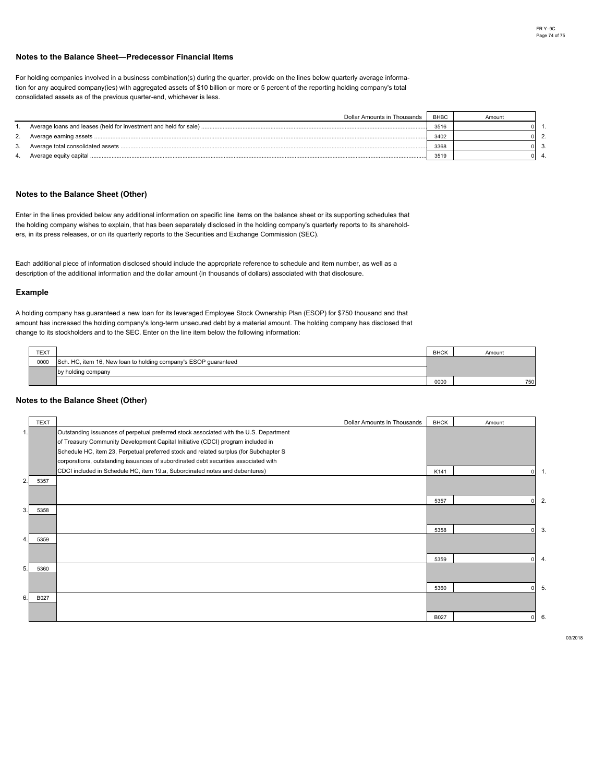#### **Notes to the Balance Sheet—Predecessor Financial Items**

For holding companies involved in a business combination(s) during the quarter, provide on the lines below quarterly average informaconsolidated assets as of the previous quarter-end, whichever is less. tion for any acquired company(ies) with aggregated assets of \$10 billion or more or 5 percent of the reporting holding company's total

|    | Dollar Amounts in Thousands | <b>BHBC</b> | Amount |  |
|----|-----------------------------|-------------|--------|--|
|    |                             | 3516        |        |  |
| 2. |                             | 3402        |        |  |
|    |                             | 3368        |        |  |
| 4. |                             | 3519        |        |  |

### **Notes to the Balance Sheet (Other)**

Enter in the lines provided below any additional information on specific line items on the balance sheet or its supporting schedules that ers, in its press releases, or on its quarterly reports to the Securities and Exchange Commission (SEC). the holding company wishes to explain, that has been separately disclosed in the holding company's quarterly reports to its sharehold-

description of the additional information and the dollar amount (in thousands of dollars) associated with that disclosure. Each additional piece of information disclosed should include the appropriate reference to schedule and item number, as well as a

#### **Example**

change to its stockholders and to the SEC. Enter on the line item below the following information: amount has increased the holding company's long-term unsecured debt by a material amount. The holding company has disclosed that A holding company has guaranteed a new loan for its leveraged Employee Stock Ownership Plan (ESOP) for \$750 thousand and that

| <b>TEXT</b> |                                                                 | <b>BHCK</b> | Amount |
|-------------|-----------------------------------------------------------------|-------------|--------|
| 0000        | Sch. HC, item 16, New loan to holding company's ESOP quaranteed |             |        |
|             | by holding company                                              |             |        |
|             |                                                                 | 0000        | 750    |

#### **Notes to the Balance Sheet (Other)**

|    | <b>TEXT</b> | Dollar Amounts in Thousands                                                            | <b>BHCK</b> | Amount |                |
|----|-------------|----------------------------------------------------------------------------------------|-------------|--------|----------------|
| 1. |             | Outstanding issuances of perpetual preferred stock associated with the U.S. Department |             |        |                |
|    |             | of Treasury Community Development Capital Initiative (CDCI) program included in        |             |        |                |
|    |             | Schedule HC, item 23, Perpetual preferred stock and related surplus (for Subchapter S  |             |        |                |
|    |             | corporations, outstanding issuances of subordinated debt securities associated with    |             |        |                |
|    |             | CDCI included in Schedule HC, item 19.a, Subordinated notes and debentures)            | K141        |        | $\mathbf{1}$   |
| 2. | 5357        |                                                                                        |             |        |                |
|    |             |                                                                                        |             |        |                |
|    |             |                                                                                        | 5357        |        | $\overline{2}$ |
| 3. | 5358        |                                                                                        |             |        |                |
|    |             |                                                                                        |             |        |                |
|    |             |                                                                                        | 5358        |        | 3              |
| 4. | 5359        |                                                                                        |             |        |                |
|    |             |                                                                                        |             |        |                |
|    |             |                                                                                        | 5359        |        | $\overline{4}$ |
| 5. | 5360        |                                                                                        |             |        |                |
|    |             |                                                                                        |             |        |                |
|    |             |                                                                                        | 5360        |        | 5.             |
| 6. | B027        |                                                                                        |             |        |                |
|    |             |                                                                                        |             |        |                |
|    |             |                                                                                        | B027        |        | 6.             |